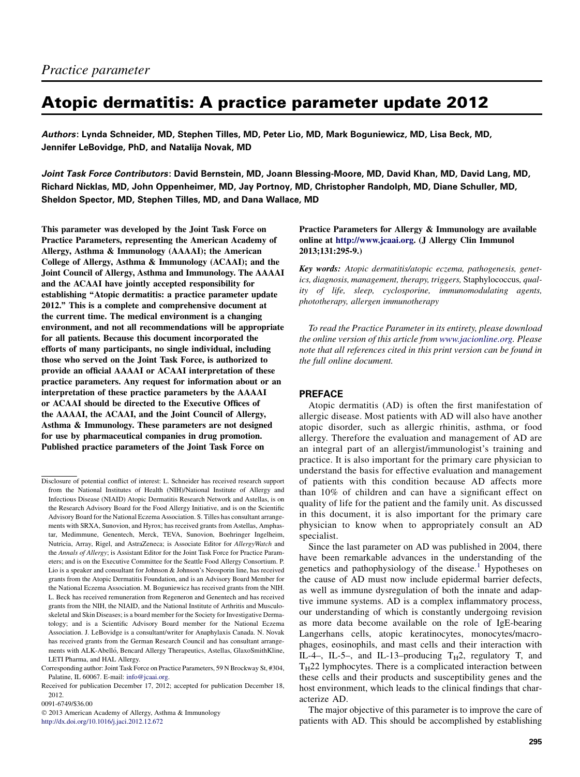# Atopic dermatitis: A practice parameter update 2012

Authors: Lynda Schneider, MD, Stephen Tilles, MD, Peter Lio, MD, Mark Boguniewicz, MD, Lisa Beck, MD, Jennifer LeBovidge, PhD, and Natalija Novak, MD

Joint Task Force Contributors: David Bernstein, MD, Joann Blessing-Moore, MD, David Khan, MD, David Lang, MD, Richard Nicklas, MD, John Oppenheimer, MD, Jay Portnoy, MD, Christopher Randolph, MD, Diane Schuller, MD, Sheldon Spector, MD, Stephen Tilles, MD, and Dana Wallace, MD

This parameter was developed by the Joint Task Force on Practice Parameters, representing the American Academy of Allergy, Asthma & Immunology (AAAAI); the American College of Allergy, Asthma & Immunology (ACAAI); and the Joint Council of Allergy, Asthma and Immunology. The AAAAI and the ACAAI have jointly accepted responsibility for establishing ''Atopic dermatitis: a practice parameter update 2012.'' This is a complete and comprehensive document at the current time. The medical environment is a changing environment, and not all recommendations will be appropriate for all patients. Because this document incorporated the efforts of many participants, no single individual, including those who served on the Joint Task Force, is authorized to provide an official AAAAI or ACAAI interpretation of these practice parameters. Any request for information about or an interpretation of these practice parameters by the AAAAI or ACAAI should be directed to the Executive Offices of the AAAAI, the ACAAI, and the Joint Council of Allergy, Asthma & Immunology. These parameters are not designed for use by pharmaceutical companies in drug promotion. Published practice parameters of the Joint Task Force on

0091-6749/\$36.00

 2013 American Academy of Allergy, Asthma & Immunology <http://dx.doi.org/10.1016/j.jaci.2012.12.672>

#### Practice Parameters for Allergy & Immunology are available online at <http://www.jcaai.org>. (J Allergy Clin Immunol 2013;131:295-9.)

Key words: Atopic dermatitis/atopic eczema, pathogenesis, genetics, diagnosis, management, therapy, triggers, Staphylococcus, quality of life, sleep, cyclosporine, immunomodulating agents, phototherapy, allergen immunotherapy

To read the Practice Parameter in its entirety, please download the online version of this article from [www.jacionline.org](http://www.jacionline.org). Please note that all references cited in this print version can be found in the full online document.

# PREFACE

Atopic dermatitis (AD) is often the first manifestation of allergic disease. Most patients with AD will also have another atopic disorder, such as allergic rhinitis, asthma, or food allergy. Therefore the evaluation and management of AD are an integral part of an allergist/immunologist's training and practice. It is also important for the primary care physician to understand the basis for effective evaluation and management of patients with this condition because AD affects more than 10% of children and can have a significant effect on quality of life for the patient and the family unit. As discussed in this document, it is also important for the primary care physician to know when to appropriately consult an AD specialist.

Since the last parameter on AD was published in 2004, there have been remarkable advances in the understanding of the genetics and pathophysiology of the disease.<sup>[1](#page-23-0)</sup> Hypotheses on the cause of AD must now include epidermal barrier defects, as well as immune dysregulation of both the innate and adaptive immune systems. AD is a complex inflammatory process, our understanding of which is constantly undergoing revision as more data become available on the role of IgE-bearing Langerhans cells, atopic keratinocytes, monocytes/macrophages, eosinophils, and mast cells and their interaction with IL-4–, IL-5–, and IL-13–producing  $T_H2$ , regulatory T, and  $T_H$ 22 lymphocytes. There is a complicated interaction between these cells and their products and susceptibility genes and the host environment, which leads to the clinical findings that characterize AD.

The major objective of this parameter is to improve the care of patients with AD. This should be accomplished by establishing

Disclosure of potential conflict of interest: L. Schneider has received research support from the National Institutes of Health (NIH)/National Institute of Allergy and Infectious Disease (NIAID) Atopic Dermatitis Research Network and Astellas, is on the Research Advisory Board for the Food Allergy Initiative, and is on the Scientific Advisory Board for the National Eczema Association. S. Tilles has consultant arrangements with SRXA, Sunovion, and Hyrox; has received grants from Astellas, Amphastar, Medimmune, Genentech, Merck, TEVA, Sunovion, Boehringer Ingelheim, Nutricia, Array, Rigel, and AstraZeneca; is Associate Editor for AllergyWatch and the Annals of Allergy; is Assistant Editor for the Joint Task Force for Practice Parameters; and is on the Executive Committee for the Seattle Food Allergy Consortium. P. Lio is a speaker and consultant for Johnson & Johnson's Neosporin line, has received grants from the Atopic Dermatitis Foundation, and is an Advisory Board Member for the National Eczema Association. M. Boguniewicz has received grants from the NIH. L. Beck has received remuneration from Regeneron and Genentech and has received grants from the NIH, the NIAID, and the National Institute of Arthritis and Musculoskeletal and Skin Diseases; is a board member for the Society for Investigative Dermatology; and is a Scientific Advisory Board member for the National Eczema Association. J. LeBovidge is a consultant/writer for Anaphylaxis Canada. N. Novak has received grants from the German Research Council and has consultant arrangements with ALK-Abelló, Bencard Allergy Therapeutics, Astellas, GlaxoSmithKline, LETI Pharma, and HAL Allergy.

Corresponding author: Joint Task Force on Practice Parameters, 59 N Brockway St, #304, Palatine, IL 60067. E-mail: [info@jcaai.org.](mailto:info@jcaai.org)

Received for publication December 17, 2012; accepted for publication December 18, 2012.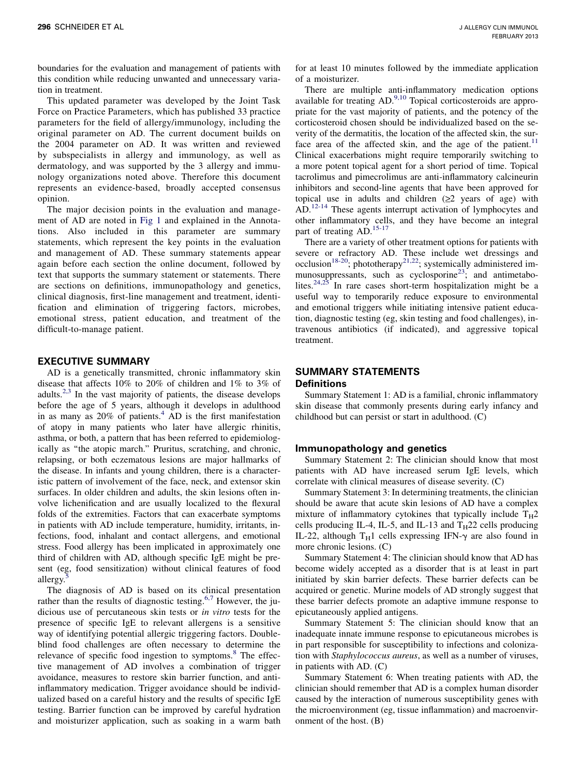boundaries for the evaluation and management of patients with this condition while reducing unwanted and unnecessary variation in treatment.

This updated parameter was developed by the Joint Task Force on Practice Parameters, which has published 33 practice parameters for the field of allergy/immunology, including the original parameter on AD. The current document builds on the 2004 parameter on AD. It was written and reviewed by subspecialists in allergy and immunology, as well as dermatology, and was supported by the 3 allergy and immunology organizations noted above. Therefore this document represents an evidence-based, broadly accepted consensus opinion.

The major decision points in the evaluation and management of AD are noted in [Fig 1](#page-2-0) and explained in the Annotations. Also included in this parameter are summary statements, which represent the key points in the evaluation and management of AD. These summary statements appear again before each section the online document, followed by text that supports the summary statement or statements. There are sections on definitions, immunopathology and genetics, clinical diagnosis, first-line management and treatment, identification and elimination of triggering factors, microbes, emotional stress, patient education, and treatment of the difficult-to-manage patient.

#### EXECUTIVE SUMMARY

AD is a genetically transmitted, chronic inflammatory skin disease that affects 10% to 20% of children and 1% to 3% of adults.<sup>[2,3](#page-23-0)</sup> In the vast majority of patients, the disease develops before the age of 5 years, although it develops in adulthood in as many as  $20\%$  of patients.<sup>[4](#page-23-0)</sup> AD is the first manifestation of atopy in many patients who later have allergic rhinitis, asthma, or both, a pattern that has been referred to epidemiologically as ''the atopic march.'' Pruritus, scratching, and chronic, relapsing, or both eczematous lesions are major hallmarks of the disease. In infants and young children, there is a characteristic pattern of involvement of the face, neck, and extensor skin surfaces. In older children and adults, the skin lesions often involve lichenification and are usually localized to the flexural folds of the extremities. Factors that can exacerbate symptoms in patients with AD include temperature, humidity, irritants, infections, food, inhalant and contact allergens, and emotional stress. Food allergy has been implicated in approximately one third of children with AD, although specific IgE might be present (eg, food sensitization) without clinical features of food allergy.

The diagnosis of AD is based on its clinical presentation rather than the results of diagnostic testing.<sup>[6,7](#page-23-0)</sup> However, the judicious use of percutaneous skin tests or in vitro tests for the presence of specific IgE to relevant allergens is a sensitive way of identifying potential allergic triggering factors. Doubleblind food challenges are often necessary to determine the relevance of specific food ingestion to symptoms.<sup>[8](#page-23-0)</sup> The effective management of AD involves a combination of trigger avoidance, measures to restore skin barrier function, and antiinflammatory medication. Trigger avoidance should be individualized based on a careful history and the results of specific IgE testing. Barrier function can be improved by careful hydration and moisturizer application, such as soaking in a warm bath

for at least 10 minutes followed by the immediate application of a moisturizer.

There are multiple anti-inflammatory medication options available for treating  $AD^{9,10}$  $AD^{9,10}$  $AD^{9,10}$  Topical corticosteroids are appropriate for the vast majority of patients, and the potency of the corticosteroid chosen should be individualized based on the severity of the dermatitis, the location of the affected skin, the sur-face area of the affected skin, and the age of the patient.<sup>[11](#page-23-0)</sup> Clinical exacerbations might require temporarily switching to a more potent topical agent for a short period of time. Topical tacrolimus and pimecrolimus are anti-inflammatory calcineurin inhibitors and second-line agents that have been approved for topical use in adults and children  $(\geq 2)$  years of age) with AD.<sup>[12-14](#page-23-0)</sup> These agents interrupt activation of lymphocytes and other inflammatory cells, and they have become an integral part of treating AD.<sup>[15-17](#page-23-0)</sup>

There are a variety of other treatment options for patients with severe or refractory AD. These include wet dressings and occlusion<sup>18-20</sup>; phototherapy<sup>21,22</sup>; systemically administered immunosuppressants, such as cyclosporine<sup>23</sup>; and antimetabo-lites.<sup>[24,25](#page-24-0)</sup> In rare cases short-term hospitalization might be a useful way to temporarily reduce exposure to environmental and emotional triggers while initiating intensive patient education, diagnostic testing (eg, skin testing and food challenges), intravenous antibiotics (if indicated), and aggressive topical treatment.

# SUMMARY STATEMENTS **Definitions**

Summary Statement 1: AD is a familial, chronic inflammatory skin disease that commonly presents during early infancy and childhood but can persist or start in adulthood. (C)

#### Immunopathology and genetics

Summary Statement 2: The clinician should know that most patients with AD have increased serum IgE levels, which correlate with clinical measures of disease severity. (C)

Summary Statement 3: In determining treatments, the clinician should be aware that acute skin lesions of AD have a complex mixture of inflammatory cytokines that typically include  $T_H2$ cells producing IL-4, IL-5, and IL-13 and  $T_H$ 22 cells producing IL-22, although  $T_H1$  cells expressing IFN- $\gamma$  are also found in more chronic lesions. (C)

Summary Statement 4: The clinician should know that AD has become widely accepted as a disorder that is at least in part initiated by skin barrier defects. These barrier defects can be acquired or genetic. Murine models of AD strongly suggest that these barrier defects promote an adaptive immune response to epicutaneously applied antigens.

Summary Statement 5: The clinician should know that an inadequate innate immune response to epicutaneous microbes is in part responsible for susceptibility to infections and colonization with Staphylococcus aureus, as well as a number of viruses, in patients with AD. (C)

Summary Statement 6: When treating patients with AD, the clinician should remember that AD is a complex human disorder caused by the interaction of numerous susceptibility genes with the microenvironment (eg, tissue inflammation) and macroenvironment of the host. (B)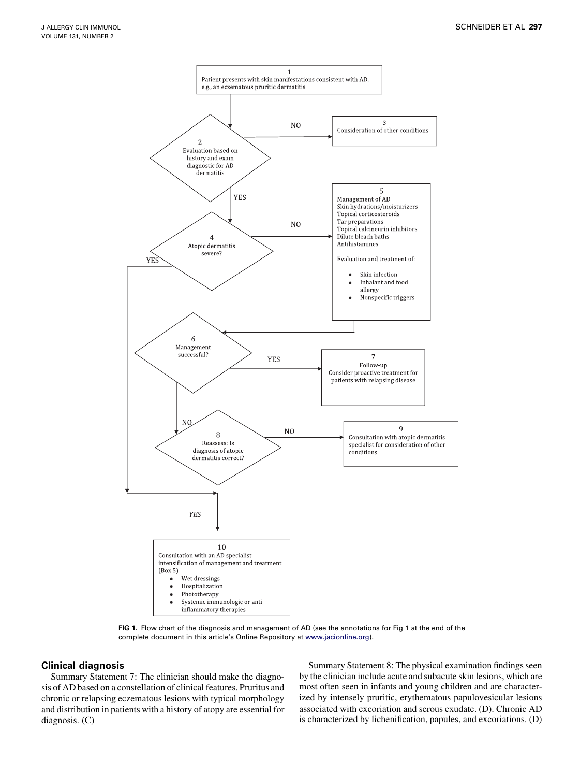<span id="page-2-0"></span>

FIG 1. Flow chart of the diagnosis and management of AD (see the annotations for Fig 1 at the end of the complete document in this article's Online Repository at [www.jacionline.org\)](http://www.jacionline.org).

#### Clinical diagnosis

Summary Statement 7: The clinician should make the diagnosis of AD based on a constellation of clinical features. Pruritus and chronic or relapsing eczematous lesions with typical morphology and distribution in patients with a history of atopy are essential for diagnosis. (C)

Summary Statement 8: The physical examination findings seen by the clinician include acute and subacute skin lesions, which are most often seen in infants and young children and are characterized by intensely pruritic, erythematous papulovesicular lesions associated with excoriation and serous exudate. (D). Chronic AD is characterized by lichenification, papules, and excoriations. (D)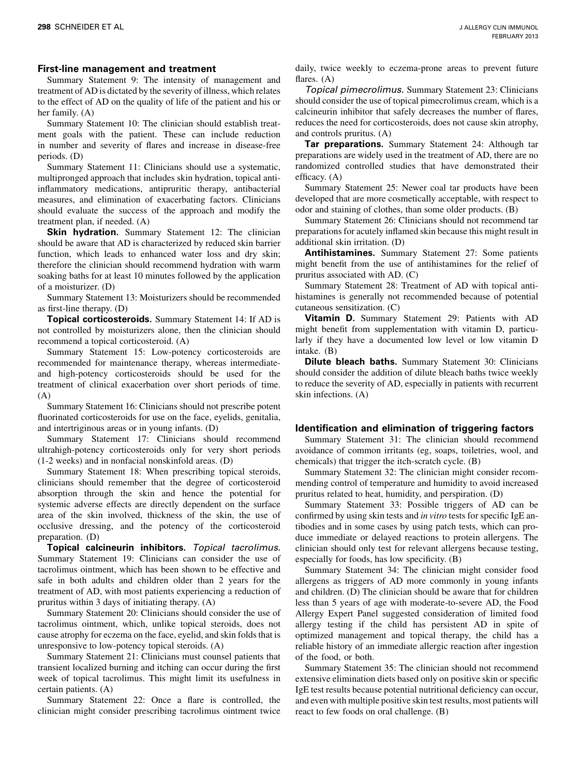#### First-line management and treatment

Summary Statement 9: The intensity of management and treatment of AD is dictated by the severity of illness, which relates to the effect of AD on the quality of life of the patient and his or her family. (A)

Summary Statement 10: The clinician should establish treatment goals with the patient. These can include reduction in number and severity of flares and increase in disease-free periods. (D)

Summary Statement 11: Clinicians should use a systematic, multipronged approach that includes skin hydration, topical antiinflammatory medications, antipruritic therapy, antibacterial measures, and elimination of exacerbating factors. Clinicians should evaluate the success of the approach and modify the treatment plan, if needed. (A)

**Skin hydration.** Summary Statement 12: The clinician should be aware that AD is characterized by reduced skin barrier function, which leads to enhanced water loss and dry skin; therefore the clinician should recommend hydration with warm soaking baths for at least 10 minutes followed by the application of a moisturizer. (D)

Summary Statement 13: Moisturizers should be recommended as first-line therapy. (D)

Topical corticosteroids. Summary Statement 14: If AD is not controlled by moisturizers alone, then the clinician should recommend a topical corticosteroid. (A)

Summary Statement 15: Low-potency corticosteroids are recommended for maintenance therapy, whereas intermediateand high-potency corticosteroids should be used for the treatment of clinical exacerbation over short periods of time. (A)

Summary Statement 16: Clinicians should not prescribe potent fluorinated corticosteroids for use on the face, eyelids, genitalia, and intertriginous areas or in young infants. (D)

Summary Statement 17: Clinicians should recommend ultrahigh-potency corticosteroids only for very short periods (1-2 weeks) and in nonfacial nonskinfold areas. (D)

Summary Statement 18: When prescribing topical steroids, clinicians should remember that the degree of corticosteroid absorption through the skin and hence the potential for systemic adverse effects are directly dependent on the surface area of the skin involved, thickness of the skin, the use of occlusive dressing, and the potency of the corticosteroid preparation. (D)

Topical calcineurin inhibitors. Topical tacrolimus. Summary Statement 19: Clinicians can consider the use of tacrolimus ointment, which has been shown to be effective and safe in both adults and children older than 2 years for the treatment of AD, with most patients experiencing a reduction of pruritus within 3 days of initiating therapy. (A)

Summary Statement 20: Clinicians should consider the use of tacrolimus ointment, which, unlike topical steroids, does not cause atrophy for eczema on the face, eyelid, and skin folds that is unresponsive to low-potency topical steroids. (A)

Summary Statement 21: Clinicians must counsel patients that transient localized burning and itching can occur during the first week of topical tacrolimus. This might limit its usefulness in certain patients. (A)

Summary Statement 22: Once a flare is controlled, the clinician might consider prescribing tacrolimus ointment twice

daily, twice weekly to eczema-prone areas to prevent future flares. (A)

Topical pimecrolimus. Summary Statement 23: Clinicians should consider the use of topical pimecrolimus cream, which is a calcineurin inhibitor that safely decreases the number of flares, reduces the need for corticosteroids, does not cause skin atrophy, and controls pruritus. (A)

Tar preparations. Summary Statement 24: Although tar preparations are widely used in the treatment of AD, there are no randomized controlled studies that have demonstrated their efficacy. (A)

Summary Statement 25: Newer coal tar products have been developed that are more cosmetically acceptable, with respect to odor and staining of clothes, than some older products. (B)

Summary Statement 26: Clinicians should not recommend tar preparations for acutely inflamed skin because this might result in additional skin irritation. (D)

Antihistamines. Summary Statement 27: Some patients might benefit from the use of antihistamines for the relief of pruritus associated with AD. (C)

Summary Statement 28: Treatment of AD with topical antihistamines is generally not recommended because of potential cutaneous sensitization. (C)

Vitamin D. Summary Statement 29: Patients with AD might benefit from supplementation with vitamin D, particularly if they have a documented low level or low vitamin D intake. (B)

Dilute bleach baths. Summary Statement 30: Clinicians should consider the addition of dilute bleach baths twice weekly to reduce the severity of AD, especially in patients with recurrent skin infections. (A)

#### Identification and elimination of triggering factors

Summary Statement 31: The clinician should recommend avoidance of common irritants (eg, soaps, toiletries, wool, and chemicals) that trigger the itch-scratch cycle. (B)

Summary Statement 32: The clinician might consider recommending control of temperature and humidity to avoid increased pruritus related to heat, humidity, and perspiration. (D)

Summary Statement 33: Possible triggers of AD can be confirmed by using skin tests and in vitro tests for specific IgE antibodies and in some cases by using patch tests, which can produce immediate or delayed reactions to protein allergens. The clinician should only test for relevant allergens because testing, especially for foods, has low specificity. (B)

Summary Statement 34: The clinician might consider food allergens as triggers of AD more commonly in young infants and children. (D) The clinician should be aware that for children less than 5 years of age with moderate-to-severe AD, the Food Allergy Expert Panel suggested consideration of limited food allergy testing if the child has persistent AD in spite of optimized management and topical therapy, the child has a reliable history of an immediate allergic reaction after ingestion of the food, or both.

Summary Statement 35: The clinician should not recommend extensive elimination diets based only on positive skin or specific IgE test results because potential nutritional deficiency can occur, and even with multiple positive skin test results, most patients will react to few foods on oral challenge. (B)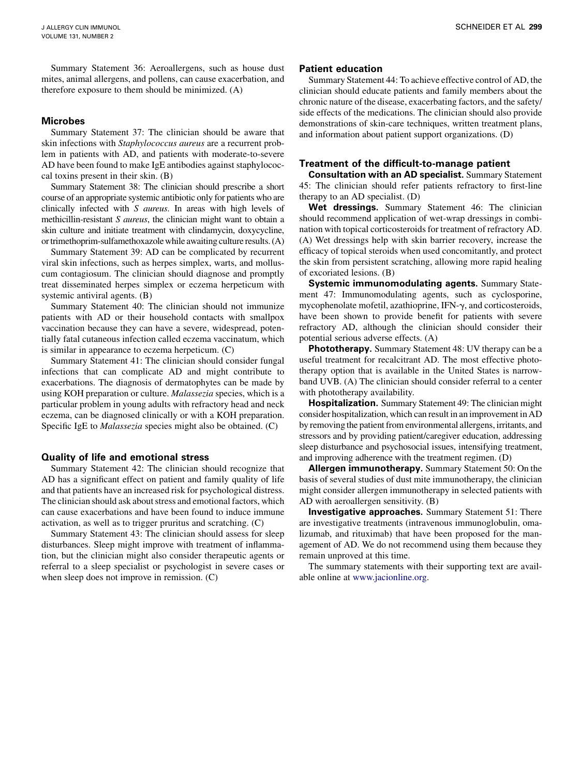Summary Statement 36: Aeroallergens, such as house dust mites, animal allergens, and pollens, can cause exacerbation, and therefore exposure to them should be minimized. (A)

#### Microbes

Summary Statement 37: The clinician should be aware that skin infections with Staphylococcus aureus are a recurrent problem in patients with AD, and patients with moderate-to-severe AD have been found to make IgE antibodies against staphylococcal toxins present in their skin. (B)

Summary Statement 38: The clinician should prescribe a short course of an appropriate systemic antibiotic only for patients who are clinically infected with S aureus. In areas with high levels of methicillin-resistant S aureus, the clinician might want to obtain a skin culture and initiate treatment with clindamycin, doxycycline, ortrimethoprim-sulfamethoxazolewhile awaiting culture results. (A)

Summary Statement 39: AD can be complicated by recurrent viral skin infections, such as herpes simplex, warts, and molluscum contagiosum. The clinician should diagnose and promptly treat disseminated herpes simplex or eczema herpeticum with systemic antiviral agents. (B)

Summary Statement 40: The clinician should not immunize patients with AD or their household contacts with smallpox vaccination because they can have a severe, widespread, potentially fatal cutaneous infection called eczema vaccinatum, which is similar in appearance to eczema herpeticum. (C)

Summary Statement 41: The clinician should consider fungal infections that can complicate AD and might contribute to exacerbations. The diagnosis of dermatophytes can be made by using KOH preparation or culture. Malassezia species, which is a particular problem in young adults with refractory head and neck eczema, can be diagnosed clinically or with a KOH preparation. Specific IgE to Malassezia species might also be obtained. (C)

#### Quality of life and emotional stress

Summary Statement 42: The clinician should recognize that AD has a significant effect on patient and family quality of life and that patients have an increased risk for psychological distress. The clinician should ask about stress and emotional factors, which can cause exacerbations and have been found to induce immune activation, as well as to trigger pruritus and scratching. (C)

Summary Statement 43: The clinician should assess for sleep disturbances. Sleep might improve with treatment of inflammation, but the clinician might also consider therapeutic agents or referral to a sleep specialist or psychologist in severe cases or when sleep does not improve in remission. (C)

#### Patient education

Summary Statement 44: To achieve effective control of AD, the clinician should educate patients and family members about the chronic nature of the disease, exacerbating factors, and the safety/ side effects of the medications. The clinician should also provide demonstrations of skin-care techniques, written treatment plans, and information about patient support organizations. (D)

# Treatment of the difficult-to-manage patient

Consultation with an AD specialist. Summary Statement 45: The clinician should refer patients refractory to first-line therapy to an AD specialist. (D)

Wet dressings. Summary Statement 46: The clinician should recommend application of wet-wrap dressings in combination with topical corticosteroids for treatment of refractory AD. (A) Wet dressings help with skin barrier recovery, increase the efficacy of topical steroids when used concomitantly, and protect the skin from persistent scratching, allowing more rapid healing of excoriated lesions. (B)

**Systemic immunomodulating agents.** Summary Statement 47: Immunomodulating agents, such as cyclosporine, mycophenolate mofetil, azathioprine, IFN- $\gamma$ , and corticosteroids, have been shown to provide benefit for patients with severe refractory AD, although the clinician should consider their potential serious adverse effects. (A)

**Phototherapy.** Summary Statement 48: UV therapy can be a useful treatment for recalcitrant AD. The most effective phototherapy option that is available in the United States is narrowband UVB. (A) The clinician should consider referral to a center with phototherapy availability.

**Hospitalization.** Summary Statement 49: The clinician might consider hospitalization, which can result in an improvement in AD by removing the patient from environmental allergens, irritants, and stressors and by providing patient/caregiver education, addressing sleep disturbance and psychosocial issues, intensifying treatment, and improving adherence with the treatment regimen. (D)

Allergen immunotherapy. Summary Statement 50: On the basis of several studies of dust mite immunotherapy, the clinician might consider allergen immunotherapy in selected patients with AD with aeroallergen sensitivity. (B)

Investigative approaches. Summary Statement 51: There are investigative treatments (intravenous immunoglobulin, omalizumab, and rituximab) that have been proposed for the management of AD. We do not recommend using them because they remain unproved at this time.

The summary statements with their supporting text are available online at [www.jacionline.org.](http://www.jacionline.org)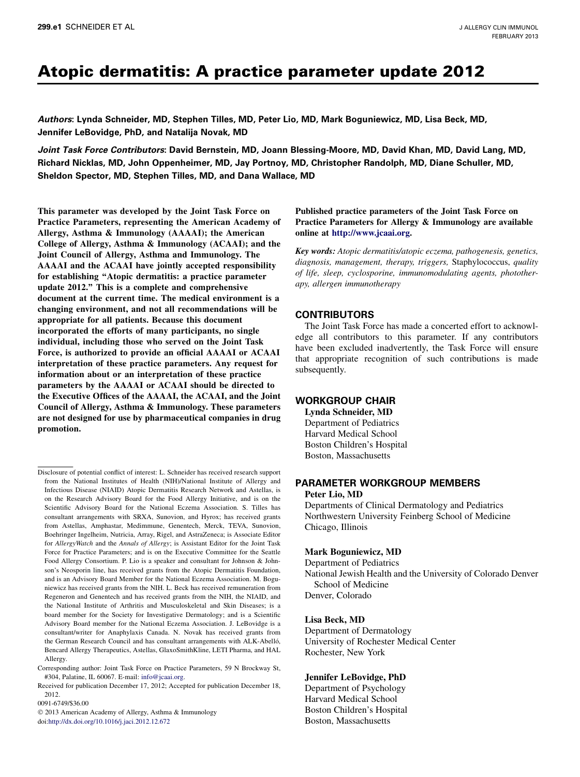# Atopic dermatitis: A practice parameter update 2012

Authors: Lynda Schneider, MD, Stephen Tilles, MD, Peter Lio, MD, Mark Boguniewicz, MD, Lisa Beck, MD, Jennifer LeBovidge, PhD, and Natalija Novak, MD

Joint Task Force Contributors: David Bernstein, MD, Joann Blessing-Moore, MD, David Khan, MD, David Lang, MD, Richard Nicklas, MD, John Oppenheimer, MD, Jay Portnoy, MD, Christopher Randolph, MD, Diane Schuller, MD, Sheldon Spector, MD, Stephen Tilles, MD, and Dana Wallace, MD

This parameter was developed by the Joint Task Force on Practice Parameters, representing the American Academy of Allergy, Asthma & Immunology (AAAAI); the American College of Allergy, Asthma & Immunology (ACAAI); and the Joint Council of Allergy, Asthma and Immunology. The AAAAI and the ACAAI have jointly accepted responsibility for establishing ''Atopic dermatitis: a practice parameter update 2012.'' This is a complete and comprehensive document at the current time. The medical environment is a changing environment, and not all recommendations will be appropriate for all patients. Because this document incorporated the efforts of many participants, no single individual, including those who served on the Joint Task Force, is authorized to provide an official AAAAI or ACAAI interpretation of these practice parameters. Any request for information about or an interpretation of these practice parameters by the AAAAI or ACAAI should be directed to the Executive Offices of the AAAAI, the ACAAI, and the Joint Council of Allergy, Asthma & Immunology. These parameters are not designed for use by pharmaceutical companies in drug promotion.

0091-6749/\$36.00

2013 American Academy of Allergy, Asthma & Immunology

doi:<http://dx.doi.org/10.1016/j.jaci.2012.12.672>

Published practice parameters of the Joint Task Force on Practice Parameters for Allergy & Immunology are available online at [http://www.jcaai.org.](http://www.jcaai.org)

Key words: Atopic dermatitis/atopic eczema, pathogenesis, genetics, diagnosis, management, therapy, triggers, Staphylococcus, quality of life, sleep, cyclosporine, immunomodulating agents, phototherapy, allergen immunotherapy

### **CONTRIBUTORS**

The Joint Task Force has made a concerted effort to acknowledge all contributors to this parameter. If any contributors have been excluded inadvertently, the Task Force will ensure that appropriate recognition of such contributions is made subsequently.

#### WORKGROUP CHAIR

Lynda Schneider, MD Department of Pediatrics Harvard Medical School Boston Children's Hospital Boston, Massachusetts

# PARAMETER WORKGROUP MEMBERS

#### Peter Lio, MD

Departments of Clinical Dermatology and Pediatrics Northwestern University Feinberg School of Medicine Chicago, Illinois

## Mark Boguniewicz, MD

Department of Pediatrics National Jewish Health and the University of Colorado Denver School of Medicine Denver, Colorado

#### Lisa Beck, MD

Department of Dermatology University of Rochester Medical Center Rochester, New York

## Jennifer LeBovidge, PhD

Department of Psychology Harvard Medical School Boston Children's Hospital Boston, Massachusetts

Disclosure of potential conflict of interest: L. Schneider has received research support from the National Institutes of Health (NIH)/National Institute of Allergy and Infectious Disease (NIAID) Atopic Dermatitis Research Network and Astellas, is on the Research Advisory Board for the Food Allergy Initiative, and is on the Scientific Advisory Board for the National Eczema Association. S. Tilles has consultant arrangements with SRXA, Sunovion, and Hyrox; has received grants from Astellas, Amphastar, Medimmune, Genentech, Merck, TEVA, Sunovion, Boehringer Ingelheim, Nutricia, Array, Rigel, and AstraZeneca; is Associate Editor for AllergyWatch and the Annals of Allergy; is Assistant Editor for the Joint Task Force for Practice Parameters; and is on the Executive Committee for the Seattle Food Allergy Consortium. P. Lio is a speaker and consultant for Johnson & Johnson's Neosporin line, has received grants from the Atopic Dermatitis Foundation, and is an Advisory Board Member for the National Eczema Association. M. Boguniewicz has received grants from the NIH. L. Beck has received remuneration from Regeneron and Genentech and has received grants from the NIH, the NIAID, and the National Institute of Arthritis and Musculoskeletal and Skin Diseases; is a board member for the Society for Investigative Dermatology; and is a Scientific Advisory Board member for the National Eczema Association. J. LeBovidge is a consultant/writer for Anaphylaxis Canada. N. Novak has received grants from the German Research Council and has consultant arrangements with ALK-Abello, Bencard Allergy Therapeutics, Astellas, GlaxoSmithKline, LETI Pharma, and HAL Allergy.

Corresponding author: Joint Task Force on Practice Parameters, 59 N Brockway St, #304, Palatine, IL 60067. E-mail: [info@jcaai.org](mailto:info@jcaai.org).

Received for publication December 17, 2012; Accepted for publication December 18, 2012.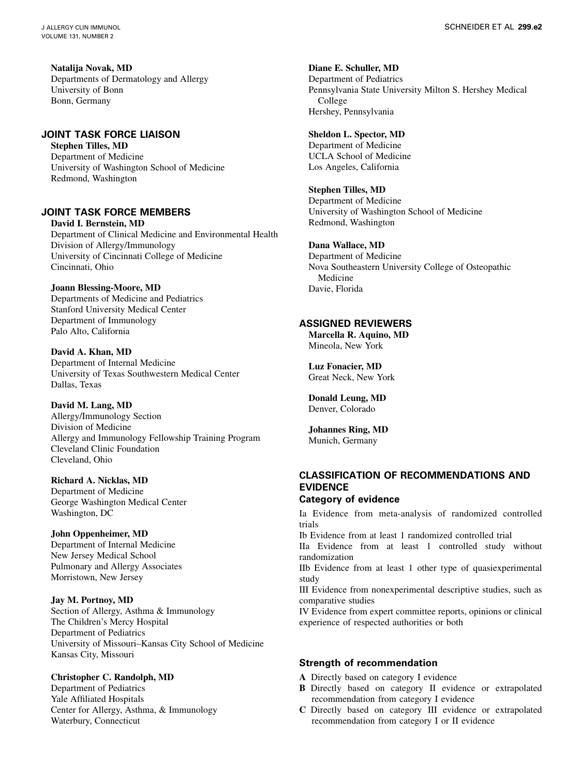Natalija Novak, MD Departments of Dermatology and Allergy University of Bonn Bonn, Germany

# JOINT TASK FORCE LIAISON

Stephen Tilles, MD Department of Medicine University of Washington School of Medicine Redmond, Washington

# JOINT TASK FORCE MEMBERS

David I. Bernstein, MD Department of Clinical Medicine and Environmental Health Division of Allergy/Immunology University of Cincinnati College of Medicine Cincinnati, Ohio

Joann Blessing-Moore, MD Departments of Medicine and Pediatrics Stanford University Medical Center Department of Immunology Palo Alto, California

David A. Khan, MD Department of Internal Medicine University of Texas Southwestern Medical Center Dallas, Texas

# David M. Lang, MD

Allergy/Immunology Section Division of Medicine Allergy and Immunology Fellowship Training Program Cleveland Clinic Foundation Cleveland, Ohio

## Richard A. Nicklas, MD

Department of Medicine George Washington Medical Center Washington, DC

# John Oppenheimer, MD

Department of Internal Medicine New Jersey Medical School Pulmonary and Allergy Associates Morristown, New Jersey

# Jay M. Portnoy, MD

Section of Allergy, Asthma & Immunology The Children's Mercy Hospital Department of Pediatrics University of Missouri–Kansas City School of Medicine Kansas City, Missouri

# Christopher C. Randolph, MD

Department of Pediatrics Yale Affiliated Hospitals Center for Allergy, Asthma, & Immunology Waterbury, Connecticut

Diane E. Schuller, MD Department of Pediatrics Pennsylvania State University Milton S. Hershey Medical College Hershey, Pennsylvania

## Sheldon L. Spector, MD

Department of Medicine UCLA School of Medicine Los Angeles, California

Stephen Tilles, MD Department of Medicine University of Washington School of Medicine Redmond, Washington

# Dana Wallace, MD

Department of Medicine Nova Southeastern University College of Osteopathic Medicine Davie, Florida

# ASSIGNED REVIEWERS

Marcella R. Aquino, MD Mineola, New York

Luz Fonacier, MD Great Neck, New York

Donald Leung, MD Denver, Colorado

Johannes Ring, MD Munich, Germany

# CLASSIFICATION OF RECOMMENDATIONS AND EVIDENCE

# Category of evidence

Ia Evidence from meta-analysis of randomized controlled trials

Ib Evidence from at least 1 randomized controlled trial

IIa Evidence from at least 1 controlled study without randomization

IIb Evidence from at least 1 other type of quasiexperimental study

III Evidence from nonexperimental descriptive studies, such as comparative studies

IV Evidence from expert committee reports, opinions or clinical experience of respected authorities or both

# Strength of recommendation

- A Directly based on category I evidence
- B Directly based on category II evidence or extrapolated recommendation from category I evidence
- C Directly based on category III evidence or extrapolated recommendation from category I or II evidence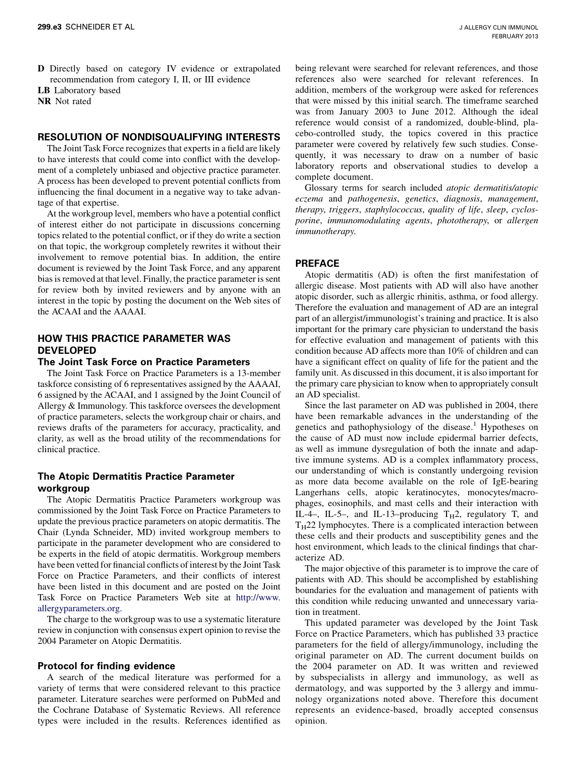D Directly based on category IV evidence or extrapolated recommendation from category I, II, or III evidence

LB Laboratory based

NR Not rated

## RESOLUTION OF NONDISQUALIFYING INTERESTS

The Joint Task Force recognizes that experts in a field are likely to have interests that could come into conflict with the development of a completely unbiased and objective practice parameter. A process has been developed to prevent potential conflicts from influencing the final document in a negative way to take advantage of that expertise.

At the workgroup level, members who have a potential conflict of interest either do not participate in discussions concerning topics related to the potential conflict, or if they do write a section on that topic, the workgroup completely rewrites it without their involvement to remove potential bias. In addition, the entire document is reviewed by the Joint Task Force, and any apparent bias is removed at that level. Finally, the practice parameter is sent for review both by invited reviewers and by anyone with an interest in the topic by posting the document on the Web sites of the ACAAI and the AAAAI.

# HOW THIS PRACTICE PARAMETER WAS DEVELOPED

#### The Joint Task Force on Practice Parameters

The Joint Task Force on Practice Parameters is a 13-member taskforce consisting of 6 representatives assigned by the AAAAI, 6 assigned by the ACAAI, and 1 assigned by the Joint Council of Allergy & Immunology. This taskforce oversees the development of practice parameters, selects the workgroup chair or chairs, and reviews drafts of the parameters for accuracy, practicality, and clarity, as well as the broad utility of the recommendations for clinical practice.

# The Atopic Dermatitis Practice Parameter workgroup

The Atopic Dermatitis Practice Parameters workgroup was commissioned by the Joint Task Force on Practice Parameters to update the previous practice parameters on atopic dermatitis. The Chair (Lynda Schneider, MD) invited workgroup members to participate in the parameter development who are considered to be experts in the field of atopic dermatitis. Workgroup members have been vetted for financial conflicts of interest by the Joint Task Force on Practice Parameters, and their conflicts of interest have been listed in this document and are posted on the Joint Task Force on Practice Parameters Web site at [http://www.](http://www.allergyparameters.org) [allergyparameters.org.](http://www.allergyparameters.org)

The charge to the workgroup was to use a systematic literature review in conjunction with consensus expert opinion to revise the 2004 Parameter on Atopic Dermatitis.

#### Protocol for finding evidence

A search of the medical literature was performed for a variety of terms that were considered relevant to this practice parameter. Literature searches were performed on PubMed and the Cochrane Database of Systematic Reviews. All reference types were included in the results. References identified as

being relevant were searched for relevant references, and those references also were searched for relevant references. In addition, members of the workgroup were asked for references that were missed by this initial search. The timeframe searched was from January 2003 to June 2012. Although the ideal reference would consist of a randomized, double-blind, placebo-controlled study, the topics covered in this practice parameter were covered by relatively few such studies. Consequently, it was necessary to draw on a number of basic laboratory reports and observational studies to develop a complete document.

Glossary terms for search included atopic dermatitis/atopic eczema and pathogenesis, genetics, diagnosis, management, therapy, triggers, staphylococcus, quality of life, sleep, cyclosporine, immunomodulating agents, phototherapy, or allergen immunotherapy.

#### PREFACE

Atopic dermatitis (AD) is often the first manifestation of allergic disease. Most patients with AD will also have another atopic disorder, such as allergic rhinitis, asthma, or food allergy. Therefore the evaluation and management of AD are an integral part of an allergist/immunologist's training and practice. It is also important for the primary care physician to understand the basis for effective evaluation and management of patients with this condition because AD affects more than 10% of children and can have a significant effect on quality of life for the patient and the family unit. As discussed in this document, it is also important for the primary care physician to know when to appropriately consult an AD specialist.

Since the last parameter on AD was published in 2004, there have been remarkable advances in the understanding of the genetics and pathophysiology of the disease.<sup>[1](#page-23-0)</sup> Hypotheses on the cause of AD must now include epidermal barrier defects, as well as immune dysregulation of both the innate and adaptive immune systems. AD is a complex inflammatory process, our understanding of which is constantly undergoing revision as more data become available on the role of IgE-bearing Langerhans cells, atopic keratinocytes, monocytes/macrophages, eosinophils, and mast cells and their interaction with IL-4–, IL-5–, and IL-13–producing  $T_H2$ , regulatory T, and  $T_H$ 22 lymphocytes. There is a complicated interaction between these cells and their products and susceptibility genes and the host environment, which leads to the clinical findings that characterize AD.

The major objective of this parameter is to improve the care of patients with AD. This should be accomplished by establishing boundaries for the evaluation and management of patients with this condition while reducing unwanted and unnecessary variation in treatment.

This updated parameter was developed by the Joint Task Force on Practice Parameters, which has published 33 practice parameters for the field of allergy/immunology, including the original parameter on AD. The current document builds on the 2004 parameter on AD. It was written and reviewed by subspecialists in allergy and immunology, as well as dermatology, and was supported by the 3 allergy and immunology organizations noted above. Therefore this document represents an evidence-based, broadly accepted consensus opinion.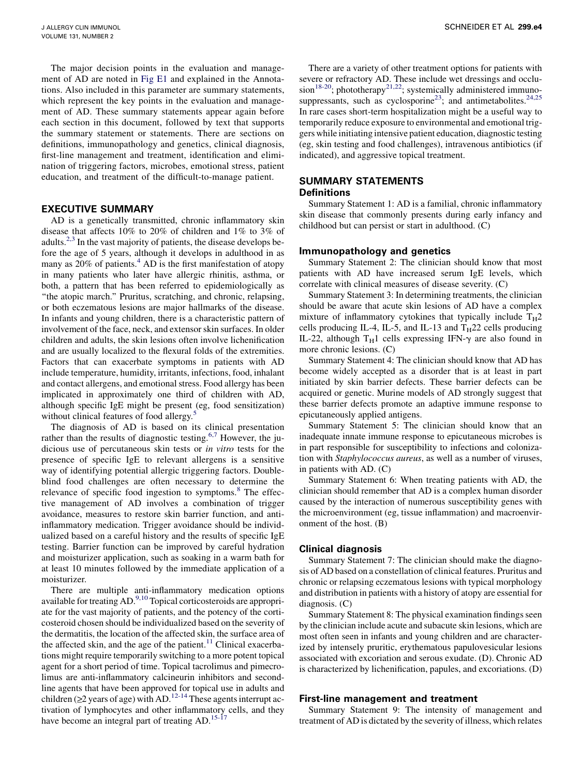The major decision points in the evaluation and management of AD are noted in [Fig E1](#page-29-0) and explained in the Annotations. Also included in this parameter are summary statements, which represent the key points in the evaluation and management of AD. These summary statements appear again before each section in this document, followed by text that supports the summary statement or statements. There are sections on definitions, immunopathology and genetics, clinical diagnosis, first-line management and treatment, identification and elimination of triggering factors, microbes, emotional stress, patient education, and treatment of the difficult-to-manage patient.

#### EXECUTIVE SUMMARY

AD is a genetically transmitted, chronic inflammatory skin disease that affects 10% to 20% of children and 1% to 3% of adults.<sup>[2,3](#page-23-0)</sup> In the vast majority of patients, the disease develops before the age of 5 years, although it develops in adulthood in as many as  $20\%$  of patients.<sup>[4](#page-23-0)</sup> AD is the first manifestation of atopy in many patients who later have allergic rhinitis, asthma, or both, a pattern that has been referred to epidemiologically as "the atopic march." Pruritus, scratching, and chronic, relapsing, or both eczematous lesions are major hallmarks of the disease. In infants and young children, there is a characteristic pattern of involvement of the face, neck, and extensor skin surfaces. In older children and adults, the skin lesions often involve lichenification and are usually localized to the flexural folds of the extremities. Factors that can exacerbate symptoms in patients with AD include temperature, humidity, irritants, infections, food, inhalant and contact allergens, and emotional stress. Food allergy has been implicated in approximately one third of children with AD, although specific IgE might be present (eg, food sensitization) without clinical features of food allergy.<sup>[5](#page-23-0)</sup>

The diagnosis of AD is based on its clinical presentation rather than the results of diagnostic testing.<sup>[6,7](#page-23-0)</sup> However, the judicious use of percutaneous skin tests or in vitro tests for the presence of specific IgE to relevant allergens is a sensitive way of identifying potential allergic triggering factors. Doubleblind food challenges are often necessary to determine the relevance of specific food ingestion to symptoms.<sup>[8](#page-23-0)</sup> The effective management of AD involves a combination of trigger avoidance, measures to restore skin barrier function, and antiinflammatory medication. Trigger avoidance should be individualized based on a careful history and the results of specific IgE testing. Barrier function can be improved by careful hydration and moisturizer application, such as soaking in a warm bath for at least 10 minutes followed by the immediate application of a moisturizer.

There are multiple anti-inflammatory medication options available for treating AD.[9,10](#page-23-0) Topical corticosteroids are appropriate for the vast majority of patients, and the potency of the corticosteroid chosen should be individualized based on the severity of the dermatitis, the location of the affected skin, the surface area of the affected skin, and the age of the patient.<sup>[11](#page-23-0)</sup> Clinical exacerbations might require temporarily switching to a more potent topical agent for a short period of time. Topical tacrolimus and pimecrolimus are anti-inflammatory calcineurin inhibitors and secondline agents that have been approved for topical use in adults and children ( $\geq$ 2 years of age) with AD.<sup>[12-14](#page-23-0)</sup> These agents interrupt activation of lymphocytes and other inflammatory cells, and they have become an integral part of treating AD.<sup>[15-17](#page-23-0)</sup>

There are a variety of other treatment options for patients with severe or refractory AD. These include wet dressings and occlu $sion$ <sup>[18-20](#page-23-0)</sup>; phototherapy<sup>21,22</sup>; systemically administered immuno-suppressants, such as cyclosporine<sup>23</sup>; and antimetabolites.<sup>[24,25](#page-24-0)</sup> In rare cases short-term hospitalization might be a useful way to temporarily reduce exposure to environmental and emotional triggers while initiating intensive patient education, diagnostic testing (eg, skin testing and food challenges), intravenous antibiotics (if indicated), and aggressive topical treatment.

# SUMMARY STATEMENTS

#### **Definitions**

Summary Statement 1: AD is a familial, chronic inflammatory skin disease that commonly presents during early infancy and childhood but can persist or start in adulthood. (C)

#### Immunopathology and genetics

Summary Statement 2: The clinician should know that most patients with AD have increased serum IgE levels, which correlate with clinical measures of disease severity. (C)

Summary Statement 3: In determining treatments, the clinician should be aware that acute skin lesions of AD have a complex mixture of inflammatory cytokines that typically include  $T_H2$ cells producing IL-4, IL-5, and IL-13 and  $T_H$ 22 cells producing IL-22, although  $T_H1$  cells expressing IFN- $\gamma$  are also found in more chronic lesions. (C)

Summary Statement 4: The clinician should know that AD has become widely accepted as a disorder that is at least in part initiated by skin barrier defects. These barrier defects can be acquired or genetic. Murine models of AD strongly suggest that these barrier defects promote an adaptive immune response to epicutaneously applied antigens.

Summary Statement 5: The clinician should know that an inadequate innate immune response to epicutaneous microbes is in part responsible for susceptibility to infections and colonization with Staphylococcus aureus, as well as a number of viruses, in patients with AD. (C)

Summary Statement 6: When treating patients with AD, the clinician should remember that AD is a complex human disorder caused by the interaction of numerous susceptibility genes with the microenvironment (eg, tissue inflammation) and macroenvironment of the host. (B)

## Clinical diagnosis

Summary Statement 7: The clinician should make the diagnosis of AD based on a constellation of clinical features. Pruritus and chronic or relapsing eczematous lesions with typical morphology and distribution in patients with a history of atopy are essential for diagnosis. (C)

Summary Statement 8: The physical examination findings seen by the clinician include acute and subacute skin lesions, which are most often seen in infants and young children and are characterized by intensely pruritic, erythematous papulovesicular lesions associated with excoriation and serous exudate. (D). Chronic AD is characterized by lichenification, papules, and excoriations. (D)

#### First-line management and treatment

Summary Statement 9: The intensity of management and treatment of AD is dictated by the severity of illness, which relates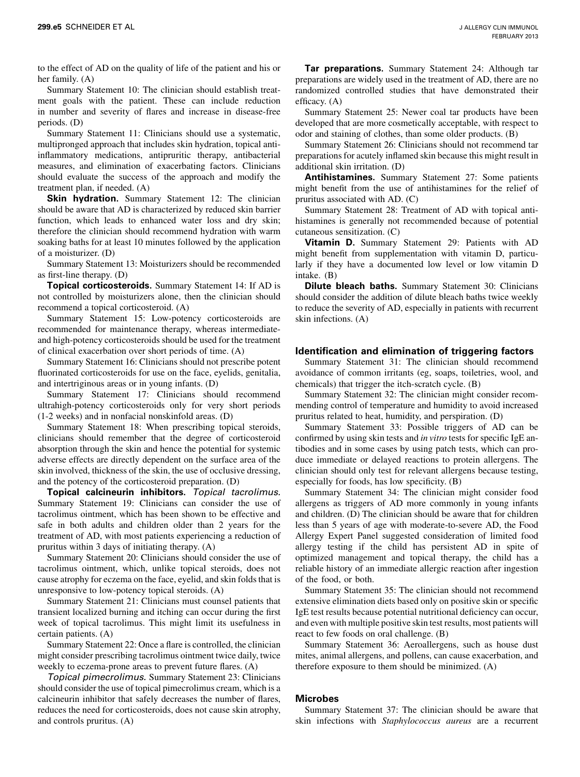to the effect of AD on the quality of life of the patient and his or her family. (A)

Summary Statement 10: The clinician should establish treatment goals with the patient. These can include reduction in number and severity of flares and increase in disease-free periods. (D)

Summary Statement 11: Clinicians should use a systematic, multipronged approach that includes skin hydration, topical antiinflammatory medications, antipruritic therapy, antibacterial measures, and elimination of exacerbating factors. Clinicians should evaluate the success of the approach and modify the treatment plan, if needed. (A)

**Skin hydration.** Summary Statement 12: The clinician should be aware that AD is characterized by reduced skin barrier function, which leads to enhanced water loss and dry skin; therefore the clinician should recommend hydration with warm soaking baths for at least 10 minutes followed by the application of a moisturizer. (D)

Summary Statement 13: Moisturizers should be recommended as first-line therapy. (D)

Topical corticosteroids. Summary Statement 14: If AD is not controlled by moisturizers alone, then the clinician should recommend a topical corticosteroid. (A)

Summary Statement 15: Low-potency corticosteroids are recommended for maintenance therapy, whereas intermediateand high-potency corticosteroids should be used for the treatment of clinical exacerbation over short periods of time. (A)

Summary Statement 16: Clinicians should not prescribe potent fluorinated corticosteroids for use on the face, eyelids, genitalia, and intertriginous areas or in young infants. (D)

Summary Statement 17: Clinicians should recommend ultrahigh-potency corticosteroids only for very short periods (1-2 weeks) and in nonfacial nonskinfold areas. (D)

Summary Statement 18: When prescribing topical steroids, clinicians should remember that the degree of corticosteroid absorption through the skin and hence the potential for systemic adverse effects are directly dependent on the surface area of the skin involved, thickness of the skin, the use of occlusive dressing, and the potency of the corticosteroid preparation. (D)

Topical calcineurin inhibitors. Topical tacrolimus. Summary Statement 19: Clinicians can consider the use of tacrolimus ointment, which has been shown to be effective and safe in both adults and children older than 2 years for the treatment of AD, with most patients experiencing a reduction of pruritus within 3 days of initiating therapy. (A)

Summary Statement 20: Clinicians should consider the use of tacrolimus ointment, which, unlike topical steroids, does not cause atrophy for eczema on the face, eyelid, and skin folds that is unresponsive to low-potency topical steroids. (A)

Summary Statement 21: Clinicians must counsel patients that transient localized burning and itching can occur during the first week of topical tacrolimus. This might limit its usefulness in certain patients. (A)

Summary Statement 22: Once a flare is controlled, the clinician might consider prescribing tacrolimus ointment twice daily, twice weekly to eczema-prone areas to prevent future flares. (A)

Topical pimecrolimus. Summary Statement 23: Clinicians should consider the use of topical pimecrolimus cream, which is a calcineurin inhibitor that safely decreases the number of flares, reduces the need for corticosteroids, does not cause skin atrophy, and controls pruritus. (A)

Tar preparations. Summary Statement 24: Although tar preparations are widely used in the treatment of AD, there are no randomized controlled studies that have demonstrated their efficacy. (A)

Summary Statement 25: Newer coal tar products have been developed that are more cosmetically acceptable, with respect to odor and staining of clothes, than some older products. (B)

Summary Statement 26: Clinicians should not recommend tar preparations for acutely inflamed skin because this might result in additional skin irritation. (D)

Antihistamines. Summary Statement 27: Some patients might benefit from the use of antihistamines for the relief of pruritus associated with AD. (C)

Summary Statement 28: Treatment of AD with topical antihistamines is generally not recommended because of potential cutaneous sensitization. (C)

Vitamin D. Summary Statement 29: Patients with AD might benefit from supplementation with vitamin D, particularly if they have a documented low level or low vitamin D intake. (B)

Dilute bleach baths. Summary Statement 30: Clinicians should consider the addition of dilute bleach baths twice weekly to reduce the severity of AD, especially in patients with recurrent skin infections. (A)

#### Identification and elimination of triggering factors

Summary Statement 31: The clinician should recommend avoidance of common irritants (eg, soaps, toiletries, wool, and chemicals) that trigger the itch-scratch cycle. (B)

Summary Statement 32: The clinician might consider recommending control of temperature and humidity to avoid increased pruritus related to heat, humidity, and perspiration. (D)

Summary Statement 33: Possible triggers of AD can be confirmed by using skin tests and in vitro tests for specific IgE antibodies and in some cases by using patch tests, which can produce immediate or delayed reactions to protein allergens. The clinician should only test for relevant allergens because testing, especially for foods, has low specificity. (B)

Summary Statement 34: The clinician might consider food allergens as triggers of AD more commonly in young infants and children. (D) The clinician should be aware that for children less than 5 years of age with moderate-to-severe AD, the Food Allergy Expert Panel suggested consideration of limited food allergy testing if the child has persistent AD in spite of optimized management and topical therapy, the child has a reliable history of an immediate allergic reaction after ingestion of the food, or both.

Summary Statement 35: The clinician should not recommend extensive elimination diets based only on positive skin or specific IgE test results because potential nutritional deficiency can occur, and even with multiple positive skin test results, most patients will react to few foods on oral challenge. (B)

Summary Statement 36: Aeroallergens, such as house dust mites, animal allergens, and pollens, can cause exacerbation, and therefore exposure to them should be minimized. (A)

#### Microbes

Summary Statement 37: The clinician should be aware that skin infections with Staphylococcus aureus are a recurrent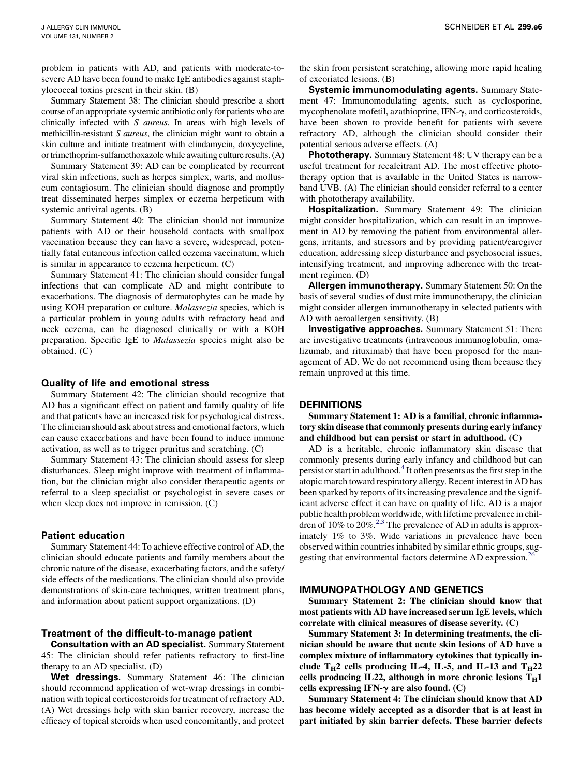problem in patients with AD, and patients with moderate-tosevere AD have been found to make IgE antibodies against staphylococcal toxins present in their skin. (B)

Summary Statement 38: The clinician should prescribe a short course of an appropriate systemic antibiotic only for patients who are clinically infected with S aureus. In areas with high levels of methicillin-resistant S aureus, the clinician might want to obtain a skin culture and initiate treatment with clindamycin, doxycycline, ortrimethoprim-sulfamethoxazolewhile awaiting culture results. (A)

Summary Statement 39: AD can be complicated by recurrent viral skin infections, such as herpes simplex, warts, and molluscum contagiosum. The clinician should diagnose and promptly treat disseminated herpes simplex or eczema herpeticum with systemic antiviral agents. (B)

Summary Statement 40: The clinician should not immunize patients with AD or their household contacts with smallpox vaccination because they can have a severe, widespread, potentially fatal cutaneous infection called eczema vaccinatum, which is similar in appearance to eczema herpeticum. (C)

Summary Statement 41: The clinician should consider fungal infections that can complicate AD and might contribute to exacerbations. The diagnosis of dermatophytes can be made by using KOH preparation or culture. Malassezia species, which is a particular problem in young adults with refractory head and neck eczema, can be diagnosed clinically or with a KOH preparation. Specific IgE to Malassezia species might also be obtained. (C)

#### Quality of life and emotional stress

Summary Statement 42: The clinician should recognize that AD has a significant effect on patient and family quality of life and that patients have an increased risk for psychological distress. The clinician should ask about stress and emotional factors, which can cause exacerbations and have been found to induce immune activation, as well as to trigger pruritus and scratching. (C)

Summary Statement 43: The clinician should assess for sleep disturbances. Sleep might improve with treatment of inflammation, but the clinician might also consider therapeutic agents or referral to a sleep specialist or psychologist in severe cases or when sleep does not improve in remission. (C)

#### Patient education

Summary Statement 44: To achieve effective control of AD, the clinician should educate patients and family members about the chronic nature of the disease, exacerbating factors, and the safety/ side effects of the medications. The clinician should also provide demonstrations of skin-care techniques, written treatment plans, and information about patient support organizations. (D)

## Treatment of the difficult-to-manage patient

Consultation with an AD specialist. Summary Statement 45: The clinician should refer patients refractory to first-line therapy to an AD specialist. (D)

Wet dressings. Summary Statement 46: The clinician should recommend application of wet-wrap dressings in combination with topical corticosteroids for treatment of refractory AD. (A) Wet dressings help with skin barrier recovery, increase the efficacy of topical steroids when used concomitantly, and protect the skin from persistent scratching, allowing more rapid healing of excoriated lesions. (B)

Systemic immunomodulating agents. Summary Statement 47: Immunomodulating agents, such as cyclosporine, mycophenolate mofetil, azathioprine, IFN- $\gamma$ , and corticosteroids, have been shown to provide benefit for patients with severe refractory AD, although the clinician should consider their potential serious adverse effects. (A)

Phototherapy. Summary Statement 48: UV therapy can be a useful treatment for recalcitrant AD. The most effective phototherapy option that is available in the United States is narrowband UVB. (A) The clinician should consider referral to a center with phototherapy availability.

Hospitalization. Summary Statement 49: The clinician might consider hospitalization, which can result in an improvement in AD by removing the patient from environmental allergens, irritants, and stressors and by providing patient/caregiver education, addressing sleep disturbance and psychosocial issues, intensifying treatment, and improving adherence with the treatment regimen. (D)

Allergen immunotherapy. Summary Statement 50: On the basis of several studies of dust mite immunotherapy, the clinician might consider allergen immunotherapy in selected patients with AD with aeroallergen sensitivity. (B)

Investigative approaches. Summary Statement 51: There are investigative treatments (intravenous immunoglobulin, omalizumab, and rituximab) that have been proposed for the management of AD. We do not recommend using them because they remain unproved at this time.

#### DEFINITIONS

Summary Statement 1: AD is a familial, chronic inflammatory skin disease that commonly presents during early infancy and childhood but can persist or start in adulthood. (C)

AD is a heritable, chronic inflammatory skin disease that commonly presents during early infancy and childhood but can persist or start in adulthood.<sup>[4](#page-23-0)</sup> It often presents as the first step in the atopic march toward respiratory allergy. Recent interest in AD has been sparked by reports of its increasing prevalence and the significant adverse effect it can have on quality of life. AD is a major public health problem worldwide, with lifetime prevalence in children of  $10\%$  to  $20\%$ .<sup>[2,3](#page-23-0)</sup> The prevalence of AD in adults is approximately 1% to 3%. Wide variations in prevalence have been observed within countries inhabited by similar ethnic groups, sug-gesting that environmental factors determine AD expression.<sup>[26](#page-24-0)</sup>

#### IMMUNOPATHOLOGY AND GENETICS

Summary Statement 2: The clinician should know that most patients with AD have increased serum IgE levels, which correlate with clinical measures of disease severity. (C)

Summary Statement 3: In determining treatments, the clinician should be aware that acute skin lesions of AD have a complex mixture of inflammatory cytokines that typically include  $T_H2$  cells producing IL-4, IL-5, and IL-13 and  $T_H22$ cells producing IL22, although in more chronic lesions  $T_H1$ cells expressing IFN- $\gamma$  are also found. (C)

Summary Statement 4: The clinician should know that AD has become widely accepted as a disorder that is at least in part initiated by skin barrier defects. These barrier defects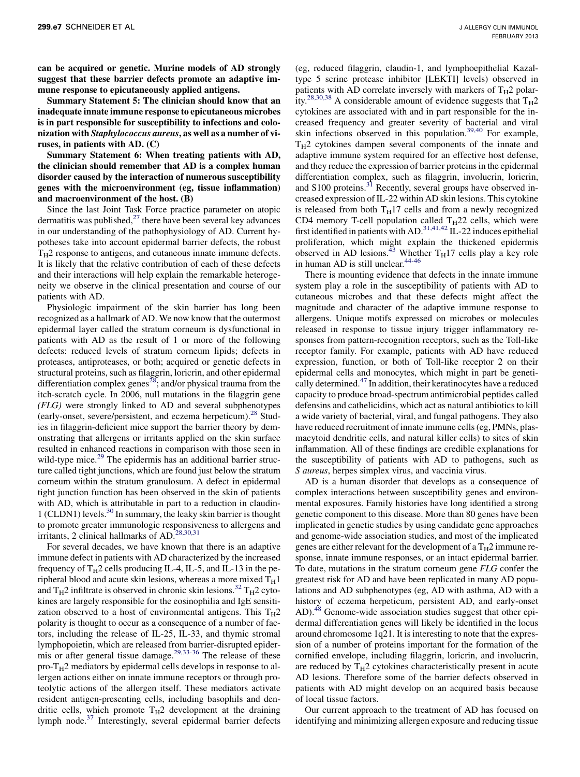can be acquired or genetic. Murine models of AD strongly suggest that these barrier defects promote an adaptive immune response to epicutaneously applied antigens.

Summary Statement 5: The clinician should know that an inadequate innate immune response to epicutaneous microbes is in part responsible for susceptibility to infections and colonization with Staphylococcus aureus, as well as a number of viruses, in patients with AD. (C)

Summary Statement 6: When treating patients with AD, the clinician should remember that AD is a complex human disorder caused by the interaction of numerous susceptibility genes with the microenvironment (eg, tissue inflammation) and macroenvironment of the host. (B)

Since the last Joint Task Force practice parameter on atopic dermatitis was published, $2<sup>7</sup>$  there have been several key advances in our understanding of the pathophysiology of AD. Current hypotheses take into account epidermal barrier defects, the robust  $T_H2$  response to antigens, and cutaneous innate immune defects. It is likely that the relative contribution of each of these defects and their interactions will help explain the remarkable heterogeneity we observe in the clinical presentation and course of our patients with AD.

Physiologic impairment of the skin barrier has long been recognized as a hallmark of AD. We now know that the outermost epidermal layer called the stratum corneum is dysfunctional in patients with AD as the result of 1 or more of the following defects: reduced levels of stratum corneum lipids; defects in proteases, antiproteases, or both; acquired or genetic defects in structural proteins, such as filaggrin, loricrin, and other epidermal differentiation complex genes<sup>28</sup>; and/or physical trauma from the itch-scratch cycle. In 2006, null mutations in the filaggrin gene (FLG) were strongly linked to AD and several subphenotypes (early-onset, severe/persistent, and eczema herpeticum).[28](#page-24-0) Studies in filaggrin-deficient mice support the barrier theory by demonstrating that allergens or irritants applied on the skin surface resulted in enhanced reactions in comparison with those seen in wild-type mice.<sup>[29](#page-24-0)</sup> The epidermis has an additional barrier structure called tight junctions, which are found just below the stratum corneum within the stratum granulosum. A defect in epidermal tight junction function has been observed in the skin of patients with AD, which is attributable in part to a reduction in claudin-1 (CLDN1) levels.[30](#page-24-0) In summary, the leaky skin barrier is thought to promote greater immunologic responsiveness to allergens and irritants, 2 clinical hallmarks of AD.<sup>[28,30,31](#page-24-0)</sup>

For several decades, we have known that there is an adaptive immune defect in patients with AD characterized by the increased frequency of  $T_H2$  cells producing IL-4, IL-5, and IL-13 in the peripheral blood and acute skin lesions, whereas a more mixed  $T_H1$ and  $T_H$ 2 infiltrate is observed in chronic skin lesions.<sup>[32](#page-24-0)</sup>  $T_H$ 2 cytokines are largely responsible for the eosinophilia and IgE sensitization observed to a host of environmental antigens. This  $T_H2$ polarity is thought to occur as a consequence of a number of factors, including the release of IL-25, IL-33, and thymic stromal lymphopoietin, which are released from barrier-disrupted epider-mis or after general tissue damage.<sup>[29,33-36](#page-24-0)</sup> The release of these  $pro-T<sub>H</sub>2$  mediators by epidermal cells develops in response to allergen actions either on innate immune receptors or through proteolytic actions of the allergen itself. These mediators activate resident antigen-presenting cells, including basophils and dendritic cells, which promote  $T_H2$  development at the draining lymph node.<sup>[37](#page-24-0)</sup> Interestingly, several epidermal barrier defects

(eg, reduced filaggrin, claudin-1, and lymphoepithelial Kazaltype 5 serine protease inhibitor [LEKTI] levels) observed in patients with AD correlate inversely with markers of  $T_H2$  polar-ity.<sup>[28,30,38](#page-24-0)</sup> A considerable amount of evidence suggests that  $T_H2$ cytokines are associated with and in part responsible for the increased frequency and greater severity of bacterial and viral skin infections observed in this population.<sup>[39,40](#page-24-0)</sup> For example,  $T_H2$  cytokines dampen several components of the innate and adaptive immune system required for an effective host defense, and they reduce the expression of barrier proteins in the epidermal differentiation complex, such as filaggrin, involucrin, loricrin, and S100 proteins.<sup>31</sup> Recently, several groups have observed increased expression of IL-22 within AD skin lesions. This cytokine is released from both  $T_H17$  cells and from a newly recognized CD4 memory T-cell population called  $T_H$ 22 cells, which were first identified in patients with AD. $^{31,41,42}$  $^{31,41,42}$  $^{31,41,42}$  IL-22 induces epithelial proliferation, which might explain the thickened epidermis observed in AD lesions.<sup>[43](#page-24-0)</sup> Whether  $T_H$ 17 cells play a key role in human AD is still unclear.<sup>[44-46](#page-24-0)</sup>

There is mounting evidence that defects in the innate immune system play a role in the susceptibility of patients with AD to cutaneous microbes and that these defects might affect the magnitude and character of the adaptive immune response to allergens. Unique motifs expressed on microbes or molecules released in response to tissue injury trigger inflammatory responses from pattern-recognition receptors, such as the Toll-like receptor family. For example, patients with AD have reduced expression, function, or both of Toll-like receptor 2 on their epidermal cells and monocytes, which might in part be geneti-cally determined.<sup>[47](#page-24-0)</sup> In addition, their keratinocytes have a reduced capacity to produce broad-spectrum antimicrobial peptides called defensins and cathelicidins, which act as natural antibiotics to kill a wide variety of bacterial, viral, and fungal pathogens. They also have reduced recruitment of innate immune cells (eg, PMNs, plasmacytoid dendritic cells, and natural killer cells) to sites of skin inflammation. All of these findings are credible explanations for the susceptibility of patients with AD to pathogens, such as S aureus, herpes simplex virus, and vaccinia virus.

AD is a human disorder that develops as a consequence of complex interactions between susceptibility genes and environmental exposures. Family histories have long identified a strong genetic component to this disease. More than 80 genes have been implicated in genetic studies by using candidate gene approaches and genome-wide association studies, and most of the implicated genes are either relevant for the development of a  $T_H2$  immune response, innate immune responses, or an intact epidermal barrier. To date, mutations in the stratum corneum gene FLG confer the greatest risk for AD and have been replicated in many AD populations and AD subphenotypes (eg, AD with asthma, AD with a history of eczema herpeticum, persistent AD, and early-onset AD).<sup>[48](#page-24-0)</sup> Genome-wide association studies suggest that other epidermal differentiation genes will likely be identified in the locus around chromosome 1q21. It is interesting to note that the expression of a number of proteins important for the formation of the cornified envelope, including filaggrin, loricrin, and involucrin, are reduced by  $T_H2$  cytokines characteristically present in acute AD lesions. Therefore some of the barrier defects observed in patients with AD might develop on an acquired basis because of local tissue factors.

Our current approach to the treatment of AD has focused on identifying and minimizing allergen exposure and reducing tissue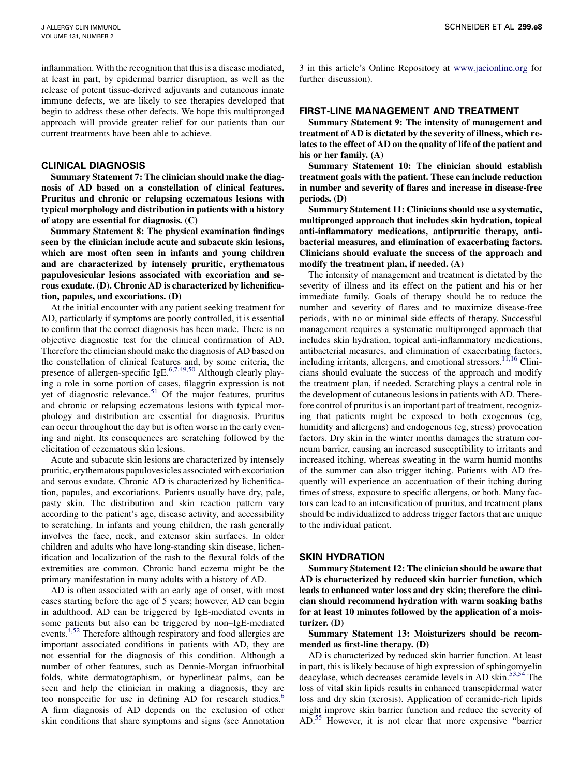inflammation. With the recognition that this is a disease mediated, at least in part, by epidermal barrier disruption, as well as the release of potent tissue-derived adjuvants and cutaneous innate immune defects, we are likely to see therapies developed that begin to address these other defects. We hope this multipronged approach will provide greater relief for our patients than our current treatments have been able to achieve.

# CLINICAL DIAGNOSIS

Summary Statement 7: The clinician should make the diagnosis of AD based on a constellation of clinical features. Pruritus and chronic or relapsing eczematous lesions with typical morphology and distribution in patients with a history of atopy are essential for diagnosis. (C)

Summary Statement 8: The physical examination findings seen by the clinician include acute and subacute skin lesions, which are most often seen in infants and young children and are characterized by intensely pruritic, erythematous papulovesicular lesions associated with excoriation and serous exudate. (D). Chronic AD is characterized by lichenification, papules, and excoriations. (D)

At the initial encounter with any patient seeking treatment for AD, particularly if symptoms are poorly controlled, it is essential to confirm that the correct diagnosis has been made. There is no objective diagnostic test for the clinical confirmation of AD. Therefore the clinician should make the diagnosis of AD based on the constellation of clinical features and, by some criteria, the presence of allergen-specific IgE.[6,7,49,50](#page-23-0) Although clearly playing a role in some portion of cases, filaggrin expression is not yet of diagnostic relevance.<sup>[51](#page-24-0)</sup> Of the major features, pruritus and chronic or relapsing eczematous lesions with typical morphology and distribution are essential for diagnosis. Pruritus can occur throughout the day but is often worse in the early evening and night. Its consequences are scratching followed by the elicitation of eczematous skin lesions.

Acute and subacute skin lesions are characterized by intensely pruritic, erythematous papulovesicles associated with excoriation and serous exudate. Chronic AD is characterized by lichenification, papules, and excoriations. Patients usually have dry, pale, pasty skin. The distribution and skin reaction pattern vary according to the patient's age, disease activity, and accessibility to scratching. In infants and young children, the rash generally involves the face, neck, and extensor skin surfaces. In older children and adults who have long-standing skin disease, lichenification and localization of the rash to the flexural folds of the extremities are common. Chronic hand eczema might be the primary manifestation in many adults with a history of AD.

AD is often associated with an early age of onset, with most cases starting before the age of 5 years; however, AD can begin in adulthood. AD can be triggered by IgE-mediated events in some patients but also can be triggered by non–IgE-mediated events.[4,52](#page-23-0) Therefore although respiratory and food allergies are important associated conditions in patients with AD, they are not essential for the diagnosis of this condition. Although a number of other features, such as Dennie-Morgan infraorbital folds, white dermatographism, or hyperlinear palms, can be seen and help the clinician in making a diagnosis, they are too nonspecific for use in defining AD for research studies.<sup>6</sup> A firm diagnosis of AD depends on the exclusion of other skin conditions that share symptoms and signs (see Annotation

3 in this article's Online Repository at [www.jacionline.org](http://www.jacionline.org) for further discussion).

#### FIRST-LINE MANAGEMENT AND TREATMENT

Summary Statement 9: The intensity of management and treatment of AD is dictated by the severity of illness, which relates to the effect of AD on the quality of life of the patient and his or her family. (A)

Summary Statement 10: The clinician should establish treatment goals with the patient. These can include reduction in number and severity of flares and increase in disease-free periods. (D)

Summary Statement 11: Clinicians should use a systematic, multipronged approach that includes skin hydration, topical anti-inflammatory medications, antipruritic therapy, antibacterial measures, and elimination of exacerbating factors. Clinicians should evaluate the success of the approach and modify the treatment plan, if needed. (A)

The intensity of management and treatment is dictated by the severity of illness and its effect on the patient and his or her immediate family. Goals of therapy should be to reduce the number and severity of flares and to maximize disease-free periods, with no or minimal side effects of therapy. Successful management requires a systematic multipronged approach that includes skin hydration, topical anti-inflammatory medications, antibacterial measures, and elimination of exacerbating factors, including irritants, allergens, and emotional stressors.<sup>11,16</sup> Clinicians should evaluate the success of the approach and modify the treatment plan, if needed. Scratching plays a central role in the development of cutaneous lesions in patients with AD. Therefore control of pruritus is an important part of treatment, recognizing that patients might be exposed to both exogenous (eg, humidity and allergens) and endogenous (eg, stress) provocation factors. Dry skin in the winter months damages the stratum corneum barrier, causing an increased susceptibility to irritants and increased itching, whereas sweating in the warm humid months of the summer can also trigger itching. Patients with AD frequently will experience an accentuation of their itching during times of stress, exposure to specific allergens, or both. Many factors can lead to an intensification of pruritus, and treatment plans should be individualized to address trigger factors that are unique to the individual patient.

#### SKIN HYDRATION

Summary Statement 12: The clinician should be aware that AD is characterized by reduced skin barrier function, which leads to enhanced water loss and dry skin; therefore the clinician should recommend hydration with warm soaking baths for at least 10 minutes followed by the application of a moisturizer. (D)

Summary Statement 13: Moisturizers should be recommended as first-line therapy. (D)

AD is characterized by reduced skin barrier function. At least in part, this is likely because of high expression of sphingomyelin deacylase, which decreases ceramide levels in AD skin.[53,54](#page-24-0) The loss of vital skin lipids results in enhanced transepidermal water loss and dry skin (xerosis). Application of ceramide-rich lipids might improve skin barrier function and reduce the severity of AD.<sup>[55](#page-24-0)</sup> However, it is not clear that more expensive "barrier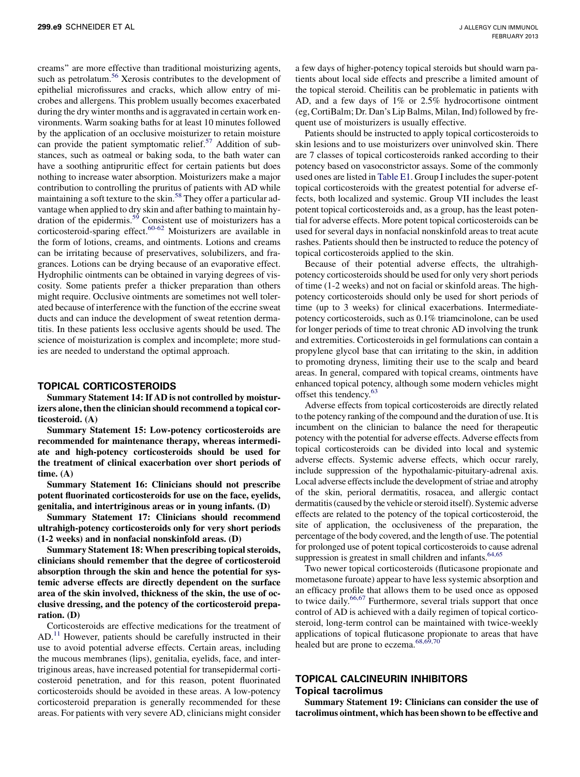creams'' are more effective than traditional moisturizing agents, such as petrolatum.<sup>56</sup> Xerosis contributes to the development of epithelial microfissures and cracks, which allow entry of microbes and allergens. This problem usually becomes exacerbated during the dry winter months and is aggravated in certain work environments. Warm soaking baths for at least 10 minutes followed by the application of an occlusive moisturizer to retain moisture can provide the patient symptomatic relief. $57$  Addition of substances, such as oatmeal or baking soda, to the bath water can have a soothing antipruritic effect for certain patients but does nothing to increase water absorption. Moisturizers make a major contribution to controlling the pruritus of patients with AD while maintaining a soft texture to the skin.<sup>[58](#page-24-0)</sup> They offer a particular advantage when applied to dry skin and after bathing to maintain hy-dration of the epidermis.<sup>[59](#page-24-0)</sup> Consistent use of moisturizers has a corticosteroid-sparing effect.<sup>[60-62](#page-24-0)</sup> Moisturizers are available in the form of lotions, creams, and ointments. Lotions and creams can be irritating because of preservatives, solubilizers, and fragrances. Lotions can be drying because of an evaporative effect. Hydrophilic ointments can be obtained in varying degrees of viscosity. Some patients prefer a thicker preparation than others might require. Occlusive ointments are sometimes not well tolerated because of interference with the function of the eccrine sweat ducts and can induce the development of sweat retention dermatitis. In these patients less occlusive agents should be used. The science of moisturization is complex and incomplete; more studies are needed to understand the optimal approach.

#### TOPICAL CORTICOSTEROIDS

Summary Statement 14: If AD is not controlled by moisturizers alone, then the clinician should recommend a topical corticosteroid. (A)

Summary Statement 15: Low-potency corticosteroids are recommended for maintenance therapy, whereas intermediate and high-potency corticosteroids should be used for the treatment of clinical exacerbation over short periods of time. (A)

Summary Statement 16: Clinicians should not prescribe potent fluorinated corticosteroids for use on the face, eyelids, genitalia, and intertriginous areas or in young infants. (D)

Summary Statement 17: Clinicians should recommend ultrahigh-potency corticosteroids only for very short periods (1-2 weeks) and in nonfacial nonskinfold areas. (D)

Summary Statement 18: When prescribing topical steroids, clinicians should remember that the degree of corticosteroid absorption through the skin and hence the potential for systemic adverse effects are directly dependent on the surface area of the skin involved, thickness of the skin, the use of occlusive dressing, and the potency of the corticosteroid preparation. (D)

Corticosteroids are effective medications for the treatment of  $AD<sup>11</sup>$  $AD<sup>11</sup>$  $AD<sup>11</sup>$  However, patients should be carefully instructed in their use to avoid potential adverse effects. Certain areas, including the mucous membranes (lips), genitalia, eyelids, face, and intertriginous areas, have increased potential for transepidermal corticosteroid penetration, and for this reason, potent fluorinated corticosteroids should be avoided in these areas. A low-potency corticosteroid preparation is generally recommended for these areas. For patients with very severe AD, clinicians might consider

a few days of higher-potency topical steroids but should warn patients about local side effects and prescribe a limited amount of the topical steroid. Cheilitis can be problematic in patients with AD, and a few days of 1% or 2.5% hydrocortisone ointment (eg, CortiBalm; Dr. Dan's Lip Balms, Milan, Ind) followed by frequent use of moisturizers is usually effective.

Patients should be instructed to apply topical corticosteroids to skin lesions and to use moisturizers over uninvolved skin. There are 7 classes of topical corticosteroids ranked according to their potency based on vasoconstrictor assays. Some of the commonly used ones are listed in [Table E1](#page-30-0). Group I includes the super-potent topical corticosteroids with the greatest potential for adverse effects, both localized and systemic. Group VII includes the least potent topical corticosteroids and, as a group, has the least potential for adverse effects. More potent topical corticosteroids can be used for several days in nonfacial nonskinfold areas to treat acute rashes. Patients should then be instructed to reduce the potency of topical corticosteroids applied to the skin.

Because of their potential adverse effects, the ultrahighpotency corticosteroids should be used for only very short periods of time (1-2 weeks) and not on facial or skinfold areas. The highpotency corticosteroids should only be used for short periods of time (up to 3 weeks) for clinical exacerbations. Intermediatepotency corticosteroids, such as 0.1% triamcinolone, can be used for longer periods of time to treat chronic AD involving the trunk and extremities. Corticosteroids in gel formulations can contain a propylene glycol base that can irritating to the skin, in addition to promoting dryness, limiting their use to the scalp and beard areas. In general, compared with topical creams, ointments have enhanced topical potency, although some modern vehicles might offset this tendency.<sup>63</sup>

Adverse effects from topical corticosteroids are directly related to the potency ranking of the compound and the duration of use. It is incumbent on the clinician to balance the need for therapeutic potency with the potential for adverse effects. Adverse effects from topical corticosteroids can be divided into local and systemic adverse effects. Systemic adverse effects, which occur rarely, include suppression of the hypothalamic-pituitary-adrenal axis. Local adverse effects include the development of striae and atrophy of the skin, perioral dermatitis, rosacea, and allergic contact dermatitis (caused by the vehicle or steroid itself). Systemic adverse effects are related to the potency of the topical corticosteroid, the site of application, the occlusiveness of the preparation, the percentage of the body covered, and the length of use. The potential for prolonged use of potent topical corticosteroids to cause adrenal suppression is greatest in small children and infants.<sup>[64,65](#page-24-0)</sup>

Two newer topical corticosteroids (fluticasone propionate and mometasone furoate) appear to have less systemic absorption and an efficacy profile that allows them to be used once as opposed to twice daily.<sup>[66,67](#page-24-0)</sup> Furthermore, several trials support that once control of AD is achieved with a daily regimen of topical corticosteroid, long-term control can be maintained with twice-weekly applications of topical fluticasone propionate to areas that have healed but are prone to eczema.<sup>[68,69,70](#page-25-0)</sup>

# TOPICAL CALCINEURIN INHIBITORS Topical tacrolimus

Summary Statement 19: Clinicians can consider the use of tacrolimus ointment, which has been shown to be effective and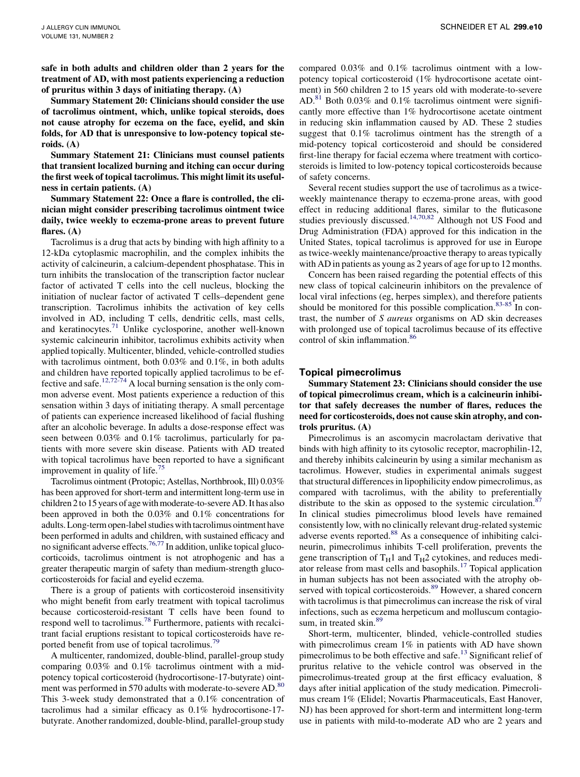safe in both adults and children older than 2 years for the treatment of AD, with most patients experiencing a reduction of pruritus within 3 days of initiating therapy. (A)

Summary Statement 20: Clinicians should consider the use of tacrolimus ointment, which, unlike topical steroids, does not cause atrophy for eczema on the face, eyelid, and skin folds, for AD that is unresponsive to low-potency topical steroids. (A)

Summary Statement 21: Clinicians must counsel patients that transient localized burning and itching can occur during the first week of topical tacrolimus. This might limit its usefulness in certain patients. (A)

Summary Statement 22: Once a flare is controlled, the clinician might consider prescribing tacrolimus ointment twice daily, twice weekly to eczema-prone areas to prevent future flares. (A)

Tacrolimus is a drug that acts by binding with high affinity to a 12-kDa cytoplasmic macrophilin, and the complex inhibits the activity of calcineurin, a calcium-dependent phosphatase. This in turn inhibits the translocation of the transcription factor nuclear factor of activated T cells into the cell nucleus, blocking the initiation of nuclear factor of activated T cells–dependent gene transcription. Tacrolimus inhibits the activation of key cells involved in AD, including T cells, dendritic cells, mast cells, and keratinocytes.<sup>[71](#page-25-0)</sup> Unlike cyclosporine, another well-known systemic calcineurin inhibitor, tacrolimus exhibits activity when applied topically. Multicenter, blinded, vehicle-controlled studies with tacrolimus ointment, both 0.03% and 0.1%, in both adults and children have reported topically applied tacrolimus to be effective and safe.  ${}^{12,72-74}$  ${}^{12,72-74}$  ${}^{12,72-74}$  A local burning sensation is the only common adverse event. Most patients experience a reduction of this sensation within 3 days of initiating therapy. A small percentage of patients can experience increased likelihood of facial flushing after an alcoholic beverage. In adults a dose-response effect was seen between 0.03% and 0.1% tacrolimus, particularly for patients with more severe skin disease. Patients with AD treated with topical tacrolimus have been reported to have a significant improvement in quality of life.<sup>[75](#page-25-0)</sup>

Tacrolimus ointment (Protopic; Astellas, Northbrook, Ill) 0.03% has been approved for short-term and intermittent long-term use in children 2 to 15 years of age withmoderate-to-severe AD. It has also been approved in both the 0.03% and 0.1% concentrations for adults. Long-term open-label studies withtacrolimus ointment have been performed in adults and children, with sustained efficacy and no significant adverse effects.<sup>[76,77](#page-25-0)</sup> In addition, unlike topical glucocorticoids, tacrolimus ointment is not atrophogenic and has a greater therapeutic margin of safety than medium-strength glucocorticosteroids for facial and eyelid eczema.

There is a group of patients with corticosteroid insensitivity who might benefit from early treatment with topical tacrolimus because corticosteroid-resistant T cells have been found to respond well to tacrolimus.<sup>[78](#page-25-0)</sup> Furthermore, patients with recalcitrant facial eruptions resistant to topical corticosteroids have re-ported benefit from use of topical tacrolimus.<sup>[79](#page-25-0)</sup>

A multicenter, randomized, double-blind, parallel-group study comparing 0.03% and 0.1% tacrolimus ointment with a midpotency topical corticosteroid (hydrocortisone-17-butyrate) ointment was performed in 570 adults with moderate-to-severe AD.[80](#page-25-0) This 3-week study demonstrated that a 0.1% concentration of tacrolimus had a similar efficacy as 0.1% hydrocortisone-17 butyrate. Another randomized, double-blind, parallel-group study

compared 0.03% and 0.1% tacrolimus ointment with a lowpotency topical corticosteroid (1% hydrocortisone acetate ointment) in 560 children 2 to 15 years old with moderate-to-severe AD.<sup>[81](#page-25-0)</sup> Both 0.03% and 0.1% tacrolimus ointment were significantly more effective than 1% hydrocortisone acetate ointment in reducing skin inflammation caused by AD. These 2 studies suggest that 0.1% tacrolimus ointment has the strength of a mid-potency topical corticosteroid and should be considered first-line therapy for facial eczema where treatment with corticosteroids is limited to low-potency topical corticosteroids because of safety concerns.

Several recent studies support the use of tacrolimus as a twiceweekly maintenance therapy to eczema-prone areas, with good effect in reducing additional flares, similar to the fluticasone studies previously discussed.<sup>14,70,82</sup> Although not US Food and Drug Administration (FDA) approved for this indication in the United States, topical tacrolimus is approved for use in Europe as twice-weekly maintenance/proactive therapy to areas typically with AD in patients as young as 2 years of age for up to 12 months.

Concern has been raised regarding the potential effects of this new class of topical calcineurin inhibitors on the prevalence of local viral infections (eg, herpes simplex), and therefore patients should be monitored for this possible complication.<sup>[83-85](#page-25-0)</sup> In contrast, the number of S aureus organisms on AD skin decreases with prolonged use of topical tacrolimus because of its effective control of skin inflammation.<sup>[86](#page-25-0)</sup>

#### Topical pimecrolimus

Summary Statement 23: Clinicians should consider the use of topical pimecrolimus cream, which is a calcineurin inhibitor that safely decreases the number of flares, reduces the need for corticosteroids, does not cause skin atrophy, and controls pruritus. (A)

Pimecrolimus is an ascomycin macrolactam derivative that binds with high affinity to its cytosolic receptor, macrophilin-12, and thereby inhibits calcineurin by using a similar mechanism as tacrolimus. However, studies in experimental animals suggest that structural differences in lipophilicity endow pimecrolimus, as compared with tacrolimus, with the ability to preferentially distribute to the skin as opposed to the systemic circulation.<sup>[87](#page-25-0)</sup> In clinical studies pimecrolimus blood levels have remained consistently low, with no clinically relevant drug-related systemic adverse events reported.<sup>88</sup> As a consequence of inhibiting calcineurin, pimecrolimus inhibits T-cell proliferation, prevents the gene transcription of  $T_H1$  and  $T_H2$  cytokines, and reduces mediator release from mast cells and basophils.[17](#page-23-0) Topical application in human subjects has not been associated with the atrophy ob-served with topical corticosteroids.<sup>[89](#page-25-0)</sup> However, a shared concern with tacrolimus is that pimecrolimus can increase the risk of viral infections, such as eczema herpeticum and molluscum contagio-sum, in treated skin.<sup>[89](#page-25-0)</sup>

Short-term, multicenter, blinded, vehicle-controlled studies with pimecrolimus cream 1% in patients with AD have shown pimecrolimus to be both effective and safe.<sup>[13](#page-23-0)</sup> Significant relief of pruritus relative to the vehicle control was observed in the pimecrolimus-treated group at the first efficacy evaluation, 8 days after initial application of the study medication. Pimecrolimus cream 1% (Elidel; Novartis Pharmaceuticals, East Hanover, NJ) has been approved for short-term and intermittent long-term use in patients with mild-to-moderate AD who are 2 years and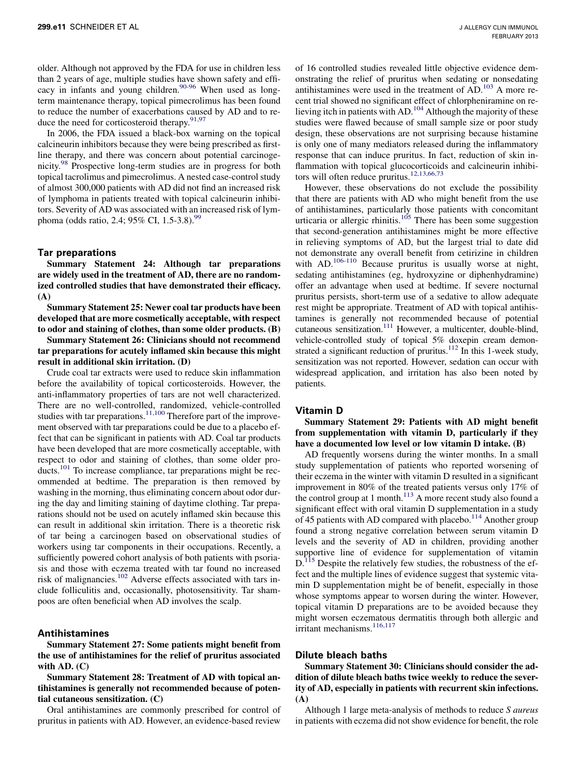older. Although not approved by the FDA for use in children less than 2 years of age, multiple studies have shown safety and efficacy in infants and young children. $90-96$  When used as longterm maintenance therapy, topical pimecrolimus has been found to reduce the number of exacerbations caused by AD and to re-duce the need for corticosteroid therapy.<sup>[91,97](#page-25-0)</sup>

In 2006, the FDA issued a black-box warning on the topical calcineurin inhibitors because they were being prescribed as firstline therapy, and there was concern about potential carcinogenicity.[98](#page-25-0) Prospective long-term studies are in progress for both topical tacrolimus and pimecrolimus. A nested case-control study of almost 300,000 patients with AD did not find an increased risk of lymphoma in patients treated with topical calcineurin inhibitors. Severity of AD was associated with an increased risk of lym-phoma (odds ratio, 2.4; 95% CI, 1.5-3.8).<sup>[99](#page-25-0)</sup>

#### Tar preparations

Summary Statement 24: Although tar preparations are widely used in the treatment of AD, there are no randomized controlled studies that have demonstrated their efficacy. (A)

Summary Statement 25: Newer coal tar products have been developed that are more cosmetically acceptable, with respect to odor and staining of clothes, than some older products. (B)

Summary Statement 26: Clinicians should not recommend tar preparations for acutely inflamed skin because this might result in additional skin irritation. (D)

Crude coal tar extracts were used to reduce skin inflammation before the availability of topical corticosteroids. However, the anti-inflammatory properties of tars are not well characterized. There are no well-controlled, randomized, vehicle-controlled studies with tar preparations.<sup>[11,100](#page-23-0)</sup> Therefore part of the improvement observed with tar preparations could be due to a placebo effect that can be significant in patients with AD. Coal tar products have been developed that are more cosmetically acceptable, with respect to odor and staining of clothes, than some older pro-ducts.<sup>[101](#page-25-0)</sup> To increase compliance, tar preparations might be recommended at bedtime. The preparation is then removed by washing in the morning, thus eliminating concern about odor during the day and limiting staining of daytime clothing. Tar preparations should not be used on acutely inflamed skin because this can result in additional skin irritation. There is a theoretic risk of tar being a carcinogen based on observational studies of workers using tar components in their occupations. Recently, a sufficiently powered cohort analysis of both patients with psoriasis and those with eczema treated with tar found no increased risk of malignancies.[102](#page-25-0) Adverse effects associated with tars include folliculitis and, occasionally, photosensitivity. Tar shampoos are often beneficial when AD involves the scalp.

#### Antihistamines

Summary Statement 27: Some patients might benefit from the use of antihistamines for the relief of pruritus associated with AD. (C)

Summary Statement 28: Treatment of AD with topical antihistamines is generally not recommended because of potential cutaneous sensitization. (C)

Oral antihistamines are commonly prescribed for control of pruritus in patients with AD. However, an evidence-based review

of 16 controlled studies revealed little objective evidence demonstrating the relief of pruritus when sedating or nonsedating antihistamines were used in the treatment of  $AD$ .<sup>103</sup> A more recent trial showed no significant effect of chlorpheniramine on re-lieving itch in patients with AD.<sup>[104](#page-25-0)</sup> Although the majority of these studies were flawed because of small sample size or poor study design, these observations are not surprising because histamine is only one of many mediators released during the inflammatory response that can induce pruritus. In fact, reduction of skin inflammation with topical glucocorticoids and calcineurin inhibitors will often reduce pruritus. $12,13,66,73$ 

However, these observations do not exclude the possibility that there are patients with AD who might benefit from the use of antihistamines, particularly those patients with concomitant urticaria or allergic rhinitis.<sup>105</sup> There has been some suggestion that second-generation antihistamines might be more effective in relieving symptoms of AD, but the largest trial to date did not demonstrate any overall benefit from cetirizine in children with AD.<sup>106-110</sup> Because pruritus is usually worse at night, sedating antihistamines (eg, hydroxyzine or diphenhydramine) offer an advantage when used at bedtime. If severe nocturnal pruritus persists, short-term use of a sedative to allow adequate rest might be appropriate. Treatment of AD with topical antihistamines is generally not recommended because of potential cutaneous sensitization.<sup>111</sup> However, a multicenter, double-blind, vehicle-controlled study of topical 5% doxepin cream demonstrated a significant reduction of pruritus.<sup>112</sup> In this 1-week study, sensitization was not reported. However, sedation can occur with widespread application, and irritation has also been noted by patients.

#### Vitamin D

Summary Statement 29: Patients with AD might benefit from supplementation with vitamin D, particularly if they have a documented low level or low vitamin D intake. (B)

AD frequently worsens during the winter months. In a small study supplementation of patients who reported worsening of their eczema in the winter with vitamin D resulted in a significant improvement in 80% of the treated patients versus only 17% of the control group at 1 month.<sup>[113](#page-26-0)</sup> A more recent study also found a significant effect with oral vitamin D supplementation in a study of 45 patients with AD compared with placebo.<sup>[114](#page-26-0)</sup> Another group found a strong negative correlation between serum vitamin D levels and the severity of AD in children, providing another supportive line of evidence for supplementation of vitamin  $D<sup>115</sup>$  $D<sup>115</sup>$  $D<sup>115</sup>$  Despite the relatively few studies, the robustness of the effect and the multiple lines of evidence suggest that systemic vitamin D supplementation might be of benefit, especially in those whose symptoms appear to worsen during the winter. However, topical vitamin D preparations are to be avoided because they might worsen eczematous dermatitis through both allergic and irritant mechanisms.<sup>[116,117](#page-26-0)</sup>

#### Dilute bleach baths

Summary Statement 30: Clinicians should consider the addition of dilute bleach baths twice weekly to reduce the severity of AD, especially in patients with recurrent skin infections. (A)

Although 1 large meta-analysis of methods to reduce S aureus in patients with eczema did not show evidence for benefit, the role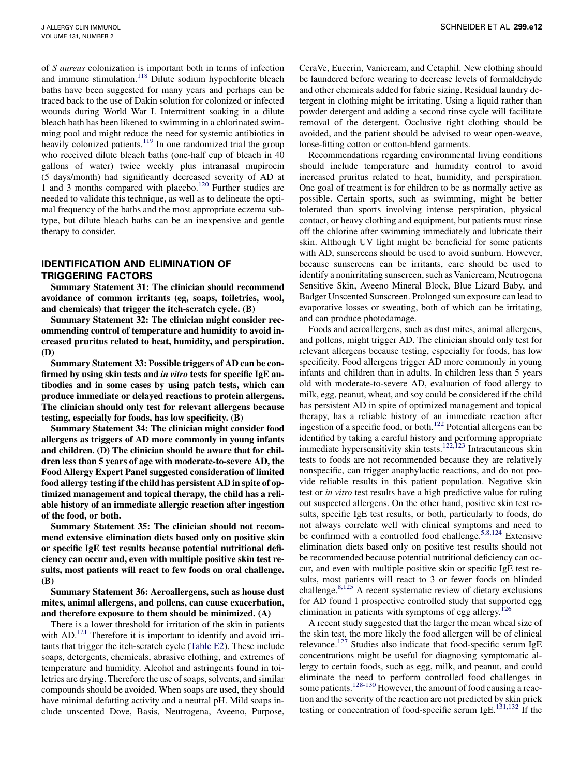of S aureus colonization is important both in terms of infection and immune stimulation.<sup>[118](#page-26-0)</sup> Dilute sodium hypochlorite bleach baths have been suggested for many years and perhaps can be traced back to the use of Dakin solution for colonized or infected wounds during World War I. Intermittent soaking in a dilute bleach bath has been likened to swimming in a chlorinated swimming pool and might reduce the need for systemic antibiotics in heavily colonized patients.<sup>[119](#page-26-0)</sup> In one randomized trial the group who received dilute bleach baths (one-half cup of bleach in 40 gallons of water) twice weekly plus intranasal mupirocin (5 days/month) had significantly decreased severity of AD at 1 and 3 months compared with placebo.<sup>[120](#page-26-0)</sup> Further studies are needed to validate this technique, as well as to delineate the optimal frequency of the baths and the most appropriate eczema subtype, but dilute bleach baths can be an inexpensive and gentle therapy to consider.

# IDENTIFICATION AND ELIMINATION OF TRIGGERING FACTORS

Summary Statement 31: The clinician should recommend avoidance of common irritants (eg, soaps, toiletries, wool, and chemicals) that trigger the itch-scratch cycle. (B)

Summary Statement 32: The clinician might consider recommending control of temperature and humidity to avoid increased pruritus related to heat, humidity, and perspiration. (D)

Summary Statement 33: Possible triggers of AD can be confirmed by using skin tests and in vitro tests for specific IgE antibodies and in some cases by using patch tests, which can produce immediate or delayed reactions to protein allergens. The clinician should only test for relevant allergens because testing, especially for foods, has low specificity. (B)

Summary Statement 34: The clinician might consider food allergens as triggers of AD more commonly in young infants and children. (D) The clinician should be aware that for children less than 5 years of age with moderate-to-severe AD, the Food Allergy Expert Panel suggested consideration of limited food allergy testing if the child has persistent AD in spite of optimized management and topical therapy, the child has a reliable history of an immediate allergic reaction after ingestion of the food, or both.

Summary Statement 35: The clinician should not recommend extensive elimination diets based only on positive skin or specific IgE test results because potential nutritional deficiency can occur and, even with multiple positive skin test results, most patients will react to few foods on oral challenge. (B)

Summary Statement 36: Aeroallergens, such as house dust mites, animal allergens, and pollens, can cause exacerbation, and therefore exposure to them should be minimized. (A)

There is a lower threshold for irritation of the skin in patients with AD.<sup>[121](#page-26-0)</sup> Therefore it is important to identify and avoid irritants that trigger the itch-scratch cycle [\(Table E2](#page-31-0)). These include soaps, detergents, chemicals, abrasive clothing, and extremes of temperature and humidity. Alcohol and astringents found in toiletries are drying. Therefore the use of soaps, solvents, and similar compounds should be avoided. When soaps are used, they should have minimal defatting activity and a neutral pH. Mild soaps include unscented Dove, Basis, Neutrogena, Aveeno, Purpose,

CeraVe, Eucerin, Vanicream, and Cetaphil. New clothing should be laundered before wearing to decrease levels of formaldehyde and other chemicals added for fabric sizing. Residual laundry detergent in clothing might be irritating. Using a liquid rather than powder detergent and adding a second rinse cycle will facilitate removal of the detergent. Occlusive tight clothing should be avoided, and the patient should be advised to wear open-weave, loose-fitting cotton or cotton-blend garments.

Recommendations regarding environmental living conditions should include temperature and humidity control to avoid increased pruritus related to heat, humidity, and perspiration. One goal of treatment is for children to be as normally active as possible. Certain sports, such as swimming, might be better tolerated than sports involving intense perspiration, physical contact, or heavy clothing and equipment, but patients must rinse off the chlorine after swimming immediately and lubricate their skin. Although UV light might be beneficial for some patients with AD, sunscreens should be used to avoid sunburn. However, because sunscreens can be irritants, care should be used to identify a nonirritating sunscreen, such as Vanicream, Neutrogena Sensitive Skin, Aveeno Mineral Block, Blue Lizard Baby, and Badger Unscented Sunscreen. Prolonged sun exposure can lead to evaporative losses or sweating, both of which can be irritating, and can produce photodamage.

Foods and aeroallergens, such as dust mites, animal allergens, and pollens, might trigger AD. The clinician should only test for relevant allergens because testing, especially for foods, has low specificity. Food allergens trigger AD more commonly in young infants and children than in adults. In children less than 5 years old with moderate-to-severe AD, evaluation of food allergy to milk, egg, peanut, wheat, and soy could be considered if the child has persistent AD in spite of optimized management and topical therapy, has a reliable history of an immediate reaction after ingestion of a specific food, or both. $122$  Potential allergens can be identified by taking a careful history and performing appropriate immediate hypersensitivity skin tests.<sup>[122,123](#page-26-0)</sup> Intracutaneous skin tests to foods are not recommended because they are relatively nonspecific, can trigger anaphylactic reactions, and do not provide reliable results in this patient population. Negative skin test or in vitro test results have a high predictive value for ruling out suspected allergens. On the other hand, positive skin test results, specific IgE test results, or both, particularly to foods, do not always correlate well with clinical symptoms and need to be confirmed with a controlled food challenge.<sup>5,8,124</sup> Extensive elimination diets based only on positive test results should not be recommended because potential nutritional deficiency can occur, and even with multiple positive skin or specific IgE test results, most patients will react to 3 or fewer foods on blinded challenge. $8,125$  A recent systematic review of dietary exclusions for AD found 1 prospective controlled study that supported egg elimination in patients with symptoms of egg allergy.<sup>1</sup>

A recent study suggested that the larger the mean wheal size of the skin test, the more likely the food allergen will be of clinical relevance.<sup>127</sup> Studies also indicate that food-specific serum IgE concentrations might be useful for diagnosing symptomatic allergy to certain foods, such as egg, milk, and peanut, and could eliminate the need to perform controlled food challenges in some patients.<sup>[128-130](#page-26-0)</sup> However, the amount of food causing a reaction and the severity of the reaction are not predicted by skin prick testing or concentration of food-specific serum IgE.<sup>[131,132](#page-26-0)</sup> If the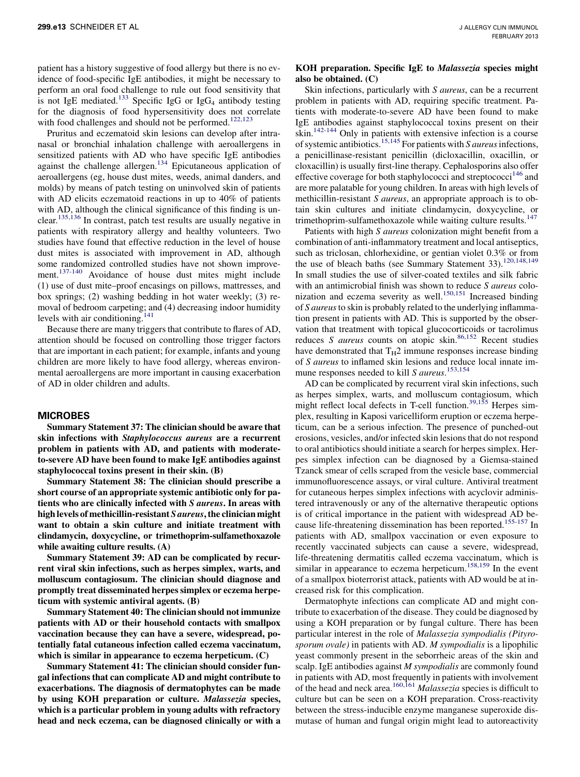patient has a history suggestive of food allergy but there is no evidence of food-specific IgE antibodies, it might be necessary to perform an oral food challenge to rule out food sensitivity that is not IgE mediated.<sup>[133](#page-26-0)</sup> Specific IgG or IgG<sub>4</sub> antibody testing for the diagnosis of food hypersensitivity does not correlate with food challenges and should not be performed.<sup>[122,123](#page-26-0)</sup>

Pruritus and eczematoid skin lesions can develop after intranasal or bronchial inhalation challenge with aeroallergens in sensitized patients with AD who have specific IgE antibodies against the challenge allergen.<sup>[134](#page-26-0)</sup> Epicutaneous application of aeroallergens (eg, house dust mites, weeds, animal danders, and molds) by means of patch testing on uninvolved skin of patients with AD elicits eczematoid reactions in up to 40% of patients with AD, although the clinical significance of this finding is un-clear.<sup>[135,136](#page-26-0)</sup> In contrast, patch test results are usually negative in patients with respiratory allergy and healthy volunteers. Two studies have found that effective reduction in the level of house dust mites is associated with improvement in AD, although some randomized controlled studies have not shown improvement.[137-140](#page-26-0) Avoidance of house dust mites might include (1) use of dust mite–proof encasings on pillows, mattresses, and box springs; (2) washing bedding in hot water weekly; (3) removal of bedroom carpeting; and (4) decreasing indoor humidity levels with air conditioning.<sup>[141](#page-26-0)</sup>

Because there are many triggers that contribute to flares of AD, attention should be focused on controlling those trigger factors that are important in each patient; for example, infants and young children are more likely to have food allergy, whereas environmental aeroallergens are more important in causing exacerbation of AD in older children and adults.

#### MICROBES

Summary Statement 37: The clinician should be aware that skin infections with Staphylococcus aureus are a recurrent problem in patients with AD, and patients with moderateto-severe AD have been found to make IgE antibodies against staphylococcal toxins present in their skin. (B)

Summary Statement 38: The clinician should prescribe a short course of an appropriate systemic antibiotic only for patients who are clinically infected with S aureus. In areas with high levels of methicillin-resistant S aureus, the clinician might want to obtain a skin culture and initiate treatment with clindamycin, doxycycline, or trimethoprim-sulfamethoxazole while awaiting culture results. (A)

Summary Statement 39: AD can be complicated by recurrent viral skin infections, such as herpes simplex, warts, and molluscum contagiosum. The clinician should diagnose and promptly treat disseminated herpes simplex or eczema herpeticum with systemic antiviral agents. (B)

Summary Statement 40: The clinician should not immunize patients with AD or their household contacts with smallpox vaccination because they can have a severe, widespread, potentially fatal cutaneous infection called eczema vaccinatum, which is similar in appearance to eczema herpeticum. (C)

Summary Statement 41: The clinician should consider fungal infections that can complicate AD and might contribute to exacerbations. The diagnosis of dermatophytes can be made by using KOH preparation or culture. Malassezia species, which is a particular problem in young adults with refractory head and neck eczema, can be diagnosed clinically or with a

#### KOH preparation. Specific IgE to Malassezia species might also be obtained. (C)

Skin infections, particularly with S aureus, can be a recurrent problem in patients with AD, requiring specific treatment. Patients with moderate-to-severe AD have been found to make IgE antibodies against staphylococcal toxins present on their skin.<sup>[142-144](#page-26-0)</sup> Only in patients with extensive infection is a course of systemic antibiotics.<sup>15,145</sup> For patients with S *aureus* infections, a penicillinase-resistant penicillin (dicloxacillin, oxacillin, or cloxacillin) is usually first-line therapy. Cephalosporins also offer effective coverage for both staphylococci and streptococci<sup>[146](#page-26-0)</sup> and are more palatable for young children. In areas with high levels of methicillin-resistant S *aureus*, an appropriate approach is to obtain skin cultures and initiate clindamycin, doxycycline, or trimethoprim-sulfamethoxazole while waiting culture results.<sup>[147](#page-26-0)</sup>

Patients with high S aureus colonization might benefit from a combination of anti-inflammatory treatment and local antiseptics, such as triclosan, chlorhexidine, or gentian violet 0.3% or from the use of bleach baths (see Summary Statement 33).<sup>[120,148,149](#page-26-0)</sup> In small studies the use of silver-coated textiles and silk fabric with an antimicrobial finish was shown to reduce S aureus colo-nization and eczema severity as well.<sup>[150,151](#page-26-0)</sup> Increased binding of S aureus to skin is probably related to the underlying inflammation present in patients with AD. This is supported by the observation that treatment with topical glucocorticoids or tacrolimus reduces S aureus counts on atopic skin. $86,152$  Recent studies have demonstrated that  $T_H2$  immune responses increase binding of S aureus to inflamed skin lesions and reduce local innate im-mune responses needed to kill S aureus.<sup>[153,154](#page-26-0)</sup>

AD can be complicated by recurrent viral skin infections, such as herpes simplex, warts, and molluscum contagiosum, which might reflect local defects in T-cell function.<sup>[39,155](#page-24-0)</sup> Herpes simplex, resulting in Kaposi varicelliform eruption or eczema herpeticum, can be a serious infection. The presence of punched-out erosions, vesicles, and/or infected skin lesions that do not respond to oral antibiotics should initiate a search for herpes simplex. Herpes simplex infection can be diagnosed by a Giemsa-stained Tzanck smear of cells scraped from the vesicle base, commercial immunofluorescence assays, or viral culture. Antiviral treatment for cutaneous herpes simplex infections with acyclovir administered intravenously or any of the alternative therapeutic options is of critical importance in the patient with widespread AD be-cause life-threatening dissemination has been reported.<sup>[155-157](#page-26-0)</sup> In patients with AD, smallpox vaccination or even exposure to recently vaccinated subjects can cause a severe, widespread, life-threatening dermatitis called eczema vaccinatum, which is similar in appearance to eczema herpeticum.<sup>[158,159](#page-26-0)</sup> In the event of a smallpox bioterrorist attack, patients with AD would be at increased risk for this complication.

Dermatophyte infections can complicate AD and might contribute to exacerbation of the disease. They could be diagnosed by using a KOH preparation or by fungal culture. There has been particular interest in the role of Malassezia sympodialis (Pityrosporum ovale) in patients with AD. M sympodialis is a lipophilic yeast commonly present in the seborrheic areas of the skin and scalp. IgE antibodies against M sympodialis are commonly found in patients with AD, most frequently in patients with involvement of the head and neck area.<sup>[160,161](#page-26-0)</sup> Malassezia species is difficult to culture but can be seen on a KOH preparation. Cross-reactivity between the stress-inducible enzyme manganese superoxide dismutase of human and fungal origin might lead to autoreactivity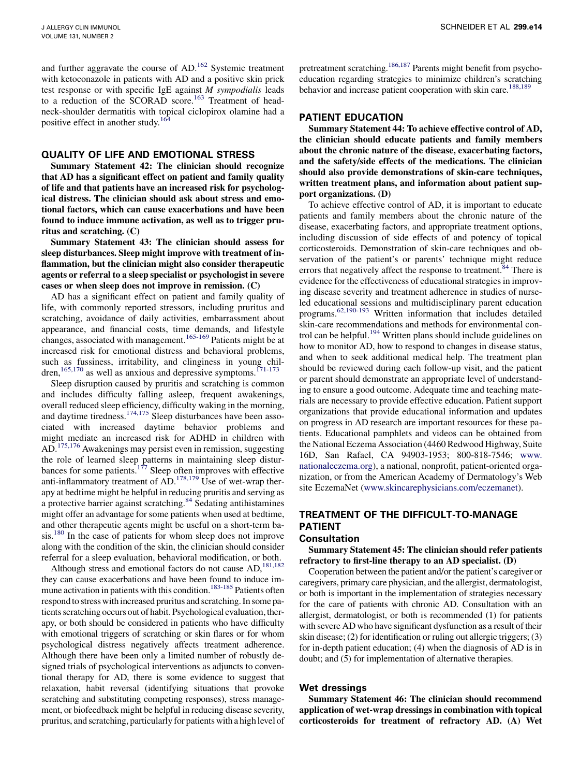and further aggravate the course of  $AD$ .<sup>[162](#page-26-0)</sup> Systemic treatment with ketoconazole in patients with AD and a positive skin prick test response or with specific IgE against  $M$  sympodialis leads to a reduction of the SCORAD score.<sup>[163](#page-27-0)</sup> Treatment of headneck-shoulder dermatitis with topical ciclopirox olamine had a positive effect in another study.<sup>[164](#page-27-0)</sup>

# QUALITY OF LIFE AND EMOTIONAL STRESS

Summary Statement 42: The clinician should recognize that AD has a significant effect on patient and family quality of life and that patients have an increased risk for psychological distress. The clinician should ask about stress and emotional factors, which can cause exacerbations and have been found to induce immune activation, as well as to trigger pruritus and scratching. (C)

Summary Statement 43: The clinician should assess for sleep disturbances. Sleep might improve with treatment of inflammation, but the clinician might also consider therapeutic agents or referral to a sleep specialist or psychologist in severe cases or when sleep does not improve in remission. (C)

AD has a significant effect on patient and family quality of life, with commonly reported stressors, including pruritus and scratching, avoidance of daily activities, embarrassment about appearance, and financial costs, time demands, and lifestyle changes, associated with management.<sup>165-169</sup> Patients might be at increased risk for emotional distress and behavioral problems, such as fussiness, irritability, and clinginess in young chil-dren,<sup>[165,170](#page-27-0)</sup> as well as anxious and depressive symptoms.<sup>171-173</sup>

Sleep disruption caused by pruritis and scratching is common and includes difficulty falling asleep, frequent awakenings, overall reduced sleep efficiency, difficulty waking in the morning, and daytime tiredness.[174,175](#page-27-0) Sleep disturbances have been associated with increased daytime behavior problems and might mediate an increased risk for ADHD in children with AD.[175,176](#page-27-0) Awakenings may persist even in remission, suggesting the role of learned sleep patterns in maintaining sleep distur-bances for some patients.<sup>[177](#page-27-0)</sup> Sleep often improves with effective anti-inflammatory treatment of  $AD$ <sup>[178,179](#page-27-0)</sup> Use of wet-wrap therapy at bedtime might be helpful in reducing pruritis and serving as a protective barrier against scratching.[84](#page-25-0) Sedating antihistamines might offer an advantage for some patients when used at bedtime, and other therapeutic agents might be useful on a short-term basis.<sup>180</sup> In the case of patients for whom sleep does not improve along with the condition of the skin, the clinician should consider referral for a sleep evaluation, behavioral modification, or both.

Although stress and emotional factors do not cause AD,<sup>181,182</sup> they can cause exacerbations and have been found to induce immune activation in patients with this condition.<sup>183-185</sup> Patients often respond to stress with increased pruritus and scratching. In some patients scratching occurs out of habit. Psychological evaluation, therapy, or both should be considered in patients who have difficulty with emotional triggers of scratching or skin flares or for whom psychological distress negatively affects treatment adherence. Although there have been only a limited number of robustly designed trials of psychological interventions as adjuncts to conventional therapy for AD, there is some evidence to suggest that relaxation, habit reversal (identifying situations that provoke scratching and substituting competing responses), stress management, or biofeedback might be helpful in reducing disease severity, pruritus, and scratching, particularly for patients with a high level of pretreatment scratching.[186,187](#page-27-0) Parents might benefit from psychoeducation regarding strategies to minimize children's scratching behavior and increase patient cooperation with skin care.<sup>188,189</sup>

# PATIENT EDUCATION

Summary Statement 44: To achieve effective control of AD, the clinician should educate patients and family members about the chronic nature of the disease, exacerbating factors, and the safety/side effects of the medications. The clinician should also provide demonstrations of skin-care techniques, written treatment plans, and information about patient support organizations. (D)

To achieve effective control of AD, it is important to educate patients and family members about the chronic nature of the disease, exacerbating factors, and appropriate treatment options, including discussion of side effects of and potency of topical corticosteroids. Demonstration of skin-care techniques and observation of the patient's or parents' technique might reduce errors that negatively affect the response to treatment.<sup>[84](#page-25-0)</sup> There is evidence for the effectiveness of educational strategies in improving disease severity and treatment adherence in studies of nurseled educational sessions and multidisciplinary parent education programs[.62,190-193](#page-24-0) Written information that includes detailed skin-care recommendations and methods for environmental con-trol can be helpful.<sup>[194](#page-27-0)</sup> Written plans should include guidelines on how to monitor AD, how to respond to changes in disease status, and when to seek additional medical help. The treatment plan should be reviewed during each follow-up visit, and the patient or parent should demonstrate an appropriate level of understanding to ensure a good outcome. Adequate time and teaching materials are necessary to provide effective education. Patient support organizations that provide educational information and updates on progress in AD research are important resources for these patients. Educational pamphlets and videos can be obtained from the National Eczema Association (4460 Redwood Highway, Suite 16D, San Rafael, CA 94903-1953; 800-818-7546; [www.](http://www.nationaleczema.org) [nationaleczema.org\)](http://www.nationaleczema.org), a national, nonprofit, patient-oriented organization, or from the American Academy of Dermatology's Web site EczemaNet [\(www.skincarephysicians.com/eczemanet\)](http://www.skincarephysicians.com/eczemanet).

# TREATMENT OF THE DIFFICULT-TO-MANAGE PATIENT

#### Consultation

Summary Statement 45: The clinician should refer patients refractory to first-line therapy to an AD specialist. (D)

Cooperation between the patient and/or the patient's caregiver or caregivers, primary care physician, and the allergist, dermatologist, or both is important in the implementation of strategies necessary for the care of patients with chronic AD. Consultation with an allergist, dermatologist, or both is recommended (1) for patients with severe AD who have significant dysfunction as a result of their skin disease; (2) for identification or ruling out allergic triggers; (3) for in-depth patient education; (4) when the diagnosis of AD is in doubt; and (5) for implementation of alternative therapies.

#### Wet dressings

Summary Statement 46: The clinician should recommend application of wet-wrap dressings in combination with topical corticosteroids for treatment of refractory AD. (A) Wet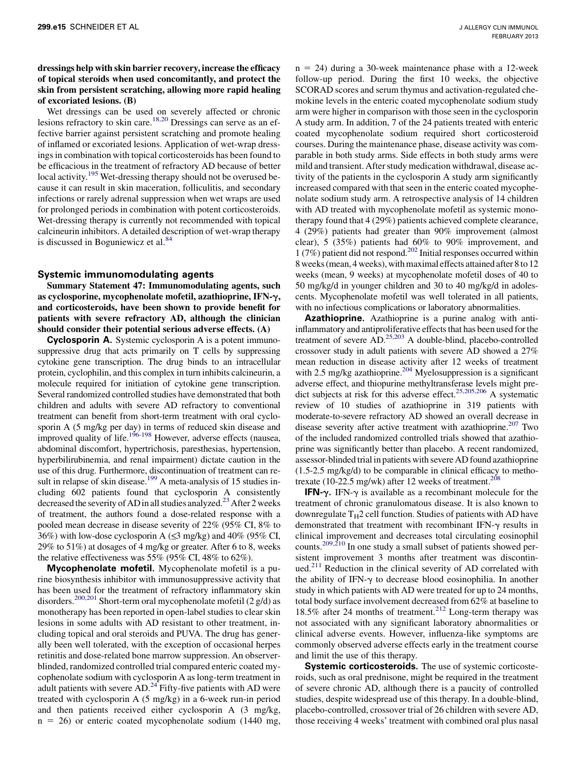## dressings help with skin barrier recovery, increase the efficacy of topical steroids when used concomitantly, and protect the skin from persistent scratching, allowing more rapid healing of excoriated lesions. (B)

Wet dressings can be used on severely affected or chronic lesions refractory to skin care.<sup>[18,20](#page-23-0)</sup> Dressings can serve as an effective barrier against persistent scratching and promote healing of inflamed or excoriated lesions. Application of wet-wrap dressings in combination with topical corticosteroids has been found to be efficacious in the treatment of refractory AD because of better local activity.<sup>[195](#page-27-0)</sup> Wet-dressing therapy should not be overused because it can result in skin maceration, folliculitis, and secondary infections or rarely adrenal suppression when wet wraps are used for prolonged periods in combination with potent corticosteroids. Wet-dressing therapy is currently not recommended with topical calcineurin inhibitors. A detailed description of wet-wrap therapy is discussed in Boguniewicz et al.<sup>[84](#page-25-0)</sup>

#### Systemic immunomodulating agents

Summary Statement 47: Immunomodulating agents, such as cyclosporine, mycophenolate mofetil, azathioprine, IFN- $\gamma$ , and corticosteroids, have been shown to provide benefit for patients with severe refractory AD, although the clinician should consider their potential serious adverse effects. (A)

Cyclosporin A. Systemic cyclosporin A is a potent immunosuppressive drug that acts primarily on T cells by suppressing cytokine gene transcription. The drug binds to an intracellular protein, cyclophilin, and this complex in turn inhibits calcineurin, a molecule required for initiation of cytokine gene transcription. Several randomized controlled studies have demonstrated that both children and adults with severe AD refractory to conventional treatment can benefit from short-term treatment with oral cyclosporin A (5 mg/kg per day) in terms of reduced skin disease and improved quality of life[.196-198](#page-27-0) However, adverse effects (nausea, abdominal discomfort, hypertrichosis, paresthesias, hypertension, hyperbilirubinemia, and renal impairment) dictate caution in the use of this drug. Furthermore, discontinuation of treatment can result in relapse of skin disease.<sup>199</sup> A meta-analysis of 15 studies including 602 patients found that cyclosporin A consistently decreased the severity of AD in all studies analyzed.<sup>[23](#page-24-0)</sup> After 2 weeks of treatment, the authors found a dose-related response with a pooled mean decrease in disease severity of 22% (95% CI, 8% to 36%) with low-dose cyclosporin A ( $\leq$ 3 mg/kg) and 40% (95% CI, 29% to 51%) at dosages of 4 mg/kg or greater. After 6 to 8, weeks the relative effectiveness was 55% (95% CI, 48% to 62%).

Mycophenolate mofetil. Mycophenolate mofetil is a purine biosynthesis inhibitor with immunosuppressive activity that has been used for the treatment of refractory inflammatory skin disorders.<sup>[200,201](#page-27-0)</sup> Short-term oral mycophenolate mofetil (2 g/d) as monotherapy has been reported in open-label studies to clear skin lesions in some adults with AD resistant to other treatment, including topical and oral steroids and PUVA. The drug has generally been well tolerated, with the exception of occasional herpes retinitis and dose-related bone marrow suppression. An observerblinded, randomized controlled trial compared enteric coated mycophenolate sodium with cyclosporin A as long-term treatment in adult patients with severe  $AD<sup>24</sup>$  $AD<sup>24</sup>$  $AD<sup>24</sup>$  Fifty-five patients with AD were treated with cyclosporin A (5 mg/kg) in a 6-week run-in period and then patients received either cyclosporin A (3 mg/kg,  $n = 26$ ) or enteric coated mycophenolate sodium (1440 mg,

 $n = 24$ ) during a 30-week maintenance phase with a 12-week follow-up period. During the first 10 weeks, the objective SCORAD scores and serum thymus and activation-regulated chemokine levels in the enteric coated mycophenolate sodium study arm were higher in comparison with those seen in the cyclosporin A study arm. In addition, 7 of the 24 patients treated with enteric coated mycophenolate sodium required short corticosteroid courses. During the maintenance phase, disease activity was comparable in both study arms. Side effects in both study arms were mild and transient. After study medication withdrawal, disease activity of the patients in the cyclosporin A study arm significantly increased compared with that seen in the enteric coated mycophenolate sodium study arm. A retrospective analysis of 14 children with AD treated with mycophenolate mofetil as systemic monotherapy found that 4 (29%) patients achieved complete clearance, 4 (29%) patients had greater than 90% improvement (almost clear), 5 (35%) patients had 60% to 90% improvement, and  $1(7%)$  patient did not respond.<sup>202</sup> Initial responses occurred within 8 weeks (mean, 4 weeks), with maximal effects attained after 8 to 12 weeks (mean, 9 weeks) at mycophenolate mofetil doses of 40 to 50 mg/kg/d in younger children and 30 to 40 mg/kg/d in adolescents. Mycophenolate mofetil was well tolerated in all patients, with no infectious complications or laboratory abnormalities.

**Azathioprine.** Azathioprine is a purine analog with antiinflammatory and antiproliferative effects that has been used for the treatment of severe AD[.25,203](#page-24-0) A double-blind, placebo-controlled crossover study in adult patients with severe AD showed a 27% mean reduction in disease activity after 12 weeks of treatment with 2.5 mg/kg azathioprine.<sup>[204](#page-27-0)</sup> Myelosuppression is a significant adverse effect, and thiopurine methyltransferase levels might pre-dict subjects at risk for this adverse effect.<sup>[25,205,206](#page-24-0)</sup> A systematic review of 10 studies of azathioprine in 319 patients with moderate-to-severe refractory AD showed an overall decrease in disease severity after active treatment with azathioprine.<sup>207</sup> Two of the included randomized controlled trials showed that azathioprine was significantly better than placebo. A recent randomized, assessor-blinded trial in patients with severe AD found azathioprine (1.5-2.5 mg/kg/d) to be comparable in clinical efficacy to metho-trexate (10-22.5 mg/wk) after 12 weeks of treatment.<sup>[208](#page-27-0)</sup>

**IFN-** $\gamma$ **.** IFN- $\gamma$  is available as a recombinant molecule for the treatment of chronic granulomatous disease. It is also known to downregulate  $T_H2$  cell function. Studies of patients with AD have demonstrated that treatment with recombinant IFN- $\gamma$  results in clinical improvement and decreases total circulating eosinophil counts.[209,210](#page-27-0) In one study a small subset of patients showed persistent improvement 3 months after treatment was discontinued.<sup>211</sup> Reduction in the clinical severity of AD correlated with the ability of IFN- $\gamma$  to decrease blood eosinophilia. In another study in which patients with AD were treated for up to 24 months, total body surface involvement decreased from 62% at baseline to 18.5% after 24 months of treatment.<sup>[212](#page-27-0)</sup> Long-term therapy was not associated with any significant laboratory abnormalities or clinical adverse events. However, influenza-like symptoms are commonly observed adverse effects early in the treatment course and limit the use of this therapy.

Systemic corticosteroids. The use of systemic corticosteroids, such as oral prednisone, might be required in the treatment of severe chronic AD, although there is a paucity of controlled studies, despite widespread use of this therapy. In a double-blind, placebo-controlled, crossover trial of 26 children with severe AD, those receiving 4 weeks' treatment with combined oral plus nasal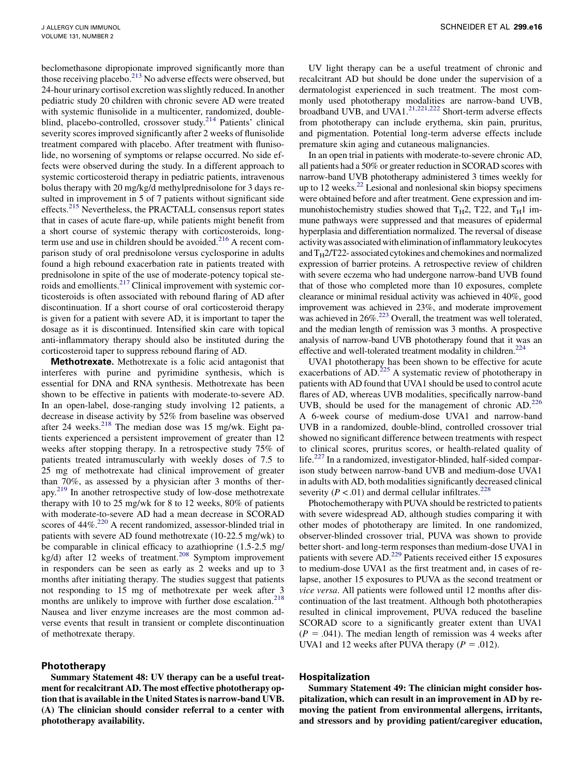beclomethasone dipropionate improved significantly more than those receiving placebo.<sup>[213](#page-28-0)</sup> No adverse effects were observed, but 24-hour urinary cortisol excretion was slightly reduced. In another pediatric study 20 children with chronic severe AD were treated with systemic flunisolide in a multicenter, randomized, double-blind, placebo-controlled, crossover study.<sup>[214](#page-28-0)</sup> Patients' clinical severity scores improved significantly after 2 weeks of flunisolide treatment compared with placebo. After treatment with flunisolide, no worsening of symptoms or relapse occurred. No side effects were observed during the study. In a different approach to systemic corticosteroid therapy in pediatric patients, intravenous bolus therapy with 20 mg/kg/d methylprednisolone for 3 days resulted in improvement in 5 of 7 patients without significant side effects.<sup>[215](#page-28-0)</sup> Nevertheless, the PRACTALL consensus report states that in cases of acute flare-up, while patients might benefit from a short course of systemic therapy with corticosteroids, long-term use and use in children should be avoided.<sup>[216](#page-28-0)</sup> A recent comparison study of oral prednisolone versus cyclosporine in adults found a high rebound exacerbation rate in patients treated with prednisolone in spite of the use of moderate-potency topical steroids and emollients.<sup>217</sup> Clinical improvement with systemic corticosteroids is often associated with rebound flaring of AD after discontinuation. If a short course of oral corticosteroid therapy is given for a patient with severe AD, it is important to taper the dosage as it is discontinued. Intensified skin care with topical anti-inflammatory therapy should also be instituted during the corticosteroid taper to suppress rebound flaring of AD.

Methotrexate. Methotrexate is a folic acid antagonist that interferes with purine and pyrimidine synthesis, which is essential for DNA and RNA synthesis. Methotrexate has been shown to be effective in patients with moderate-to-severe AD. In an open-label, dose-ranging study involving 12 patients, a decrease in disease activity by 52% from baseline was observed after 24 weeks. $218$  The median dose was 15 mg/wk. Eight patients experienced a persistent improvement of greater than 12 weeks after stopping therapy. In a retrospective study 75% of patients treated intramuscularly with weekly doses of 7.5 to 25 mg of methotrexate had clinical improvement of greater than 70%, as assessed by a physician after 3 months of therapy.[219](#page-28-0) In another retrospective study of low-dose methotrexate therapy with 10 to 25 mg/wk for 8 to 12 weeks, 80% of patients with moderate-to-severe AD had a mean decrease in SCORAD scores of 44%.<sup>220</sup> A recent randomized, assessor-blinded trial in patients with severe AD found methotrexate (10-22.5 mg/wk) to be comparable in clinical efficacy to azathioprine (1.5-2.5 mg/ kg/d) after 12 weeks of treatment.<sup>[208](#page-27-0)</sup> Symptom improvement in responders can be seen as early as 2 weeks and up to 3 months after initiating therapy. The studies suggest that patients not responding to 15 mg of methotrexate per week after 3 months are unlikely to improve with further dose escalation.<sup>[218](#page-28-0)</sup> Nausea and liver enzyme increases are the most common adverse events that result in transient or complete discontinuation of methotrexate therapy.

## Phototherapy

Summary Statement 48: UV therapy can be a useful treatment for recalcitrant AD. The most effective phototherapy option that is available in the United States is narrow-band UVB. (A) The clinician should consider referral to a center with phototherapy availability.

UV light therapy can be a useful treatment of chronic and recalcitrant AD but should be done under the supervision of a dermatologist experienced in such treatment. The most commonly used phototherapy modalities are narrow-band UVB, broadband UVB, and UVA1.<sup>21,221,222</sup> Short-term adverse effects from phototherapy can include erythema, skin pain, pruritus, and pigmentation. Potential long-term adverse effects include premature skin aging and cutaneous malignancies.

In an open trial in patients with moderate-to-severe chronic AD, all patients had a 50% or greater reduction in SCORAD scores with narrow-band UVB phototherapy administered 3 times weekly for up to 12 weeks.<sup>[22](#page-24-0)</sup> Lesional and nonlesional skin biopsy specimens were obtained before and after treatment. Gene expression and immunohistochemistry studies showed that  $T_H2$ , T22, and  $T_H1$  immune pathways were suppressed and that measures of epidermal hyperplasia and differentiation normalized. The reversal of disease activity was associated with elimination of inflammatory leukocytes and  $T_H2/T22$ - associated cytokines and chemokines and normalized expression of barrier proteins. A retrospective review of children with severe eczema who had undergone narrow-band UVB found that of those who completed more than 10 exposures, complete clearance or minimal residual activity was achieved in 40%, good improvement was achieved in 23%, and moderate improvement was achieved in  $26\%$ <sup>223</sup> Overall, the treatment was well tolerated, and the median length of remission was 3 months. A prospective analysis of narrow-band UVB phototherapy found that it was an effective and well-tolerated treatment modality in children.<sup>[224](#page-28-0)</sup>

UVA1 phototherapy has been shown to be effective for acute exacerbations of  $AD$ <sup>225</sup> A systematic review of phototherapy in patients with AD found that UVA1 should be used to control acute flares of AD, whereas UVB modalities, specifically narrow-band UVB, should be used for the management of chronic AD.<sup>[226](#page-28-0)</sup> A 6-week course of medium-dose UVA1 and narrow-band UVB in a randomized, double-blind, controlled crossover trial showed no significant difference between treatments with respect to clinical scores, pruritus scores, or health-related quality of life.<sup>[227](#page-28-0)</sup> In a randomized, investigator-blinded, half-sided comparison study between narrow-band UVB and medium-dose UVA1 in adults with AD, both modalities significantly decreased clinical severity ( $P < .01$ ) and dermal cellular infiltrates.<sup>[228](#page-28-0)</sup>

Photochemotherapy with PUVA should be restricted to patients with severe widespread AD, although studies comparing it with other modes of phototherapy are limited. In one randomized, observer-blinded crossover trial, PUVA was shown to provide better short- and long-term responses than medium-dose UVA1 in patients with severe AD.<sup>[229](#page-28-0)</sup> Patients received either 15 exposures to medium-dose UVA1 as the first treatment and, in cases of relapse, another 15 exposures to PUVA as the second treatment or vice versa. All patients were followed until 12 months after discontinuation of the last treatment. Although both phototherapies resulted in clinical improvement, PUVA reduced the baseline SCORAD score to a significantly greater extent than UVA1  $(P = .041)$ . The median length of remission was 4 weeks after UVA1 and 12 weeks after PUVA therapy ( $P = .012$ ).

## Hospitalization

Summary Statement 49: The clinician might consider hospitalization, which can result in an improvement in AD by removing the patient from environmental allergens, irritants, and stressors and by providing patient/caregiver education,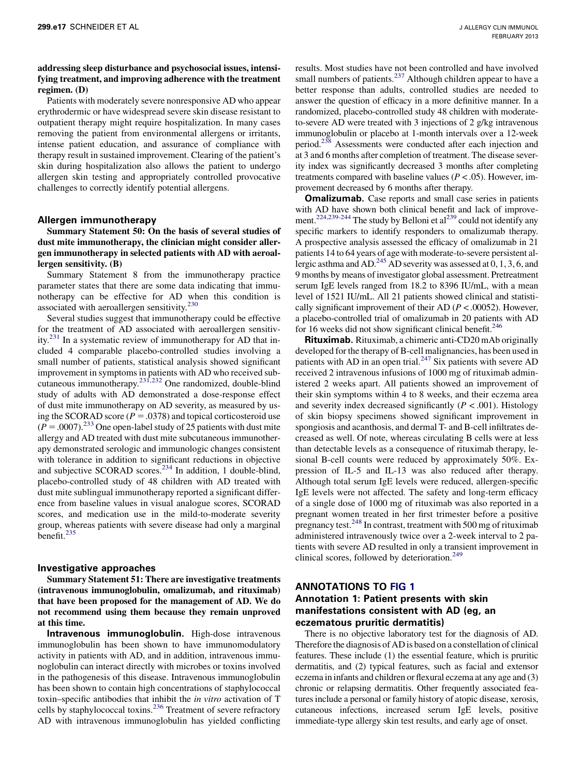## addressing sleep disturbance and psychosocial issues, intensifying treatment, and improving adherence with the treatment regimen. (D)

Patients with moderately severe nonresponsive AD who appear erythrodermic or have widespread severe skin disease resistant to outpatient therapy might require hospitalization. In many cases removing the patient from environmental allergens or irritants, intense patient education, and assurance of compliance with therapy result in sustained improvement. Clearing of the patient's skin during hospitalization also allows the patient to undergo allergen skin testing and appropriately controlled provocative challenges to correctly identify potential allergens.

#### Allergen immunotherapy

Summary Statement 50: On the basis of several studies of dust mite immunotherapy, the clinician might consider allergen immunotherapy in selected patients with AD with aeroallergen sensitivity. (B)

Summary Statement 8 from the immunotherapy practice parameter states that there are some data indicating that immunotherapy can be effective for AD when this condition is associated with aeroallergen sensitivity.<sup>[230](#page-28-0)</sup>

Several studies suggest that immunotherapy could be effective for the treatment of AD associated with aeroallergen sensitiv-ity.<sup>[231](#page-28-0)</sup> In a systematic review of immunotherapy for AD that included 4 comparable placebo-controlled studies involving a small number of patients, statistical analysis showed significant improvement in symptoms in patients with AD who received sub-cutaneous immunotherapy.<sup>[231,232](#page-28-0)</sup> One randomized, double-blind study of adults with AD demonstrated a dose-response effect of dust mite immunotherapy on AD severity, as measured by using the SCORAD score ( $P = .0378$ ) and topical corticosteroid use  $(P = .0007)$ <sup>[233](#page-28-0)</sup> One open-label study of 25 patients with dust mite allergy and AD treated with dust mite subcutaneous immunotherapy demonstrated serologic and immunologic changes consistent with tolerance in addition to significant reductions in objective and subjective SCORAD scores.<sup>[234](#page-28-0)</sup> In addition, 1 double-blind, placebo-controlled study of 48 children with AD treated with dust mite sublingual immunotherapy reported a significant difference from baseline values in visual analogue scores, SCORAD scores, and medication use in the mild-to-moderate severity group, whereas patients with severe disease had only a marginal benefit. $235$ 

#### Investigative approaches

Summary Statement 51: There are investigative treatments (intravenous immunoglobulin, omalizumab, and rituximab) that have been proposed for the management of AD. We do not recommend using them because they remain unproved at this time.

Intravenous immunoglobulin. High-dose intravenous immunoglobulin has been shown to have immunomodulatory activity in patients with AD, and in addition, intravenous immunoglobulin can interact directly with microbes or toxins involved in the pathogenesis of this disease. Intravenous immunoglobulin has been shown to contain high concentrations of staphylococcal toxin–specific antibodies that inhibit the *in vitro* activation of T cells by staphylococcal toxins.<sup>[236](#page-28-0)</sup> Treatment of severe refractory AD with intravenous immunoglobulin has yielded conflicting

results. Most studies have not been controlled and have involved small numbers of patients.<sup>[237](#page-28-0)</sup> Although children appear to have a better response than adults, controlled studies are needed to answer the question of efficacy in a more definitive manner. In a randomized, placebo-controlled study 48 children with moderateto-severe AD were treated with 3 injections of 2 g/kg intravenous immunoglobulin or placebo at 1-month intervals over a 12-week period.<sup>238</sup> Assessments were conducted after each injection and at 3 and 6 months after completion of treatment. The disease severity index was significantly decreased 3 months after completing treatments compared with baseline values ( $P < .05$ ). However, improvement decreased by 6 months after therapy.

**Omalizumab.** Case reports and small case series in patients with AD have shown both clinical benefit and lack of improvement.<sup>224,239-244</sup> The study by Belloni et al<sup>239</sup> could not identify any specific markers to identify responders to omalizumab therapy. A prospective analysis assessed the efficacy of omalizumab in 21 patients 14 to 64 years of age with moderate-to-severe persistent al-lergic asthma and AD.<sup>[245](#page-28-0)</sup> AD severity was assessed at  $0, 1, 3, 6$ , and 9 months by means of investigator global assessment. Pretreatment serum IgE levels ranged from 18.2 to 8396 IU/mL, with a mean level of 1521 IU/mL. All 21 patients showed clinical and statistically significant improvement of their AD ( $P < .00052$ ). However, a placebo-controlled trial of omalizumab in 20 patients with AD for 16 weeks did not show significant clinical benefit.<sup>246</sup>

Rituximab. Rituximab, a chimeric anti-CD20 mAb originally developed for the therapy of B-cell malignancies, has been used in patients with AD in an open trial.<sup>[247](#page-28-0)</sup> Six patients with severe AD received 2 intravenous infusions of 1000 mg of rituximab administered 2 weeks apart. All patients showed an improvement of their skin symptoms within 4 to 8 weeks, and their eczema area and severity index decreased significantly  $(P < .001)$ . Histology of skin biopsy specimens showed significant improvement in spongiosis and acanthosis, and dermal T- and B-cell infiltrates decreased as well. Of note, whereas circulating B cells were at less than detectable levels as a consequence of rituximab therapy, lesional B-cell counts were reduced by approximately 50%. Expression of IL-5 and IL-13 was also reduced after therapy. Although total serum IgE levels were reduced, allergen-specific IgE levels were not affected. The safety and long-term efficacy of a single dose of 1000 mg of rituximab was also reported in a pregnant women treated in her first trimester before a positive pregnancy test.<sup>[248](#page-28-0)</sup> In contrast, treatment with 500 mg of rituximab administered intravenously twice over a 2-week interval to 2 patients with severe AD resulted in only a transient improvement in clinical scores, followed by deterioration.<sup>[249](#page-28-0)</sup>

# ANNOTATIONS TO [FIG 1](#page-2-0) Annotation 1: Patient presents with skin manifestations consistent with AD (eg, an eczematous pruritic dermatitis)

There is no objective laboratory test for the diagnosis of AD. Therefore the diagnosis of AD is based on a constellation of clinical features. These include (1) the essential feature, which is pruritic dermatitis, and (2) typical features, such as facial and extensor eczema in infants and children or flexural eczema at any age and (3) chronic or relapsing dermatitis. Other frequently associated features include a personal or family history of atopic disease, xerosis, cutaneous infections, increased serum IgE levels, positive immediate-type allergy skin test results, and early age of onset.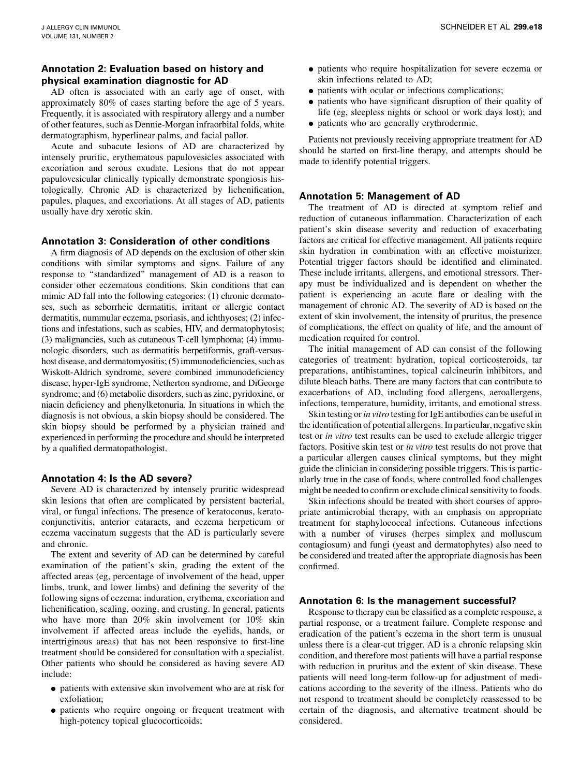# Annotation 2: Evaluation based on history and physical examination diagnostic for AD

AD often is associated with an early age of onset, with approximately 80% of cases starting before the age of 5 years. Frequently, it is associated with respiratory allergy and a number of other features, such as Dennie-Morgan infraorbital folds, white dermatographism, hyperlinear palms, and facial pallor.

Acute and subacute lesions of AD are characterized by intensely pruritic, erythematous papulovesicles associated with excoriation and serous exudate. Lesions that do not appear papulovesicular clinically typically demonstrate spongiosis histologically. Chronic AD is characterized by lichenification, papules, plaques, and excoriations. At all stages of AD, patients usually have dry xerotic skin.

#### Annotation 3: Consideration of other conditions

A firm diagnosis of AD depends on the exclusion of other skin conditions with similar symptoms and signs. Failure of any response to ''standardized'' management of AD is a reason to consider other eczematous conditions. Skin conditions that can mimic AD fall into the following categories: (1) chronic dermatoses, such as seborrheic dermatitis, irritant or allergic contact dermatitis, nummular eczema, psoriasis, and ichthyoses; (2) infections and infestations, such as scabies, HIV, and dermatophytosis; (3) malignancies, such as cutaneous T-cell lymphoma; (4) immunologic disorders, such as dermatitis herpetiformis, graft-versushost disease, and dermatomyositis; (5) immunodeficiencies, such as Wiskott-Aldrich syndrome, severe combined immunodeficiency disease, hyper-IgE syndrome, Netherton syndrome, and DiGeorge syndrome; and (6) metabolic disorders, such as zinc, pyridoxine, or niacin deficiency and phenylketonuria. In situations in which the diagnosis is not obvious, a skin biopsy should be considered. The skin biopsy should be performed by a physician trained and experienced in performing the procedure and should be interpreted by a qualified dermatopathologist.

## Annotation 4: Is the AD severe?

Severe AD is characterized by intensely pruritic widespread skin lesions that often are complicated by persistent bacterial, viral, or fungal infections. The presence of keratoconus, keratoconjunctivitis, anterior cataracts, and eczema herpeticum or eczema vaccinatum suggests that the AD is particularly severe and chronic.

The extent and severity of AD can be determined by careful examination of the patient's skin, grading the extent of the affected areas (eg, percentage of involvement of the head, upper limbs, trunk, and lower limbs) and defining the severity of the following signs of eczema: induration, erythema, excoriation and lichenification, scaling, oozing, and crusting. In general, patients who have more than 20% skin involvement (or 10% skin involvement if affected areas include the eyelids, hands, or intertriginous areas) that has not been responsive to first-line treatment should be considered for consultation with a specialist. Other patients who should be considered as having severe AD include:

- <sup>d</sup> patients with extensive skin involvement who are at risk for exfoliation;
- <sup>d</sup> patients who require ongoing or frequent treatment with high-potency topical glucocorticoids;
- <sup>d</sup> patients who require hospitalization for severe eczema or skin infections related to AD;
- $\bullet$  patients with ocular or infectious complications;
- <sup>d</sup> patients who have significant disruption of their quality of life (eg, sleepless nights or school or work days lost); and
- patients who are generally erythrodermic.

Patients not previously receiving appropriate treatment for AD should be started on first-line therapy, and attempts should be made to identify potential triggers.

#### Annotation 5: Management of AD

The treatment of AD is directed at symptom relief and reduction of cutaneous inflammation. Characterization of each patient's skin disease severity and reduction of exacerbating factors are critical for effective management. All patients require skin hydration in combination with an effective moisturizer. Potential trigger factors should be identified and eliminated. These include irritants, allergens, and emotional stressors. Therapy must be individualized and is dependent on whether the patient is experiencing an acute flare or dealing with the management of chronic AD. The severity of AD is based on the extent of skin involvement, the intensity of pruritus, the presence of complications, the effect on quality of life, and the amount of medication required for control.

The initial management of AD can consist of the following categories of treatment: hydration, topical corticosteroids, tar preparations, antihistamines, topical calcineurin inhibitors, and dilute bleach baths. There are many factors that can contribute to exacerbations of AD, including food allergens, aeroallergens, infections, temperature, humidity, irritants, and emotional stress.

Skin testing or in vitro testing for IgE antibodies can be useful in the identification of potential allergens. In particular, negative skin test or in vitro test results can be used to exclude allergic trigger factors. Positive skin test or in vitro test results do not prove that a particular allergen causes clinical symptoms, but they might guide the clinician in considering possible triggers. This is particularly true in the case of foods, where controlled food challenges might be needed to confirm or exclude clinical sensitivity to foods.

Skin infections should be treated with short courses of appropriate antimicrobial therapy, with an emphasis on appropriate treatment for staphylococcal infections. Cutaneous infections with a number of viruses (herpes simplex and molluscum contagiosum) and fungi (yeast and dermatophytes) also need to be considered and treated after the appropriate diagnosis has been confirmed.

#### Annotation 6: Is the management successful?

Response to therapy can be classified as a complete response, a partial response, or a treatment failure. Complete response and eradication of the patient's eczema in the short term is unusual unless there is a clear-cut trigger. AD is a chronic relapsing skin condition, and therefore most patients will have a partial response with reduction in pruritus and the extent of skin disease. These patients will need long-term follow-up for adjustment of medications according to the severity of the illness. Patients who do not respond to treatment should be completely reassessed to be certain of the diagnosis, and alternative treatment should be considered.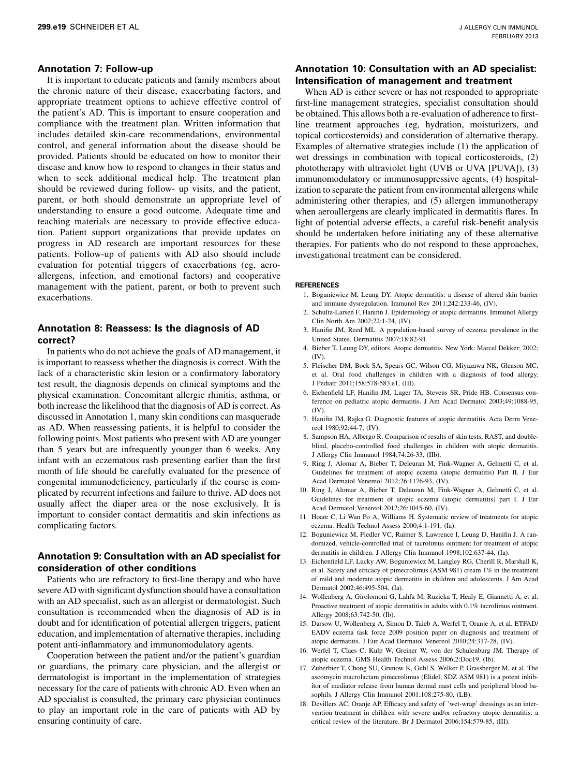#### <span id="page-23-0"></span>Annotation 7: Follow-up

It is important to educate patients and family members about the chronic nature of their disease, exacerbating factors, and appropriate treatment options to achieve effective control of the patient's AD. This is important to ensure cooperation and compliance with the treatment plan. Written information that includes detailed skin-care recommendations, environmental control, and general information about the disease should be provided. Patients should be educated on how to monitor their disease and know how to respond to changes in their status and when to seek additional medical help. The treatment plan should be reviewed during follow- up visits, and the patient, parent, or both should demonstrate an appropriate level of understanding to ensure a good outcome. Adequate time and teaching materials are necessary to provide effective education. Patient support organizations that provide updates on progress in AD research are important resources for these patients. Follow-up of patients with AD also should include evaluation for potential triggers of exacerbations (eg, aeroallergens, infection, and emotional factors) and cooperative management with the patient, parent, or both to prevent such exacerbations.

# Annotation 8: Reassess: Is the diagnosis of AD correct?

In patients who do not achieve the goals of AD management, it is important to reassess whether the diagnosis is correct. With the lack of a characteristic skin lesion or a confirmatory laboratory test result, the diagnosis depends on clinical symptoms and the physical examination. Concomitant allergic rhinitis, asthma, or both increase the likelihood that the diagnosis of AD is correct. As discussed in Annotation 1, many skin conditions can masquerade as AD. When reassessing patients, it is helpful to consider the following points. Most patients who present with AD are younger than 5 years but are infrequently younger than 6 weeks. Any infant with an eczematous rash presenting earlier than the first month of life should be carefully evaluated for the presence of congenital immunodeficiency, particularly if the course is complicated by recurrent infections and failure to thrive. AD does not usually affect the diaper area or the nose exclusively. It is important to consider contact dermatitis and skin infections as complicating factors.

# Annotation 9: Consultation with an AD specialist for consideration of other conditions

Patients who are refractory to first-line therapy and who have severe AD with significant dysfunction should have a consultation with an AD specialist, such as an allergist or dermatologist. Such consultation is recommended when the diagnosis of AD is in doubt and for identification of potential allergen triggers, patient education, and implementation of alternative therapies, including potent anti-inflammatory and immunomodulatory agents.

Cooperation between the patient and/or the patient's guardian or guardians, the primary care physician, and the allergist or dermatologist is important in the implementation of strategies necessary for the care of patients with chronic AD. Even when an AD specialist is consulted, the primary care physician continues to play an important role in the care of patients with AD by ensuring continuity of care.

# Annotation 10: Consultation with an AD specialist: Intensification of management and treatment

When AD is either severe or has not responded to appropriate first-line management strategies, specialist consultation should be obtained. This allows both a re-evaluation of adherence to firstline treatment approaches (eg, hydration, moisturizers, and topical corticosteroids) and consideration of alternative therapy. Examples of alternative strategies include (1) the application of wet dressings in combination with topical corticosteroids, (2) phototherapy with ultraviolet light (UVB or UVA [PUVA]), (3) immunomodulatory or immunosuppressive agents, (4) hospitalization to separate the patient from environmental allergens while administering other therapies, and (5) allergen immunotherapy when aeroallergens are clearly implicated in dermatitis flares. In light of potential adverse effects, a careful risk-benefit analysis should be undertaken before initiating any of these alternative therapies. For patients who do not respond to these approaches, investigational treatment can be considered.

#### REFERENCES

- 1. Boguniewicz M, Leung DY. Atopic dermatitis: a disease of altered skin barrier and immune dysregulation. Immunol Rev 2011;242:233-46, (IV).
- 2. Schultz-Larsen F, Hanifin J. Epidemiology of atopic dermatitis. Immunol Allergy Clin North Am 2002;22:1-24, (IV).
- 3. Hanifin JM, Reed ML. A population-based survey of eczema prevalence in the United States. Dermatitis 2007;18:82-91.
- 4. Bieber T, Leung DY, editors. Atopic dermatitis. New York: Marcel Dekker; 2002;  $(IV)$
- 5. Fleischer DM, Bock SA, Spears GC, Wilson CG, Miyazawa NK, Gleason MC, et al. Oral food challenges in children with a diagnosis of food allergy. J Pediatr 2011;158:578-583.e1, (III).
- 6. Eichenfield LF, Hanifin JM, Luger TA, Stevens SR, Pride HB. Consensus conference on pediatric atopic dermatitis. J Am Acad Dermatol 2003;49:1088-95, (IV).
- 7. Hanifin JM, Rajka G. Diagnostic features of atopic dermatitis. Acta Derm Venereol 1980;92:44-7, (IV).
- 8. Sampson HA, Albergo R. Comparison of results of skin tests, RAST, and doubleblind, placebo-controlled food challenges in children with atopic dermatitis. J Allergy Clin Immunol 1984;74:26-33, (IIb).
- 9. Ring J, Alomar A, Bieber T, Deleuran M, Fink-Wagner A, Gelmetti C, et al. Guidelines for treatment of atopic eczema (atopic dermatitis) Part II. J Eur Acad Dermatol Venereol 2012;26:1176-93, (IV).
- 10. Ring J, Alomar A, Bieber T, Deleuran M, Fink-Wagner A, Gelmetti C, et al. Guidelines for treatment of atopic eczema (atopic dermatitis) part I. J Eur Acad Dermatol Venereol 2012;26:1045-60, (IV).
- 11. Hoare C, Li Wan Po A, Williams H. Systematic review of treatments for atopic eczema. Health Technol Assess 2000;4:1-191, (Ia).
- 12. Boguniewicz M, Fiedler VC, Raimer S, Lawrence I, Leung D, Hanifin J. A randomized, vehicle-controlled trial of tacrolimus ointment for treatment of atopic dermatitis in children. J Allergy Clin Immunol 1998;102:637-44, (Ia).
- 13. Eichenfield LF, Lucky AW, Boguniewicz M, Langley RG, Cherill R, Marshall K, et al. Safety and efficacy of pimecrolimus (ASM 981) cream 1% in the treatment of mild and moderate atopic dermatitis in children and adolescents. J Am Acad Dermatol 2002;46:495-504, (Ia).
- 14. Wollenberg A, Girolomoni G, Lahfa M, Ruzicka T, Healy E, Giannetti A, et al. Proactive treatment of atopic dermatitis in adults with 0.1% tacrolimus ointment. Allergy 2008;63:742-50, (Ib).
- 15. Darsow U, Wollenberg A, Simon D, Taieb A, Werfel T, Oranje A, et al. ETFAD/ EADV eczema task force 2009 position paper on diagnosis and treatment of atopic dermatitis. J Eur Acad Dermatol Venereol 2010;24:317-28, (IV).
- 16. Werfel T, Claes C, Kulp W, Greiner W, von der Schulenburg JM. Therapy of atopic eczema. GMS Health Technol Assess 2006;2:Doc19, (Ib).
- 17. Zuberbier T, Chong SU, Grunow K, Guhl S, Welker P, Grassberger M, et al. The ascomycin macrolactam pimecrolimus (Elidel, SDZ ASM 981) is a potent inhibitor of mediator release from human dermal mast cells and peripheral blood basophils. J Allergy Clin Immunol 2001;108:275-80, (LB).
- 18. Devillers AC, Oranje AP. Efficacy and safety of 'wet-wrap' dressings as an intervention treatment in children with severe and/or refractory atopic dermatitis: a critical review of the literature. Br J Dermatol 2006;154:579-85, (III).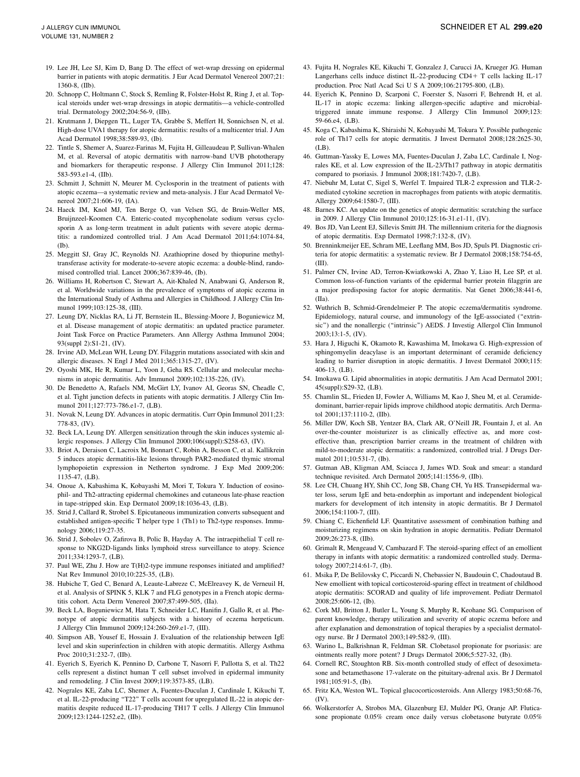- <span id="page-24-0"></span>19. Lee JH, Lee SJ, Kim D, Bang D. The effect of wet-wrap dressing on epidermal barrier in patients with atopic dermatitis. J Eur Acad Dermatol Venereol 2007;21: 1360-8, (IIb).
- 20. Schnopp C, Holtmann C, Stock S, Remling R, Folster-Holst R, Ring J, et al. Topical steroids under wet-wrap dressings in atopic dermatitis—a vehicle-controlled trial. Dermatology 2002;204:56-9, (IIb).
- 21. Krutmann J, Diepgen TL, Luger TA, Grabbe S, Meffert H, Sonnichsen N, et al. High-dose UVA1 therapy for atopic dermatitis: results of a multicenter trial. J Am Acad Dermatol 1998;38:589-93, (Ib).
- 22. Tintle S, Shemer A, Suarez-Farinas M, Fujita H, Gilleaudeau P, Sullivan-Whalen M, et al. Reversal of atopic dermatitis with narrow-band UVB phototherapy and biomarkers for therapeutic response. J Allergy Clin Immunol 2011;128: 583-593.e1-4, (IIb).
- 23. Schmitt J, Schmitt N, Meurer M. Cyclosporin in the treatment of patients with atopic eczema—a systematic review and meta-analysis. J Eur Acad Dermatol Venereol 2007;21:606-19, (IA).
- 24. Haeck IM, Knol MJ, Ten Berge O, van Velsen SG, de Bruin-Weller MS, Bruijnzeel-Koomen CA. Enteric-coated mycophenolate sodium versus cyclosporin A as long-term treatment in adult patients with severe atopic dermatitis: a randomized controlled trial. J Am Acad Dermatol 2011;64:1074-84, (Ib).
- 25. Meggitt SJ, Gray JC, Reynolds NJ. Azathioprine dosed by thiopurine methyltransferase activity for moderate-to-severe atopic eczema: a double-blind, randomised controlled trial. Lancet 2006;367:839-46, (Ib).
- 26. Williams H, Robertson C, Stewart A, Ait-Khaled N, Anabwani G, Anderson R, et al. Worldwide variations in the prevalence of symptoms of atopic eczema in the International Study of Asthma and Allergies in Childhood. J Allergy Clin Immunol 1999;103:125-38, (III).
- 27. Leung DY, Nicklas RA, Li JT, Bernstein IL, Blessing-Moore J, Boguniewicz M, et al. Disease management of atopic dermatitis: an updated practice parameter. Joint Task Force on Practice Parameters. Ann Allergy Asthma Immunol 2004; 93(suppl 2):S1-21, (IV).
- 28. Irvine AD, McLean WH, Leung DY. Filaggrin mutations associated with skin and allergic diseases. N Engl J Med 2011;365:1315-27, (IV).
- 29. Oyoshi MK, He R, Kumar L, Yoon J, Geha RS. Cellular and molecular mechanisms in atopic dermatitis. Adv Immunol 2009;102:135-226, (IV).
- 30. De Benedetto A, Rafaels NM, McGirt LY, Ivanov AI, Georas SN, Cheadle C, et al. Tight junction defects in patients with atopic dermatitis. J Allergy Clin Immunol 2011;127:773-786.e1-7, (LB).
- 31. Novak N, Leung DY. Advances in atopic dermatitis. Curr Opin Immunol 2011;23: 778-83, (IV).
- 32. Beck LA, Leung DY. Allergen sensitization through the skin induces systemic allergic responses. J Allergy Clin Immunol 2000;106(suppl):S258-63, (IV).
- 33. Briot A, Deraison C, Lacroix M, Bonnart C, Robin A, Besson C, et al. Kallikrein 5 induces atopic dermatitis-like lesions through PAR2-mediated thymic stromal lymphopoietin expression in Netherton syndrome. J Exp Med 2009;206: 1135-47, (LB).
- 34. Onoue A, Kabashima K, Kobayashi M, Mori T, Tokura Y. Induction of eosinophil- and Th2-attracting epidermal chemokines and cutaneous late-phase reaction in tape-stripped skin. Exp Dermatol 2009;18:1036-43, (LB).
- 35. Strid J, Callard R, Strobel S. Epicutaneous immunization converts subsequent and established antigen-specific T helper type 1 (Th1) to Th2-type responses. Immunology 2006;119:27-35.
- 36. Strid J, Sobolev O, Zafirova B, Polic B, Hayday A. The intraepithelial T cell response to NKG2D-ligands links lymphoid stress surveillance to atopy. Science 2011;334:1293-7, (LB).
- 37. Paul WE, Zhu J. How are T(H)2-type immune responses initiated and amplified? Nat Rev Immunol 2010;10:225-35, (LB).
- 38. Hubiche T, Ged C, Benard A, Leaute-Labreze C, McElreavey K, de Verneuil H, et al. Analysis of SPINK 5, KLK 7 and FLG genotypes in a French atopic dermatitis cohort. Acta Derm Venereol 2007;87:499-505, (IIa).
- 39. Beck LA, Boguniewicz M, Hata T, Schneider LC, Hanifin J, Gallo R, et al. Phenotype of atopic dermatitis subjects with a history of eczema herpeticum. J Allergy Clin Immunol 2009;124:260-269.e1-7, (III).
- 40. Simpson AB, Yousef E, Hossain J. Evaluation of the relationship between IgE level and skin superinfection in children with atopic dermatitis. Allergy Asthma Proc 2010;31:232-7, (IIb).
- 41. Eyerich S, Eyerich K, Pennino D, Carbone T, Nasorri F, Pallotta S, et al. Th22 cells represent a distinct human T cell subset involved in epidermal immunity and remodeling. J Clin Invest 2009;119:3573-85, (LB).
- 42. Nograles KE, Zaba LC, Shemer A, Fuentes-Duculan J, Cardinale I, Kikuchi T, et al. IL-22-producing "T22" T cells account for upregulated IL-22 in atopic dermatitis despite reduced IL-17-producing TH17 T cells. J Allergy Clin Immunol 2009;123:1244-1252.e2, (IIb).
- 43. Fujita H, Nograles KE, Kikuchi T, Gonzalez J, Carucci JA, Krueger JG. Human Langerhans cells induce distinct IL-22-producing  $CD4+T$  cells lacking IL-17 production. Proc Natl Acad Sci U S A 2009;106:21795-800, (LB).
- 44. Eyerich K, Pennino D, Scarponi C, Foerster S, Nasorri F, Behrendt H, et al. IL-17 in atopic eczema: linking allergen-specific adaptive and microbialtriggered innate immune response. J Allergy Clin Immunol 2009;123: 59-66.e4, (LB).
- 45. Koga C, Kabashima K, Shiraishi N, Kobayashi M, Tokura Y. Possible pathogenic role of Th17 cells for atopic dermatitis. J Invest Dermatol 2008;128:2625-30,  $(LB)$ .
- 46. Guttman-Yassky E, Lowes MA, Fuentes-Duculan J, Zaba LC, Cardinale I, Nograles KE, et al. Low expression of the IL-23/Th17 pathway in atopic dermatitis compared to psoriasis. J Immunol 2008;181:7420-7, (LB).
- 47. Niebuhr M, Lutat C, Sigel S, Werfel T. Impaired TLR-2 expression and TLR-2 mediated cytokine secretion in macrophages from patients with atopic dermatitis. Allergy 2009;64:1580-7, (III).
- 48. Barnes KC. An update on the genetics of atopic dermatitis: scratching the surface in 2009. J Allergy Clin Immunol 2010;125:16-31.e1-11, (IV).
- 49. Bos JD, Van Leent EJ, Sillevis Smitt JH. The millennium criteria for the diagnosis of atopic dermatitis. Exp Dermatol 1998;7:132-8, (IV).
- 50. Brenninkmeijer EE, Schram ME, Leeflang MM, Bos JD, Spuls PI. Diagnostic criteria for atopic dermatitis: a systematic review. Br J Dermatol 2008;158:754-65, (III).
- 51. Palmer CN, Irvine AD, Terron-Kwiatkowski A, Zhao Y, Liao H, Lee SP, et al. Common loss-of-function variants of the epidermal barrier protein filaggrin are a major predisposing factor for atopic dermatitis. Nat Genet 2006;38:441-6, (IIa).
- 52. Wuthrich B, Schmid-Grendelmeier P. The atopic eczema/dermatitis syndrome. Epidemiology, natural course, and immunology of the IgE-associated (''extrinsic") and the nonallergic ("intrinsic") AEDS. J Investig Allergol Clin Immunol 2003;13:1-5, (IV).
- 53. Hara J, Higuchi K, Okamoto R, Kawashima M, Imokawa G. High-expression of sphingomyelin deacylase is an important determinant of ceramide deficiency leading to barrier disruption in atopic dermatitis. J Invest Dermatol 2000;115: 406-13, (LB).
- 54. Imokawa G. Lipid abnormalities in atopic dermatitis. J Am Acad Dermatol 2001; 45(suppl):S29-32, (LB).
- 55. Chamlin SL, Frieden IJ, Fowler A, Williams M, Kao J, Sheu M, et al. Ceramidedominant, barrier-repair lipids improve childhood atopic dermatitis. Arch Dermatol 2001;137:1110-2, (IIb).
- 56. Miller DW, Koch SB, Yentzer BA, Clark AR, O'Neill JR, Fountain J, et al. An over-the-counter moisturizer is as clinically effective as, and more costeffective than, prescription barrier creams in the treatment of children with mild-to-moderate atopic dermatitis: a randomized, controlled trial. J Drugs Dermatol 2011;10:531-7, (Ib).
- 57. Gutman AB, Kligman AM, Sciacca J, James WD. Soak and smear: a standard technique revisited. Arch Dermatol 2005;141:1556-9, (IIb).
- 58. Lee CH, Chuang HY, Shih CC, Jong SB, Chang CH, Yu HS. Transepidermal water loss, serum IgE and beta-endorphin as important and independent biological markers for development of itch intensity in atopic dermatitis. Br J Dermatol 2006;154:1100-7, (III).
- 59. Chiang C, Eichenfield LF. Quantitative assessment of combination bathing and moisturizing regimens on skin hydration in atopic dermatitis. Pediatr Dermatol 2009;26:273-8, (IIb).
- 60. Grimalt R, Mengeaud V, Cambazard F. The steroid-sparing effect of an emollient therapy in infants with atopic dermatitis: a randomized controlled study. Dermatology 2007;214:61-7, (Ib).
- 61. Msika P, De Belilovsky C, Piccardi N, Chebassier N, Baudouin C, Chadoutaud B. New emollient with topical corticosteroid-sparing effect in treatment of childhood atopic dermatitis: SCORAD and quality of life improvement. Pediatr Dermatol 2008;25:606-12, (Ib).
- 62. Cork MJ, Britton J, Butler L, Young S, Murphy R, Keohane SG. Comparison of parent knowledge, therapy utilization and severity of atopic eczema before and after explanation and demonstration of topical therapies by a specialist dermatology nurse. Br J Dermatol 2003;149:582-9, (III).
- 63. Warino L, Balkrishnan R, Feldman SR. Clobetasol propionate for psoriasis: are ointments really more potent? J Drugs Dermatol 2006;5:527-32, (Ib).
- 64. Cornell RC, Stoughton RB. Six-month controlled study of effect of desoximetasone and betamethasone 17-valerate on the pituitary-adrenal axis. Br J Dermatol 1981;105:91-5, (Ib).
- 65. Fritz KA, Weston WL. Topical glucocorticosteroids. Ann Allergy 1983;50:68-76, (IV).
- 66. Wolkerstorfer A, Strobos MA, Glazenburg EJ, Mulder PG, Oranje AP. Fluticasone propionate 0.05% cream once daily versus clobetasone butyrate 0.05%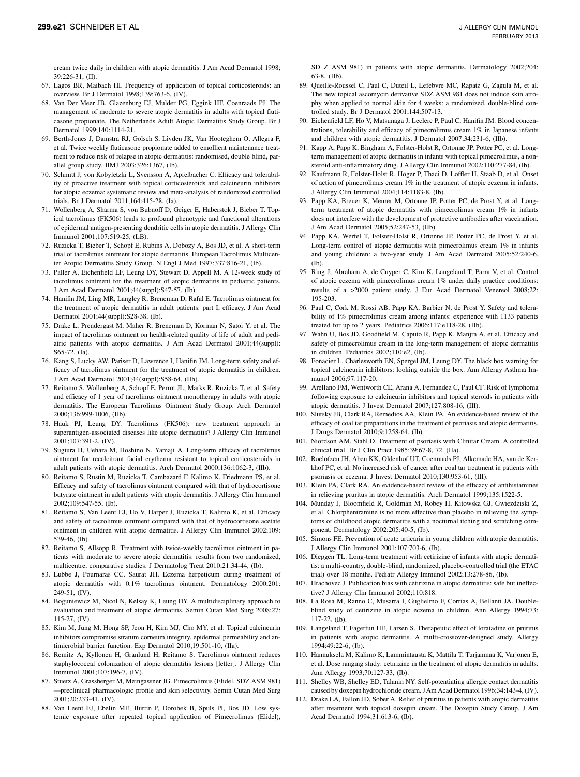<span id="page-25-0"></span>cream twice daily in children with atopic dermatitis. J Am Acad Dermatol 1998; 39:226-31, (II).

- 67. Lagos BR, Maibach HI. Frequency of application of topical corticosteroids: an overview. Br J Dermatol 1998;139:763-6, (IV).
- 68. Van Der Meer JB, Glazenburg EJ, Mulder PG, Eggink HF, Coenraads PJ. The management of moderate to severe atopic dermatitis in adults with topical fluticasone propionate. The Netherlands Adult Atopic Dermatitis Study Group. Br J Dermatol 1999;140:1114-21.
- 69. Berth-Jones J, Damstra RJ, Golsch S, Livden JK, Van Hooteghem O, Allegra F, et al. Twice weekly fluticasone propionate added to emollient maintenance treatment to reduce risk of relapse in atopic dermatitis: randomised, double blind, parallel group study. BMJ 2003;326:1367, (Ib).
- 70. Schmitt J, von Kobyletzki L, Svensson A, Apfelbacher C. Efficacy and tolerability of proactive treatment with topical corticosteroids and calcineurin inhibitors for atopic eczema: systematic review and meta-analysis of randomized controlled trials. Br J Dermatol 2011;164:415-28, (Ia).
- 71. Wollenberg A, Sharma S, von Bubnoff D, Geiger E, Haberstok J, Bieber T. Topical tacrolimus (FK506) leads to profound phenotypic and functional alterations of epidermal antigen-presenting dendritic cells in atopic dermatitis. J Allergy Clin Immunol 2001;107:519-25, (LB).
- 72. Ruzicka T, Bieber T, Schopf E, Rubins A, Dobozy A, Bos JD, et al. A short-term trial of tacrolimus ointment for atopic dermatitis. European Tacrolimus Multicenter Atopic Dermatitis Study Group. N Engl J Med 1997;337:816-21, (Ib).
- 73. Paller A, Eichenfield LF, Leung DY, Stewart D, Appell M. A 12-week study of tacrolimus ointment for the treatment of atopic dermatitis in pediatric patients. J Am Acad Dermatol 2001;44(suppl):S47-57, (Ib).
- 74. Hanifin JM, Ling MR, Langley R, Breneman D, Rafal E. Tacrolimus ointment for the treatment of atopic dermatitis in adult patients: part I, efficacy. J Am Acad Dermatol 2001;44(suppl):S28-38, (Ib).
- 75. Drake L, Prendergast M, Maher R, Breneman D, Korman N, Satoi Y, et al. The impact of tacrolimus ointment on health-related quality of life of adult and pediatric patients with atopic dermatitis. J Am Acad Dermatol 2001;44(suppl): S65-72, (Ia).
- 76. Kang S, Lucky AW, Pariser D, Lawrence I, Hanifin JM. Long-term safety and efficacy of tacrolimus ointment for the treatment of atopic dermatitis in children. J Am Acad Dermatol 2001;44(suppl):S58-64, (IIb).
- 77. Reitamo S, Wollenberg A, Schopf E, Perrot JL, Marks R, Ruzicka T, et al. Safety and efficacy of 1 year of tacrolimus ointment monotherapy in adults with atopic dermatitis. The European Tacrolimus Ointment Study Group. Arch Dermatol 2000;136:999-1006, (IIb).
- 78. Hauk PJ, Leung DY. Tacrolimus (FK506): new treatment approach in superantigen-associated diseases like atopic dermatitis? J Allergy Clin Immunol 2001;107:391-2, (IV).
- 79. Sugiura H, Uehara M, Hoshino N, Yamaji A. Long-term efficacy of tacrolimus ointment for recalcitrant facial erythema resistant to topical corticosteroids in adult patients with atopic dermatitis. Arch Dermatol 2000;136:1062-3, (IIb).
- 80. Reitamo S, Rustin M, Ruzicka T, Cambazard F, Kalimo K, Friedmann PS, et al. Efficacy and safety of tacrolimus ointment compared with that of hydrocortisone butyrate ointment in adult patients with atopic dermatitis. J Allergy Clin Immunol 2002;109:547-55, (Ib).
- 81. Reitamo S, Van Leent EJ, Ho V, Harper J, Ruzicka T, Kalimo K, et al. Efficacy and safety of tacrolimus ointment compared with that of hydrocortisone acetate ointment in children with atopic dermatitis. J Allergy Clin Immunol 2002;109: 539-46, (Ib).
- 82. Reitamo S, Allsopp R. Treatment with twice-weekly tacrolimus ointment in patients with moderate to severe atopic dermatitis: results from two randomized, multicentre, comparative studies. J Dermatolog Treat 2010;21:34-44, (Ib).
- 83. Lubbe J, Pournaras CC, Saurat JH. Eczema herpeticum during treatment of atopic dermatitis with 0.1% tacrolimus ointment. Dermatology 2000;201: 249-51, (IV).
- 84. Boguniewicz M, Nicol N, Kelsay K, Leung DY. A multidisciplinary approach to evaluation and treatment of atopic dermatitis. Semin Cutan Med Surg 2008;27: 115-27, (IV).
- 85. Kim M, Jung M, Hong SP, Jeon H, Kim MJ, Cho MY, et al. Topical calcineurin inhibitors compromise stratum corneum integrity, epidermal permeability and antimicrobial barrier function. Exp Dermatol 2010;19:501-10, (IIa).
- 86. Remitz A, Kyllonen H, Granlund H, Reitamo S. Tacrolimus ointment reduces staphylococcal colonization of atopic dermatitis lesions [letter]. J Allergy Clin Immunol 2001;107:196-7, (IV).
- 87. Stuetz A, Grassberger M, Meingassner JG. Pimecrolimus (Elidel, SDZ ASM 981) —preclinical pharmacologic profile and skin selectivity. Semin Cutan Med Surg 2001;20:233-41, (IV).
- 88. Van Leent EJ, Ebelin ME, Burtin P, Dorobek B, Spuls PI, Bos JD. Low systemic exposure after repeated topical application of Pimecrolimus (Elidel),

SD Z ASM 981) in patients with atopic dermatitis. Dermatology 2002;204: 63-8, (IIb).

- 89. Queille-Roussel C, Paul C, Duteil L, Lefebvre MC, Rapatz G, Zagula M, et al. The new topical ascomycin derivative SDZ ASM 981 does not induce skin atrophy when applied to normal skin for 4 weeks: a randomized, double-blind controlled study. Br J Dermatol 2001;144:507-13.
- 90. Eichenfield LF, Ho V, Matsunaga J, Leclerc P, Paul C, Hanifin JM. Blood concentrations, tolerability and efficacy of pimecrolimus cream 1% in Japanese infants and children with atopic dermatitis. J Dermatol 2007;34:231-6, (IIb).
- 91. Kapp A, Papp K, Bingham A, Folster-Holst R, Ortonne JP, Potter PC, et al. Longterm management of atopic dermatitis in infants with topical pimecrolimus, a nonsteroid anti-inflammatory drug. J Allergy Clin Immunol 2002;110:277-84, (Ib).
- 92. Kaufmann R, Folster-Holst R, Hoger P, Thaci D, Loffler H, Staab D, et al. Onset of action of pimecrolimus cream 1% in the treatment of atopic eczema in infants. J Allergy Clin Immunol 2004;114:1183-8, (Ib).
- 93. Papp KA, Breuer K, Meurer M, Ortonne JP, Potter PC, de Prost Y, et al. Longterm treatment of atopic dermatitis with pimecrolimus cream 1% in infants does not interfere with the development of protective antibodies after vaccination. J Am Acad Dermatol 2005;52:247-53, (IIb).
- 94. Papp KA, Werfel T, Folster-Holst R, Ortonne JP, Potter PC, de Prost Y, et al. Long-term control of atopic dermatitis with pimecrolimus cream 1% in infants and young children: a two-year study. J Am Acad Dermatol 2005;52:240-6, (Ib).
- 95. Ring J, Abraham A, de Cuyper C, Kim K, Langeland T, Parra V, et al. Control of atopic eczema with pimecrolimus cream 1% under daily practice conditions: results of a >2000 patient study. J Eur Acad Dermatol Venereol 2008;22: 195-203.
- 96. Paul C, Cork M, Rossi AB, Papp KA, Barbier N, de Prost Y. Safety and tolerability of 1% pimecrolimus cream among infants: experience with 1133 patients treated for up to 2 years. Pediatrics 2006;117:e118-28, (IIb).
- 97. Wahn U, Bos JD, Goodfield M, Caputo R, Papp K, Manjra A, et al. Efficacy and safety of pimecrolimus cream in the long-term management of atopic dermatitis in children. Pediatrics 2002;110:e2, (Ib).
- 98. Fonacier L, Charlesworth EN, Spergel JM, Leung DY. The black box warning for topical calcineurin inhibitors: looking outside the box. Ann Allergy Asthma Immunol 2006;97:117-20.
- 99. Arellano FM, Wentworth CE, Arana A, Fernandez C, Paul CF. Risk of lymphoma following exposure to calcineurin inhibitors and topical steroids in patients with atopic dermatitis. J Invest Dermatol 2007;127:808-16, (III).
- 100. Slutsky JB, Clark RA, Remedios AA, Klein PA. An evidence-based review of the efficacy of coal tar preparations in the treatment of psoriasis and atopic dermatitis. J Drugs Dermatol 2010;9:1258-64, (Ib).
- 101. Niordson AM, Stahl D. Treatment of psoriasis with Clinitar Cream. A controlled clinical trial. Br J Clin Pract 1985;39:67-8, 72. (IIa).
- 102. Roelofzen JH, Aben KK, Oldenhof UT, Coenraads PJ, Alkemade HA, van de Kerkhof PC, et al. No increased risk of cancer after coal tar treatment in patients with psoriasis or eczema. J Invest Dermatol 2010;130:953-61, (III).
- 103. Klein PA, Clark RA. An evidence-based review of the efficacy of antihistamines in relieving pruritus in atopic dermatitis. Arch Dermatol 1999;135:1522-5.
- 104. Munday J, Bloomfield R, Goldman M, Robey H, Kitowska GJ, Gwiezdziski Z, et al. Chlorpheniramine is no more effective than placebo in relieving the symptoms of childhood atopic dermatitis with a nocturnal itching and scratching component. Dermatology 2002;205:40-5, (Ib).
- 105. Simons FE. Prevention of acute urticaria in young children with atopic dermatitis. J Allergy Clin Immunol 2001;107:703-6, (Ib).
- 106. Diepgen TL. Long-term treatment with cetirizine of infants with atopic dermatitis: a multi-country, double-blind, randomized, placebo-controlled trial (the ETAC trial) over 18 months. Pediatr Allergy Immunol 2002;13:278-86, (Ib).
- 107. Hrachovec J. Publication bias with cetirizine in atopic dermatitis: safe but ineffective? J Allergy Clin Immunol 2002;110:818.
- 108. La Rosa M, Ranno C, Musarra I, Guglielmo F, Corrias A, Bellanti JA. Doubleblind study of cetirizine in atopic eczema in children. Ann Allergy 1994;73: 117-22, (Ib).
- 109. Langeland T, Fagertun HE, Larsen S. Therapeutic effect of loratadine on pruritus in patients with atopic dermatitis. A multi-crossover-designed study. Allergy 1994;49:22-6, (Ib).
- 110. Hannuksela M, Kalimo K, Lammintausta K, Mattila T, Turjanmaa K, Varjonen E, et al. Dose ranging study: cetirizine in the treatment of atopic dermatitis in adults. Ann Allergy 1993;70:127-33, (Ib).
- 111. Shelley WB, Shelley ED, Talanin NY. Self-potentiating allergic contact dermatitis caused by doxepin hydrochloride cream. JAm Acad Dermatol 1996;34:143-4, (IV).
- 112. Drake LA, Fallon JD, Sober A. Relief of pruritus in patients with atopic dermatitis after treatment with topical doxepin cream. The Doxepin Study Group. J Am Acad Dermatol 1994;31:613-6, (Ib).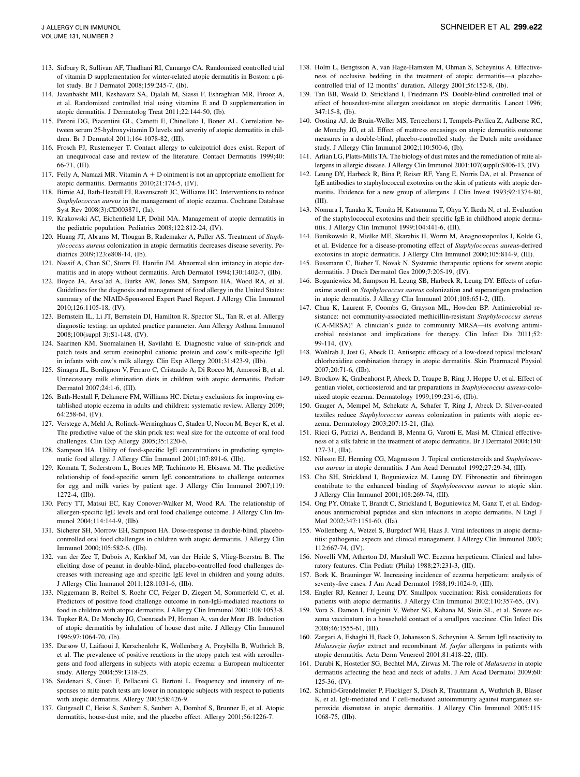- <span id="page-26-0"></span>113. Sidbury R, Sullivan AF, Thadhani RI, Camargo CA. Randomized controlled trial of vitamin D supplementation for winter-related atopic dermatitis in Boston: a pilot study. Br J Dermatol 2008;159:245-7, (Ib).
- 114. Javanbakht MH, Keshavarz SA, Djalali M, Siassi F, Eshraghian MR, Firooz A, et al. Randomized controlled trial using vitamins E and D supplementation in atopic dermatitis. J Dermatolog Treat 2011;22:144-50, (Ib).
- 115. Peroni DG, Piacentini GL, Cametti E, Chinellato I, Boner AL. Correlation between serum 25-hydroxyvitamin D levels and severity of atopic dermatitis in children. Br J Dermatol 2011;164:1078-82, (III).
- 116. Frosch PJ, Rustemeyer T. Contact allergy to calcipotriol does exist. Report of an unequivocal case and review of the literature. Contact Dermatitis 1999;40: 66-71, (III).
- 117. Feily A, Namazi MR. Vitamin  $A + D$  ointment is not an appropriate emollient for atopic dermatitis. Dermatitis 2010;21:174-5, (IV).
- 118. Birnie AJ, Bath-Hextall FJ, Ravenscroft JC, Williams HC. Interventions to reduce Staphylococcus aureus in the management of atopic eczema. Cochrane Database Syst Rev 2008(3):CD003871, (Ia).
- 119. Krakowski AC, Eichenfield LF, Dohil MA. Management of atopic dermatitis in the pediatric population. Pediatrics 2008;122:812-24, (IV).
- 120. Huang JT, Abrams M, Tlougan B, Rademaker A, Paller AS. Treatment of Staphylococcus aureus colonization in atopic dermatitis decreases disease severity. Pediatrics 2009;123:e808-14, (Ib).
- 121. Nassif A, Chan SC, Storrs FJ, Hanifin JM. Abnormal skin irritancy in atopic dermatitis and in atopy without dermatitis. Arch Dermatol 1994;130:1402-7, (IIb).
- 122. Boyce JA, Assa'ad A, Burks AW, Jones SM, Sampson HA, Wood RA, et al. Guidelines for the diagnosis and management of food allergy in the United States: summary of the NIAID-Sponsored Expert Panel Report. J Allergy Clin Immunol 2010;126:1105-18, (IV).
- 123. Bernstein IL, Li JT, Bernstein DI, Hamilton R, Spector SL, Tan R, et al. Allergy diagnostic testing: an updated practice parameter. Ann Allergy Asthma Immunol 2008;100(suppl 3):S1-148, (IV).
- 124. Saarinen KM, Suomalainen H, Savilahti E. Diagnostic value of skin-prick and patch tests and serum eosinophil cationic protein and cow's milk-specific IgE in infants with cow's milk allergy. Clin Exp Allergy 2001;31:423-9, (IIb).
- 125. Sinagra JL, Bordignon V, Ferraro C, Cristaudo A, Di Rocco M, Amorosi B, et al. Unnecessary milk elimination diets in children with atopic dermatitis. Pediatr Dermatol 2007;24:1-6, (III).
- 126. Bath-Hextall F, Delamere FM, Williams HC. Dietary exclusions for improving established atopic eczema in adults and children: systematic review. Allergy 2009; 64:258-64, (IV).
- 127. Verstege A, Mehl A, Rolinck-Werninghaus C, Staden U, Nocon M, Beyer K, et al. The predictive value of the skin prick test weal size for the outcome of oral food challenges. Clin Exp Allergy 2005;35:1220-6.
- 128. Sampson HA. Utility of food-specific IgE concentrations in predicting symptomatic food allergy. J Allergy Clin Immunol 2001;107:891-6, (IIb).
- 129. Komata T, Soderstrom L, Borres MP, Tachimoto H, Ebisawa M. The predictive relationship of food-specific serum IgE concentrations to challenge outcomes for egg and milk varies by patient age. J Allergy Clin Immunol 2007;119: 1272-4, (IIb).
- 130. Perry TT, Matsui EC, Kay Conover-Walker M, Wood RA. The relationship of allergen-specific IgE levels and oral food challenge outcome. J Allergy Clin Immunol 2004;114:144-9, (IIb).
- 131. Sicherer SH, Morrow EH, Sampson HA. Dose-response in double-blind, placebocontrolled oral food challenges in children with atopic dermatitis. J Allergy Clin Immunol 2000;105:582-6, (IIb).
- 132. van der Zee T, Dubois A, Kerkhof M, van der Heide S, Vlieg-Boerstra B. The eliciting dose of peanut in double-blind, placebo-controlled food challenges decreases with increasing age and specific IgE level in children and young adults. J Allergy Clin Immunol 2011;128:1031-6, (IIb).
- 133. Niggemann B, Reibel S, Roehr CC, Felger D, Ziegert M, Sommerfeld C, et al. Predictors of positive food challenge outcome in non-IgE-mediated reactions to food in children with atopic dermatitis. J Allergy Clin Immunol 2001;108:1053-8.
- 134. Tupker RA, De Monchy JG, Coenraads PJ, Homan A, van der Meer JB. Induction of atopic dermatitis by inhalation of house dust mite. J Allergy Clin Immunol 1996;97:1064-70, (Ib).
- 135. Darsow U, Laifaoui J, Kerschenlohr K, Wollenberg A, Przybilla B, Wuthrich B, et al. The prevalence of positive reactions in the atopy patch test with aeroallergens and food allergens in subjects with atopic eczema: a European multicenter study. Allergy 2004;59:1318-25.
- 136. Seidenari S, Giusti F, Pellacani G, Bertoni L. Frequency and intensity of responses to mite patch tests are lower in nonatopic subjects with respect to patients with atopic dermatitis. Allergy 2003;58:426-9.
- 137. Gutgesell C, Heise S, Seubert S, Seubert A, Domhof S, Brunner E, et al. Atopic dermatitis, house-dust mite, and the placebo effect. Allergy 2001;56:1226-7.
- 138. Holm L, Bengtsson A, van Hage-Hamsten M, Ohman S, Scheynius A. Effectiveness of occlusive bedding in the treatment of atopic dermatitis—a placebocontrolled trial of 12 months' duration. Allergy 2001;56:152-8, (Ib).
- 139. Tan BB, Weald D, Strickland I, Friedmann PS. Double-blind controlled trial of effect of housedust-mite allergen avoidance on atopic dermatitis. Lancet 1996; 347:15-8, (Ib).
- 140. Oosting AJ, de Bruin-Weller MS, Terreehorst I, Tempels-Pavlica Z, Aalberse RC, de Monchy JG, et al. Effect of mattress encasings on atopic dermatitis outcome measures in a double-blind, placebo-controlled study: the Dutch mite avoidance study. J Allergy Clin Immunol 2002;110:500-6, (Ib).
- 141. Arlian LG, Platts-Mills TA. The biology of dust mites and the remediation of mite allergens in allergic disease. J Allergy Clin Immunol 2001;107(suppl):S406-13, (IV).
- 142. Leung DY, Harbeck R, Bina P, Reiser RF, Yang E, Norris DA, et al. Presence of IgE antibodies to staphylococcal exotoxins on the skin of patients with atopic dermatitis. Evidence for a new group of allergens. J Clin Invest 1993;92:1374-80, (III).
- 143. Nomura I, Tanaka K, Tomita H, Katsunuma T, Ohya Y, Ikeda N, et al. Evaluation of the staphylococcal exotoxins and their specific IgE in childhood atopic dermatitis. J Allergy Clin Immunol 1999;104:441-6, (III).
- 144. Bunikowski R, Mielke ME, Skarabis H, Worm M, Anagnostopoulos I, Kolde G, et al. Evidence for a disease-promoting effect of Staphylococcus aureus-derived exotoxins in atopic dermatitis. J Allergy Clin Immunol 2000;105:814-9, (III).
- 145. Bussmann C, Bieber T, Novak N. Systemic therapeutic options for severe atopic dermatitis. J Dtsch Dermatol Ges 2009;7:205-19, (IV).
- 146. Boguniewicz M, Sampson H, Leung SB, Harbeck R, Leung DY. Effects of cefuroxime axetil on Staphylococcus aureus colonization and superantigen production in atopic dermatitis. J Allergy Clin Immunol 2001;108:651-2, (III).
- 147. Chua K, Laurent F, Coombs G, Grayson ML, Howden BP. Antimicrobial resistance: not community-associated methicillin-resistant Staphylococcus aureus (CA-MRSA)! A clinician's guide to community MRSA—its evolving antimicrobial resistance and implications for therapy. Clin Infect Dis 2011;52: 99-114, (IV).
- 148. Wohlrab J, Jost G, Abeck D. Antiseptic efficacy of a low-dosed topical triclosan/ chlorhexidine combination therapy in atopic dermatitis. Skin Pharmacol Physiol 2007;20:71-6, (IIb).
- 149. Brockow K, Grabenhorst P, Abeck D, Traupe B, Ring J, Hoppe U, et al. Effect of gentian violet, corticosteroid and tar preparations in Staphylococcus aureus-colonized atopic eczema. Dermatology 1999;199:231-6, (IIb).
- 150. Gauger A, Mempel M, Schekatz A, Schafer T, Ring J, Abeck D. Silver-coated textiles reduce Staphylococcus aureus colonization in patients with atopic eczema. Dermatology 2003;207:15-21, (IIa).
- 151. Ricci G, Patrizi A, Bendandi B, Menna G, Varotti E, Masi M. Clinical effectiveness of a silk fabric in the treatment of atopic dermatitis. Br J Dermatol 2004;150: 127-31, (IIa).
- 152. Nilsson EJ, Henning CG, Magnusson J. Topical corticosteroids and Staphylococcus aureus in atopic dermatitis. J Am Acad Dermatol 1992;27:29-34, (III).
- 153. Cho SH, Strickland I, Boguniewicz M, Leung DY. Fibronectin and fibrinogen contribute to the enhanced binding of Staphylococcus aureus to atopic skin. J Allergy Clin Immunol 2001;108:269-74, (III).
- 154. Ong PY, Ohtake T, Brandt C, Strickland I, Boguniewicz M, Ganz T, et al. Endogenous antimicrobial peptides and skin infections in atopic dermatitis. N Engl J Med 2002;347:1151-60, (IIa).
- 155. Wollenberg A, Wetzel S, Burgdorf WH, Haas J. Viral infections in atopic dermatitis: pathogenic aspects and clinical management. J Allergy Clin Immunol 2003; 112:667-74, (IV).
- 156. Novelli VM, Atherton DJ, Marshall WC. Eczema herpeticum. Clinical and laboratory features. Clin Pediatr (Phila) 1988;27:231-3, (III).
- 157. Bork K, Brauninger W. Increasing incidence of eczema herpeticum: analysis of seventy-five cases. J Am Acad Dermatol 1988;19:1024-9, (III).
- 158. Engler RJ, Kenner J, Leung DY. Smallpox vaccination: Risk considerations for patients with atopic dermatitis. J Allergy Clin Immunol 2002;110:357-65, (IV).
- 159. Vora S, Damon I, Fulginiti V, Weber SG, Kahana M, Stein SL, et al. Severe eczema vaccinatum in a household contact of a smallpox vaccinee. Clin Infect Dis 2008;46:1555-61, (III).
- 160. Zargari A, Eshaghi H, Back O, Johansson S, Scheynius A. Serum IgE reactivity to Malassezia furfur extract and recombinant M. furfur allergens in patients with atopic dermatitis. Acta Derm Venereol 2001;81:418-22, (III).
- 161. Darabi K, Hostetler SG, Bechtel MA, Zirwas M. The role of Malassezia in atopic dermatitis affecting the head and neck of adults. J Am Acad Dermatol 2009;60: 125-36, (IV).
- 162. Schmid-Grendelmeier P, Fluckiger S, Disch R, Trautmann A, Wuthrich B, Blaser K, et al. IgE-mediated and T cell-mediated autoimmunity against manganese superoxide dismutase in atopic dermatitis. J Allergy Clin Immunol 2005;115: 1068-75, (IIb).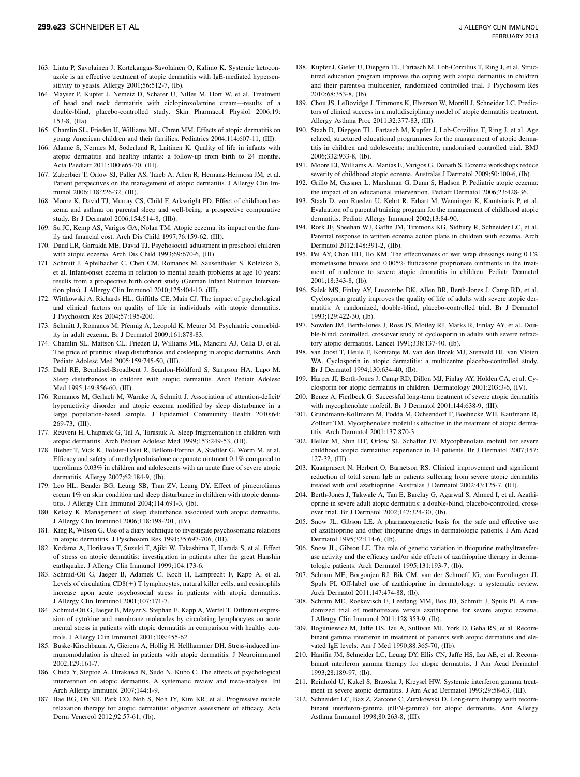- <span id="page-27-0"></span>163. Lintu P, Savolainen J, Kortekangas-Savolainen O, Kalimo K. Systemic ketoconazole is an effective treatment of atopic dermatitis with IgE-mediated hypersensitivity to yeasts. Allergy 2001;56:512-7, (Ib).
- 164. Mayser P, Kupfer J, Nemetz D, Schafer U, Nilles M, Hort W, et al. Treatment of head and neck dermatitis with ciclopiroxolamine cream—results of a double-blind, placebo-controlled study. Skin Pharmacol Physiol 2006;19: 153-8, (IIa).
- 165. Chamlin SL, Frieden IJ, Williams ML, Chren MM. Effects of atopic dermatitis on young American children and their families. Pediatrics 2004;114:607-11, (III).
- 166. Alanne S, Nermes M, Soderlund R, Laitinen K. Quality of life in infants with atopic dermatitis and healthy infants: a follow-up from birth to 24 months. Acta Paediatr 2011;100:e65-70, (III).
- 167. Zuberbier T, Orlow SJ, Paller AS, Taieb A, Allen R, Hernanz-Hermosa JM, et al. Patient perspectives on the management of atopic dermatitis. J Allergy Clin Immunol 2006;118:226-32, (III).
- 168. Moore K, David TJ, Murray CS, Child F, Arkwright PD. Effect of childhood eczema and asthma on parental sleep and well-being: a prospective comparative study. Br J Dermatol 2006;154:514-8, (IIb).
- 169. Su JC, Kemp AS, Varigos GA, Nolan TM. Atopic eczema: its impact on the family and financial cost. Arch Dis Child 1997;76:159-62, (III).
- 170. Daud LR, Garralda ME, David TJ. Psychosocial adjustment in preschool children with atopic eczema. Arch Dis Child 1993;69:670-6, (III).
- 171. Schmitt J, Apfelbacher C, Chen CM, Romanos M, Sausenthaler S, Koletzko S, et al. Infant-onset eczema in relation to mental health problems at age 10 years: results from a prospective birth cohort study (German Infant Nutrition Intervention plus). J Allergy Clin Immunol 2010;125:404-10, (III).
- 172. Wittkowski A, Richards HL, Griffiths CE, Main CJ. The impact of psychological and clinical factors on quality of life in individuals with atopic dermatitis. J Psychosom Res 2004;57:195-200.
- 173. Schmitt J, Romanos M, Pfennig A, Leopold K, Meurer M. Psychiatric comorbidity in adult eczema. Br J Dermatol 2009;161:878-83.
- 174. Chamlin SL, Mattson CL, Frieden IJ, Williams ML, Mancini AJ, Cella D, et al. The price of pruritus: sleep disturbance and cosleeping in atopic dermatitis. Arch Pediatr Adolesc Med 2005;159:745-50, (III).
- 175. Dahl RE, Bernhisel-Broadbent J, Scanlon-Holdford S, Sampson HA, Lupo M. Sleep disturbances in children with atopic dermatitis. Arch Pediatr Adolesc Med 1995;149:856-60, (III).
- 176. Romanos M, Gerlach M, Warnke A, Schmitt J. Association of attention-deficit/ hyperactivity disorder and atopic eczema modified by sleep disturbance in a large population-based sample. J Epidemiol Community Health 2010;64: 269-73, (III).
- 177. Reuveni H, Chapnick G, Tal A, Tarasiuk A. Sleep fragmentation in children with atopic dermatitis. Arch Pediatr Adolesc Med 1999;153:249-53, (III).
- 178. Bieber T, Vick K, Folster-Holst R, Belloni-Fortina A, Stadtler G, Worm M, et al. Efficacy and safety of methylprednisolone aceponate ointment 0.1% compared to tacrolimus 0.03% in children and adolescents with an acute flare of severe atopic dermatitis. Allergy 2007;62:184-9, (Ib).
- 179. Leo HL, Bender BG, Leung SB, Tran ZV, Leung DY. Effect of pimecrolimus cream 1% on skin condition and sleep disturbance in children with atopic dermatitis. J Allergy Clin Immunol 2004;114:691-3, (Ib).
- 180. Kelsay K. Management of sleep disturbance associated with atopic dermatitis. J Allergy Clin Immunol 2006;118:198-201, (IV).
- 181. King R, Wilson G. Use of a diary technique to investigate psychosomatic relations in atopic dermatitis. J Pyschosom Res 1991;35:697-706, (III).
- 182. Kodama A, Horikawa T, Suzuki T, Ajiki W, Takashima T, Harada S, et al. Effect of stress on atopic dermatitis: investigation in patients after the great Hanshin earthquake. J Allergy Clin Immunol 1999;104:173-6.
- 183. Schmid-Ott G, Jaeger B, Adamek C, Koch H, Lamprecht F, Kapp A, et al. Levels of circulating  $CD8(+)$  T lymphocytes, natural killer cells, and eosinophils increase upon acute psychosocial stress in patients with atopic dermatitis. J Allergy Clin Immunol 2001;107:171-7.
- 184. Schmid-Ott G, Jaeger B, Meyer S, Stephan E, Kapp A, Werfel T. Different expression of cytokine and membrane molecules by circulating lymphocytes on acute mental stress in patients with atopic dermatitis in comparison with healthy controls. J Allergy Clin Immunol 2001;108:455-62.
- 185. Buske-Kirschbaum A, Gierens A, Hollig H, Hellhammer DH. Stress-induced immunomodulation is altered in patients with atopic dermatitis. J Neuroimmunol 2002;129:161-7.
- 186. Chida Y, Steptoe A, Hirakawa N, Sudo N, Kubo C. The effects of psychological intervention on atopic dermatitis. A systematic review and meta-analysis. Int Arch Allergy Immunol 2007;144:1-9.
- 187. Bae BG, Oh SH, Park CO, Noh S, Noh JY, Kim KR, et al. Progressive muscle relaxation therapy for atopic dermatitis: objective assessment of efficacy. Acta Derm Venereol 2012;92:57-61, (Ib).
- 188. Kupfer J, Gieler U, Diepgen TL, Fartasch M, Lob-Corzilius T, Ring J, et al. Structured education program improves the coping with atopic dermatitis in children and their parents-a multicenter, randomized controlled trial. J Psychosom Res 2010;68:353-8, (Ib).
- 189. Chou JS, LeBovidge J, Timmons K, Elverson W, Morrill J, Schneider LC. Predictors of clinical success in a multidisciplinary model of atopic dermatitis treatment. Allergy Asthma Proc 2011;32:377-83, (III).
- 190. Staab D, Diepgen TL, Fartasch M, Kupfer J, Lob-Corzilius T, Ring J, et al. Age related, structured educational programmes for the management of atopic dermatitis in children and adolescents: multicentre, randomised controlled trial. BMJ 2006;332:933-8, (Ib).
- 191. Moore EJ, Williams A, Manias E, Varigos G, Donath S. Eczema workshops reduce severity of childhood atopic eczema. Australas J Dermatol 2009;50:100-6, (Ib).
- 192. Grillo M, Gassner L, Marshman G, Dunn S, Hudson P. Pediatric atopic eczema: the impact of an educational intervention. Pediatr Dermatol 2006;23:428-36.
- 193. Staab D, von Rueden U, Kehrt R, Erhart M, Wenninger K, Kamtsiuris P, et al. Evaluation of a parental training program for the management of childhood atopic dermatitis. Pediatr Allergy Immunol 2002;13:84-90.
- 194. Rork JF, Sheehan WJ, Gaffin JM, Timmons KG, Sidbury R, Schneider LC, et al. Parental response to written eczema action plans in children with eczema. Arch Dermatol 2012;148:391-2, (IIb).
- 195. Pei AY, Chan HH, Ho KM. The effectiveness of wet wrap dressings using 0.1% mometasone furoate and 0.005% fluticasone proprionate ointments in the treatment of moderate to severe atopic dermatitis in children. Pediatr Dermatol 2001;18:343-8, (Ib).
- 196. Salek MS, Finlay AY, Luscombe DK, Allen BR, Berth-Jones J, Camp RD, et al. Cyclosporin greatly improves the quality of life of adults with severe atopic dermatitis. A randomized, double-blind, placebo-controlled trial. Br J Dermatol 1993;129:422-30, (Ib).
- 197. Sowden JM, Berth-Jones J, Ross JS, Motley RJ, Marks R, Finlay AY, et al. Double-blind, controlled, crossover study of cyclosporin in adults with severe refractory atopic dermatitis. Lancet 1991;338:137-40, (Ib).
- 198. van Joost T, Heule F, Korstanje M, van den Broek MJ, Stenveld HJ, van Vloten WA. Cyclosporin in atopic dermatitis: a multicentre placebo-controlled study. Br J Dermatol 1994;130:634-40, (Ib).
- 199. Harper JI, Berth-Jones J, Camp RD, Dillon MJ, Finlay AY, Holden CA, et al. Cyclosporin for atopic dermatitis in children. Dermatology 2001;203:3-6, (IV).
- 200. Benez A, Fierlbeck G. Successful long-term treatment of severe atopic dermatitis with mycophenolate mofetil. Br J Dermatol 2001;144:638-9, (III).
- 201. Grundmann-Kollmann M, Podda M, Ochsendorf F, Boehncke WH, Kaufmann R, Zollner TM. Mycophenolate mofetil is effective in the treatment of atopic dermatitis. Arch Dermatol 2001;137:870-3.
- 202. Heller M, Shin HT, Orlow SJ, Schaffer JV. Mycophenolate mofetil for severe childhood atopic dermatitis: experience in 14 patients. Br J Dermatol 2007;157: 127-32, (III).
- 203. Kuanprasert N, Herbert O, Barnetson RS. Clinical improvement and significant reduction of total serum IgE in patients suffering from severe atopic dermatitis treated with oral azathioprine. Australas J Dermatol 2002;43:125-7, (III).
- 204. Berth-Jones J, Takwale A, Tan E, Barclay G, Agarwal S, Ahmed I, et al. Azathioprine in severe adult atopic dermatitis: a double-blind, placebo-controlled, crossover trial. Br J Dermatol 2002;147:324-30, (Ib).
- 205. Snow JL, Gibson LE. A pharmacogenetic basis for the safe and effective use of azathioprine and other thiopurine drugs in dermatologic patients. J Am Acad Dermatol 1995;32:114-6, (Ib).
- 206. Snow JL, Gibson LE. The role of genetic variation in thiopurine methyltransferase activity and the efficacy and/or side effects of azathioprine therapy in dermatologic patients. Arch Dermatol 1995;131:193-7, (Ib).
- 207. Schram ME, Borgonjen RJ, Bik CM, van der Schroeff JG, van Everdingen JJ, Spuls PI. Off-label use of azathioprine in dermatology: a systematic review. Arch Dermatol 2011;147:474-88, (Ib).
- 208. Schram ME, Roekevisch E, Leeflang MM, Bos JD, Schmitt J, Spuls PI. A randomized trial of methotrexate versus azathioprine for severe atopic eczema. J Allergy Clin Immunol 2011;128:353-9, (Ib).
- 209. Boguniewicz M, Jaffe HS, Izu A, Sullivan MJ, York D, Geha RS, et al. Recombinant gamma interferon in treatment of patients with atopic dermatitis and elevated IgE levels. Am J Med 1990;88:365-70, (IIb).
- 210. Hanifin JM, Schneider LC, Leung DY, Ellis CN, Jaffe HS, Izu AE, et al. Recombinant interferon gamma therapy for atopic dermatitis. J Am Acad Dermatol 1993;28:189-97, (Ib).
- 211. Reinhold U, Kukel S, Brzoska J, Kreysel HW. Systemic interferon gamma treatment in severe atopic dermatitis. J Am Acad Dermatol 1993;29:58-63, (III).
- 212. Schneider LC, Baz Z, Zarcone C, Zurakowski D. Long-term therapy with recombinant interferon-gamma (rIFN-gamma) for atopic dermatitis. Ann Allergy Asthma Immunol 1998;80:263-8, (III).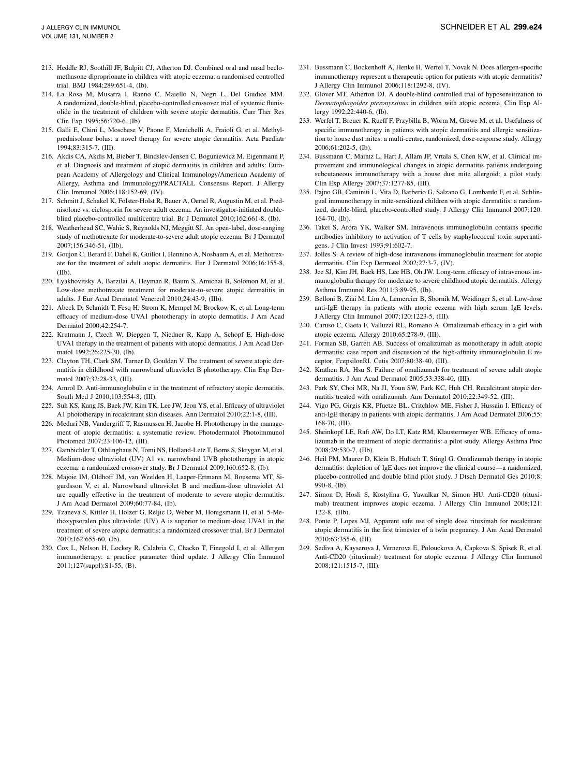- <span id="page-28-0"></span>213. Heddle RJ, Soothill JF, Bulpitt CJ, Atherton DJ. Combined oral and nasal beclomethasone diproprionate in children with atopic eczema: a randomised controlled trial. BMJ 1984;289:651-4, (Ib).
- 214. La Rosa M, Musarra I, Ranno C, Maiello N, Negri L, Del Giudice MM. A randomized, double-blind, placebo-controlled crossover trial of systemic flunisolide in the treatment of children with severe atopic dermatitis. Curr Ther Res Clin Exp 1995;56:720-6. (Ib)
- 215. Galli E, Chini L, Moschese V, Paone F, Menichelli A, Fraioli G, et al. Methylprednisolone bolus: a novel therapy for severe atopic dermatitis. Acta Paediatr 1994;83:315-7, (III).
- 216. Akdis CA, Akdis M, Bieber T, Bindslev-Jensen C, Boguniewicz M, Eigenmann P, et al. Diagnosis and treatment of atopic dermatitis in children and adults: European Academy of Allergology and Clinical Immunology/American Academy of Allergy, Asthma and Immunology/PRACTALL Consensus Report. J Allergy Clin Immunol 2006;118:152-69, (IV).
- 217. Schmitt J, Schakel K, Folster-Holst R, Bauer A, Oertel R, Augustin M, et al. Prednisolone vs. ciclosporin for severe adult eczema. An investigator-initiated doubleblind placebo-controlled multicentre trial. Br J Dermatol 2010;162:661-8, (Ib).
- 218. Weatherhead SC, Wahie S, Reynolds NJ, Meggitt SJ. An open-label, dose-ranging study of methotrexate for moderate-to-severe adult atopic eczema. Br J Dermatol 2007;156:346-51, (IIb).
- 219. Goujon C, Berard F, Dahel K, Guillot I, Hennino A, Nosbaum A, et al. Methotrexate for the treatment of adult atopic dermatitis. Eur J Dermatol 2006;16:155-8, (IIb).
- 220. Lyakhovitsky A, Barzilai A, Heyman R, Baum S, Amichai B, Solomon M, et al. Low-dose methotrexate treatment for moderate-to-severe atopic dermatitis in adults. J Eur Acad Dermatol Venereol 2010;24:43-9, (IIb).
- 221. Abeck D, Schmidt T, Fesq H, Strom K, Mempel M, Brockow K, et al. Long-term efficacy of medium-dose UVA1 phototherapy in atopic dermatitis. J Am Acad Dermatol 2000;42:254-7.
- 222. Krutmann J, Czech W, Diepgen T, Niedner R, Kapp A, Schopf E. High-dose UVA1 therapy in the treatment of patients with atopic dermatitis. J Am Acad Dermatol 1992;26:225-30, (Ib).
- 223. Clayton TH, Clark SM, Turner D, Goulden V. The treatment of severe atopic dermatitis in childhood with narrowband ultraviolet B phototherapy. Clin Exp Dermatol 2007;32:28-33, (III).
- 224. Amrol D. Anti-immunoglobulin e in the treatment of refractory atopic dermatitis. South Med J 2010;103:554-8, (III).
- 225. Suh KS, Kang JS, Baek JW, Kim TK, Lee JW, Jeon YS, et al. Efficacy of ultraviolet A1 phototherapy in recalcitrant skin diseases. Ann Dermatol 2010;22:1-8, (III).
- 226. Meduri NB, Vandergriff T, Rasmussen H, Jacobe H. Phototherapy in the management of atopic dermatitis: a systematic review. Photodermatol Photoimmunol Photomed 2007;23:106-12, (III).
- 227. Gambichler T, Othlinghaus N, Tomi NS, Holland-Letz T, Boms S, Skrygan M, et al. Medium-dose ultraviolet (UV) A1 vs. narrowband UVB phototherapy in atopic eczema: a randomized crossover study. Br J Dermatol 2009;160:652-8, (Ib).
- 228. Majoie IM, Oldhoff JM, van Weelden H, Laaper-Ertmann M, Bousema MT, Sigurdsson V, et al. Narrowband ultraviolet B and medium-dose ultraviolet A1 are equally effective in the treatment of moderate to severe atopic dermatitis. J Am Acad Dermatol 2009;60:77-84, (Ib).
- 229. Tzaneva S, Kittler H, Holzer G, Reljic D, Weber M, Honigsmann H, et al. 5-Methoxypsoralen plus ultraviolet (UV) A is superior to medium-dose UVA1 in the treatment of severe atopic dermatitis: a randomized crossover trial. Br J Dermatol 2010;162:655-60, (Ib).
- 230. Cox L, Nelson H, Lockey R, Calabria C, Chacko T, Finegold I, et al. Allergen immunotherapy: a practice parameter third update. J Allergy Clin Immunol 2011;127(suppl):S1-55, (B).
- 231. Bussmann C, Bockenhoff A, Henke H, Werfel T, Novak N. Does allergen-specific immunotherapy represent a therapeutic option for patients with atopic dermatitis? J Allergy Clin Immunol 2006;118:1292-8, (IV).
- 232. Glover MT, Atherton DJ. A double-blind controlled trial of hyposensitization to Dermatophagoides pteronyssinus in children with atopic eczema. Clin Exp Allergy 1992;22:440-6, (Ib).
- 233. Werfel T, Breuer K, Rueff F, Przybilla B, Worm M, Grewe M, et al. Usefulness of specific immunotherapy in patients with atopic dermatitis and allergic sensitization to house dust mites: a multi-centre, randomized, dose-response study. Allergy 2006;61:202-5, (Ib).
- 234. Bussmann C, Maintz L, Hart J, Allam JP, Vrtala S, Chen KW, et al. Clinical improvement and immunological changes in atopic dermatitis patients undergoing subcutaneous immunotherapy with a house dust mite allergoid: a pilot study. Clin Exp Allergy 2007;37:1277-85, (III).
- 235. Pajno GB, Caminiti L, Vita D, Barberio G, Salzano G, Lombardo F, et al. Sublingual immunotherapy in mite-sensitized children with atopic dermatitis: a randomized, double-blind, placebo-controlled study. J Allergy Clin Immunol 2007;120: 164-70, (Ib).
- 236. Takei S, Arora YK, Walker SM. Intravenous immunoglobulin contains specific antibodies inhibitory to activation of T cells by staphylococcal toxin superantigens. J Clin Invest 1993;91:602-7.
- 237. Jolles S. A review of high-dose intravenous immunoglobulin treatment for atopic dermatitis. Clin Exp Dermatol 2002;27:3-7, (IV).
- 238. Jee SJ, Kim JH, Baek HS, Lee HB, Oh JW. Long-term efficacy of intravenous immunoglobulin therapy for moderate to severe childhood atopic dermatitis. Allergy Asthma Immunol Res 2011;3:89-95, (Ib).
- 239. Belloni B, Ziai M, Lim A, Lemercier B, Sbornik M, Weidinger S, et al. Low-dose anti-IgE therapy in patients with atopic eczema with high serum IgE levels. J Allergy Clin Immunol 2007;120:1223-5, (III).
- 240. Caruso C, Gaeta F, Valluzzi RL, Romano A. Omalizumab efficacy in a girl with atopic eczema. Allergy 2010;65:278-9, (III).
- 241. Forman SB, Garrett AB. Success of omalizumab as monotherapy in adult atopic dermatitis: case report and discussion of the high-affinity immunoglobulin E receptor, FcepsilonRI. Cutis 2007;80:38-40, (III).
- 242. Krathen RA, Hsu S. Failure of omalizumab for treatment of severe adult atopic dermatitis. J Am Acad Dermatol 2005;53:338-40, (III).
- 243. Park SY, Choi MR, Na JI, Youn SW, Park KC, Huh CH. Recalcitrant atopic dermatitis treated with omalizumab. Ann Dermatol 2010;22:349-52, (III).
- 244. Vigo PG, Girgis KR, Pfuetze BL, Critchlow ME, Fisher J, Hussain I. Efficacy of anti-IgE therapy in patients with atopic dermatitis. J Am Acad Dermatol 2006;55: 168-70, (III).
- 245. Sheinkopf LE, Rafi AW, Do LT, Katz RM, Klaustermeyer WB. Efficacy of omalizumab in the treatment of atopic dermatitis: a pilot study. Allergy Asthma Proc 2008;29:530-7, (IIb).
- 246. Heil PM, Maurer D, Klein B, Hultsch T, Stingl G. Omalizumab therapy in atopic dermatitis: depletion of IgE does not improve the clinical course—a randomized, placebo-controlled and double blind pilot study. J Dtsch Dermatol Ges 2010;8: 990-8, (Ib).
- 247. Simon D, Hosli S, Kostylina G, Yawalkar N, Simon HU. Anti-CD20 (rituximab) treatment improves atopic eczema. J Allergy Clin Immunol 2008;121: 122-8, (IIb).
- 248. Ponte P, Lopes MJ. Apparent safe use of single dose rituximab for recalcitrant atopic dermatitis in the first trimester of a twin pregnancy. J Am Acad Dermatol 2010;63:355-6, (III).
- 249. Sediva A, Kayserova J, Vernerova E, Polouckova A, Capkova S, Spisek R, et al. Anti-CD20 (rituximab) treatment for atopic eczema. J Allergy Clin Immunol 2008;121:1515-7, (III).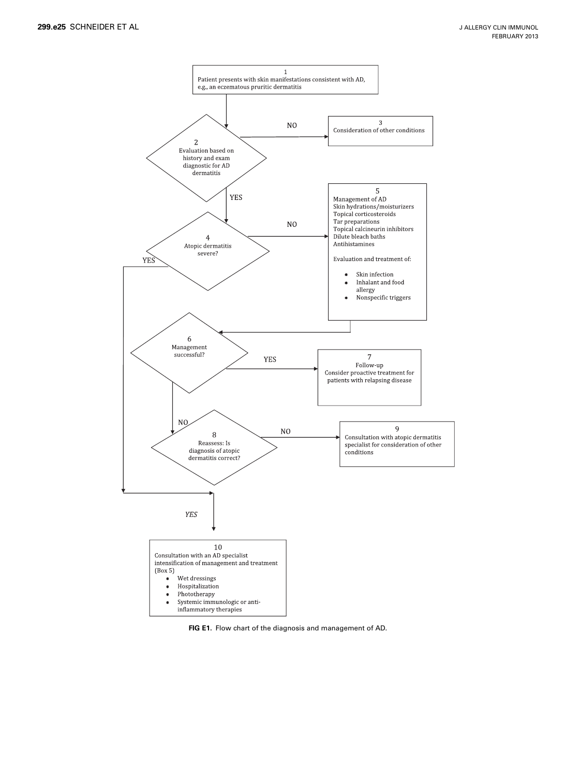<span id="page-29-0"></span>

FIG E1. Flow chart of the diagnosis and management of AD.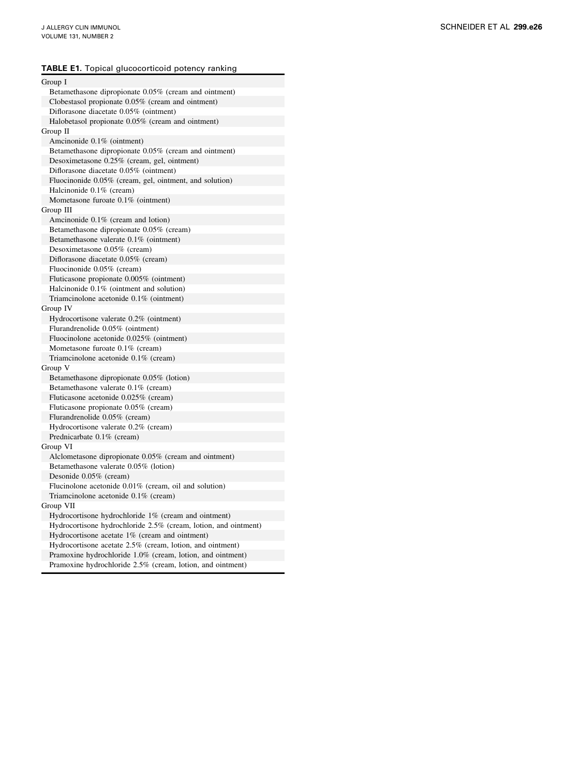# <span id="page-30-0"></span>TABLE E1. Topical glucocorticoid potency ranking

| Group I   |                                                                 |
|-----------|-----------------------------------------------------------------|
|           | Betamethasone dipropionate 0.05% (cream and ointment)           |
|           | Clobestasol propionate 0.05% (cream and ointment)               |
|           | Diflorasone diacetate 0.05% (ointment)                          |
|           | Halobetasol propionate 0.05% (cream and ointment)               |
| Group II  |                                                                 |
|           | Amcinonide 0.1% (ointment)                                      |
|           | Betamethasone dipropionate 0.05% (cream and ointment)           |
|           | Desoximetasone 0.25% (cream, gel, ointment)                     |
|           | Diflorasone diacetate 0.05% (ointment)                          |
|           | Fluocinonide 0.05% (cream, gel, ointment, and solution)         |
|           | Halcinonide 0.1% (cream)                                        |
|           | Mometasone furoate 0.1% (ointment)                              |
| Group III |                                                                 |
|           | Amcinonide 0.1% (cream and lotion)                              |
|           | Betamethasone dipropionate 0.05% (cream)                        |
|           | Betamethasone valerate 0.1% (ointment)                          |
|           | Desoximetasone 0.05% (cream)                                    |
|           | Diflorasone diacetate 0.05% (cream)                             |
|           | Fluocinonide 0.05% (cream)                                      |
|           | Fluticasone propionate 0.005% (ointment)                        |
|           | Halcinonide 0.1% (ointment and solution)                        |
|           | Triamcinolone acetonide 0.1% (ointment)                         |
| Group IV  |                                                                 |
|           | Hydrocortisone valerate 0.2% (ointment)                         |
|           | Flurandrenolide 0.05% (ointment)                                |
|           | Fluocinolone acetonide 0.025% (ointment)                        |
|           | Mometasone furoate 0.1% (cream)                                 |
|           | Triamcinolone acetonide 0.1% (cream)                            |
| Group V   |                                                                 |
|           | Betamethasone dipropionate 0.05% (lotion)                       |
|           | Betamethasone valerate 0.1% (cream)                             |
|           | Fluticasone acetonide 0.025% (cream)                            |
|           | Fluticasone propionate 0.05% (cream)                            |
|           | Flurandrenolide 0.05% (cream)                                   |
|           | Hydrocortisone valerate 0.2% (cream)                            |
|           | Prednicarbate 0.1% (cream)                                      |
|           | Group VI                                                        |
|           | Alclometasone dipropionate 0.05% (cream and ointment)           |
|           | Betamethasone valerate 0.05% (lotion)                           |
|           | Desonide $0.05\%$ (cream)                                       |
|           | Flucinolone acetonide 0.01% (cream, oil and solution)           |
|           | Triamcinolone acetonide 0.1% (cream)                            |
| Group VII |                                                                 |
|           | Hydrocortisone hydrochloride 1% (cream and ointment)            |
|           | Hydrocortisone hydrochloride 2.5% (cream, lotion, and ointment) |
|           | Hydrocortisone acetate 1% (cream and ointment)                  |
|           | Hydrocortisone acetate 2.5% (cream, lotion, and ointment)       |
|           | Pramoxine hydrochloride 1.0% (cream, lotion, and ointment)      |
|           | Pramoxine hydrochloride 2.5% (cream, lotion, and ointment)      |
|           |                                                                 |